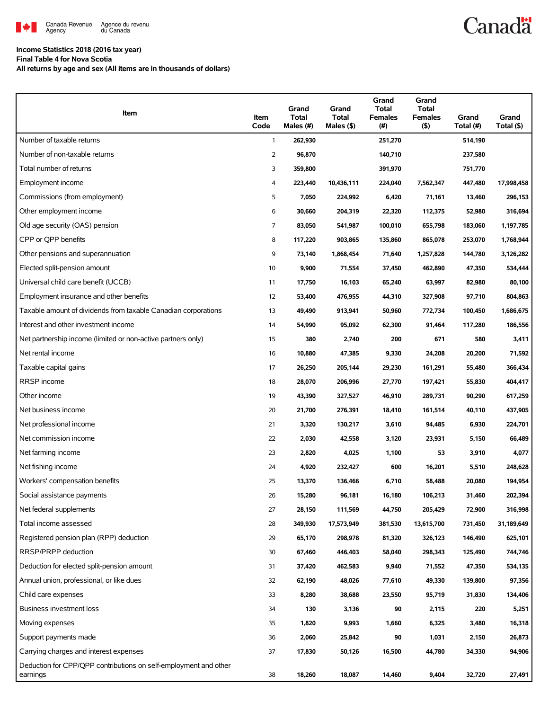

**Canadä** 

### **Income Statistics 2018 (2016 tax year)**

**Final Table 4 for Nova Scotia**

**All returns by age and sex (All items are in thousands of dollars)**

| Item                                                                         | Item<br>Code   | Grand<br><b>Total</b><br>Males (#) | Grand<br><b>Total</b><br>Males (\$) | Grand<br><b>Total</b><br><b>Females</b><br>(# ) | Grand<br>Total<br><b>Females</b><br>(5) | Grand<br>Total (#) | Grand<br>Total (\$) |
|------------------------------------------------------------------------------|----------------|------------------------------------|-------------------------------------|-------------------------------------------------|-----------------------------------------|--------------------|---------------------|
| Number of taxable returns                                                    | 1              | 262,930                            |                                     | 251,270                                         |                                         | 514,190            |                     |
| Number of non-taxable returns                                                | $\overline{2}$ | 96,870                             |                                     | 140,710                                         |                                         | 237,580            |                     |
| Total number of returns                                                      | 3              | 359,800                            |                                     | 391,970                                         |                                         | 751,770            |                     |
| Employment income                                                            | 4              | 223,440                            | 10,436,111                          | 224,040                                         | 7,562,347                               | 447,480            | 17,998,458          |
| Commissions (from employment)                                                | 5              | 7,050                              | 224,992                             | 6,420                                           | 71,161                                  | 13,460             | 296,153             |
| Other employment income                                                      | 6              | 30,660                             | 204,319                             | 22,320                                          | 112,375                                 | 52,980             | 316,694             |
| Old age security (OAS) pension                                               | 7              | 83,050                             | 541,987                             | 100,010                                         | 655,798                                 | 183,060            | 1,197,785           |
| CPP or QPP benefits                                                          | 8              | 117,220                            | 903,865                             | 135,860                                         | 865,078                                 | 253,070            | 1,768,944           |
| Other pensions and superannuation                                            | 9              | 73,140                             | 1,868,454                           | 71,640                                          | 1,257,828                               | 144,780            | 3,126,282           |
| Elected split-pension amount                                                 | 10             | 9,900                              | 71,554                              | 37,450                                          | 462,890                                 | 47,350             | 534,444             |
| Universal child care benefit (UCCB)                                          | 11             | 17,750                             | 16,103                              | 65,240                                          | 63,997                                  | 82,980             | 80,100              |
| Employment insurance and other benefits                                      | 12             | 53,400                             | 476,955                             | 44,310                                          | 327,908                                 | 97,710             | 804,863             |
| Taxable amount of dividends from taxable Canadian corporations               | 13             | 49,490                             | 913,941                             | 50,960                                          | 772,734                                 | 100,450            | 1,686,675           |
| Interest and other investment income                                         | 14             | 54,990                             | 95,092                              | 62,300                                          | 91,464                                  | 117,280            | 186,556             |
| Net partnership income (limited or non-active partners only)                 | 15             | 380                                | 2,740                               | 200                                             | 671                                     | 580                | 3,411               |
| Net rental income                                                            | 16             | 10,880                             | 47,385                              | 9,330                                           | 24,208                                  | 20,200             | 71,592              |
| Taxable capital gains                                                        | 17             | 26,250                             | 205,144                             | 29,230                                          | 161,291                                 | 55,480             | 366,434             |
| RRSP income                                                                  | 18             | 28,070                             | 206,996                             | 27,770                                          | 197,421                                 | 55,830             | 404,417             |
| Other income                                                                 | 19             | 43,390                             | 327,527                             | 46,910                                          | 289,731                                 | 90,290             | 617,259             |
| Net business income                                                          | 20             | 21,700                             | 276,391                             | 18,410                                          | 161,514                                 | 40,110             | 437,905             |
| Net professional income                                                      | 21             | 3,320                              | 130,217                             | 3,610                                           | 94,485                                  | 6,930              | 224,701             |
| Net commission income                                                        | 22             | 2,030                              | 42,558                              | 3,120                                           | 23,931                                  | 5,150              | 66,489              |
| Net farming income                                                           | 23             | 2,820                              | 4,025                               | 1,100                                           | 53                                      | 3,910              | 4,077               |
| Net fishing income                                                           | 24             | 4,920                              | 232,427                             | 600                                             | 16,201                                  | 5,510              | 248,628             |
| Workers' compensation benefits                                               | 25             | 13,370                             | 136,466                             | 6,710                                           | 58,488                                  | 20,080             | 194,954             |
| Social assistance payments                                                   | 26             | 15,280                             | 96,181                              | 16,180                                          | 106,213                                 | 31,460             | 202,394             |
| Net federal supplements                                                      | 27             | 28,150                             | 111,569                             | 44,750                                          | 205,429                                 | 72,900             | 316,998             |
| Total income assessed                                                        | 28             | 349,930                            | 17,573,949                          | 381,530                                         | 13,615,700                              | 731,450            | 31,189,649          |
| Registered pension plan (RPP) deduction                                      | 29             | 65,170                             | 298,978                             | 81,320                                          | 326,123                                 | 146,490            | 625,101             |
| RRSP/PRPP deduction                                                          | 30             | 67,460                             | 446,403                             | 58,040                                          | 298,343                                 | 125,490            | 744,746             |
| Deduction for elected split-pension amount                                   | 31             | 37,420                             | 462,583                             | 9,940                                           | 71,552                                  | 47,350             | 534,135             |
| Annual union, professional, or like dues                                     | 32             | 62,190                             | 48,026                              | 77,610                                          | 49,330                                  | 139,800            | 97,356              |
| Child care expenses                                                          | 33             | 8,280                              | 38,688                              | 23,550                                          | 95,719                                  | 31,830             | 134,406             |
| Business investment loss                                                     | 34             | 130                                | 3,136                               | 90                                              | 2,115                                   | 220                | 5,251               |
| Moving expenses                                                              | 35             | 1,820                              | 9,993                               | 1,660                                           | 6,325                                   | 3,480              | 16,318              |
| Support payments made                                                        | 36             | 2,060                              | 25,842                              | 90                                              | 1,031                                   | 2,150              | 26,873              |
| Carrying charges and interest expenses                                       | 37             | 17,830                             | 50,126                              | 16,500                                          | 44,780                                  | 34,330             | 94,906              |
| Deduction for CPP/QPP contributions on self-employment and other<br>earnings | 38             | 18,260                             | 18,087                              | 14,460                                          | 9,404                                   | 32,720             | 27,491              |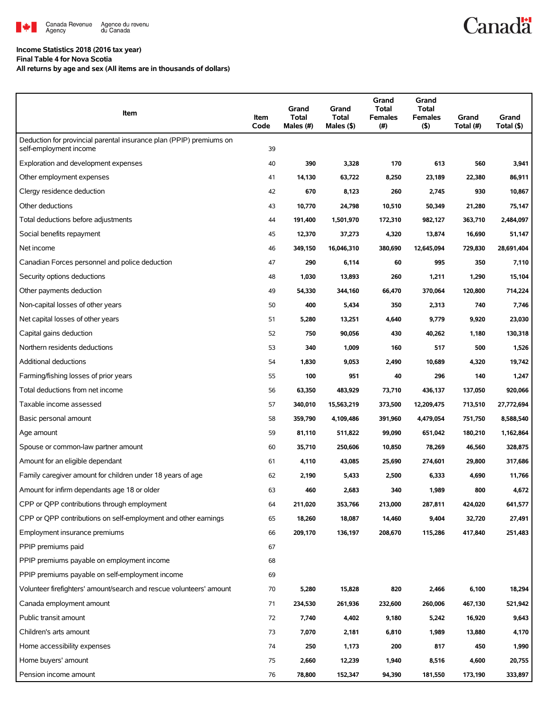

## **Income Statistics 2018 (2016 tax year)**

#### **Final Table 4 for Nova Scotia**

**All returns by age and sex (All items are in thousands of dollars)**

| Item                                                                                          | Item<br>Code | Grand<br><b>Total</b><br>Males (#) | Grand<br><b>Total</b><br>Males (\$) | Grand<br><b>Total</b><br><b>Females</b><br>$(\#)$ | Grand<br>Total<br><b>Females</b><br>$($ \$) | Grand<br>Total (#) | Grand<br>Total (\$) |
|-----------------------------------------------------------------------------------------------|--------------|------------------------------------|-------------------------------------|---------------------------------------------------|---------------------------------------------|--------------------|---------------------|
| Deduction for provincial parental insurance plan (PPIP) premiums on<br>self-employment income | 39           |                                    |                                     |                                                   |                                             |                    |                     |
| Exploration and development expenses                                                          | 40           | 390                                | 3,328                               | 170                                               | 613                                         | 560                | 3,941               |
| Other employment expenses                                                                     | 41           | 14,130                             | 63,722                              | 8,250                                             | 23,189                                      | 22,380             | 86,911              |
| Clergy residence deduction                                                                    | 42           | 670                                | 8,123                               | 260                                               | 2,745                                       | 930                | 10,867              |
| Other deductions                                                                              | 43           | 10,770                             | 24,798                              | 10,510                                            | 50,349                                      | 21,280             | 75,147              |
| Total deductions before adjustments                                                           | 44           | 191,400                            | 1,501,970                           | 172,310                                           | 982,127                                     | 363,710            | 2,484,097           |
| Social benefits repayment                                                                     | 45           | 12,370                             | 37,273                              | 4,320                                             | 13,874                                      | 16,690             | 51,147              |
| Net income                                                                                    | 46           | 349,150                            | 16,046,310                          | 380,690                                           | 12,645,094                                  | 729,830            | 28,691,404          |
| Canadian Forces personnel and police deduction                                                | 47           | 290                                | 6,114                               | 60                                                | 995                                         | 350                | 7,110               |
| Security options deductions                                                                   | 48           | 1,030                              | 13,893                              | 260                                               | 1,211                                       | 1,290              | 15,104              |
| Other payments deduction                                                                      | 49           | 54,330                             | 344,160                             | 66,470                                            | 370,064                                     | 120,800            | 714,224             |
| Non-capital losses of other years                                                             | 50           | 400                                | 5,434                               | 350                                               | 2,313                                       | 740                | 7,746               |
| Net capital losses of other years                                                             | 51           | 5,280                              | 13,251                              | 4,640                                             | 9,779                                       | 9,920              | 23,030              |
| Capital gains deduction                                                                       | 52           | 750                                | 90,056                              | 430                                               | 40,262                                      | 1,180              | 130,318             |
| Northern residents deductions                                                                 | 53           | 340                                | 1,009                               | 160                                               | 517                                         | 500                | 1,526               |
| Additional deductions                                                                         | 54           | 1,830                              | 9,053                               | 2,490                                             | 10,689                                      | 4,320              | 19,742              |
| Farming/fishing losses of prior years                                                         | 55           | 100                                | 951                                 | 40                                                | 296                                         | 140                | 1,247               |
| Total deductions from net income                                                              | 56           | 63,350                             | 483,929                             | 73,710                                            | 436,137                                     | 137,050            | 920,066             |
| Taxable income assessed                                                                       | 57           | 340,010                            | 15,563,219                          | 373,500                                           | 12,209,475                                  | 713,510            | 27,772,694          |
| Basic personal amount                                                                         | 58           | 359,790                            | 4,109,486                           | 391,960                                           | 4,479,054                                   | 751,750            | 8,588,540           |
| Age amount                                                                                    | 59           | 81,110                             | 511,822                             | 99,090                                            | 651,042                                     | 180,210            | 1,162,864           |
| Spouse or common-law partner amount                                                           | 60           | 35,710                             | 250,606                             | 10,850                                            | 78,269                                      | 46,560             | 328,875             |
| Amount for an eligible dependant                                                              | 61           | 4,110                              | 43,085                              | 25,690                                            | 274,601                                     | 29,800             | 317,686             |
| Family caregiver amount for children under 18 years of age                                    | 62           | 2,190                              | 5,433                               | 2,500                                             | 6,333                                       | 4,690              | 11,766              |
| Amount for infirm dependants age 18 or older                                                  | 63           | 460                                | 2,683                               | 340                                               | 1,989                                       | 800                | 4,672               |
| CPP or QPP contributions through employment                                                   | 64           | 211,020                            | 353,766                             | 213,000                                           | 287,811                                     | 424,020            | 641,577             |
| CPP or QPP contributions on self-employment and other earnings                                | 65           | 18,260                             | 18,087                              | 14,460                                            | 9,404                                       | 32,720             | 27,491              |
| Employment insurance premiums                                                                 | 66           | 209,170                            | 136,197                             | 208,670                                           | 115,286                                     | 417,840            | 251,483             |
| PPIP premiums paid                                                                            | 67           |                                    |                                     |                                                   |                                             |                    |                     |
| PPIP premiums payable on employment income                                                    | 68           |                                    |                                     |                                                   |                                             |                    |                     |
| PPIP premiums payable on self-employment income                                               | 69           |                                    |                                     |                                                   |                                             |                    |                     |
| Volunteer firefighters' amount/search and rescue volunteers' amount                           | 70           | 5,280                              | 15,828                              | 820                                               | 2,466                                       | 6,100              | 18,294              |
| Canada employment amount                                                                      | 71           | 234,530                            | 261,936                             | 232,600                                           | 260,006                                     | 467,130            | 521,942             |
| Public transit amount                                                                         | 72           | 7,740                              | 4,402                               | 9,180                                             | 5,242                                       | 16,920             | 9,643               |
| Children's arts amount                                                                        | 73           | 7,070                              | 2,181                               | 6,810                                             | 1,989                                       | 13,880             | 4,170               |
| Home accessibility expenses                                                                   | 74           | 250                                | 1,173                               | 200                                               | 817                                         | 450                | 1,990               |
| Home buyers' amount                                                                           | 75           | 2,660                              | 12,239                              | 1,940                                             | 8,516                                       | 4,600              | 20,755              |
| Pension income amount                                                                         | 76           | 78,800                             | 152,347                             | 94,390                                            | 181,550                                     | 173,190            | 333,897             |

**Canadä**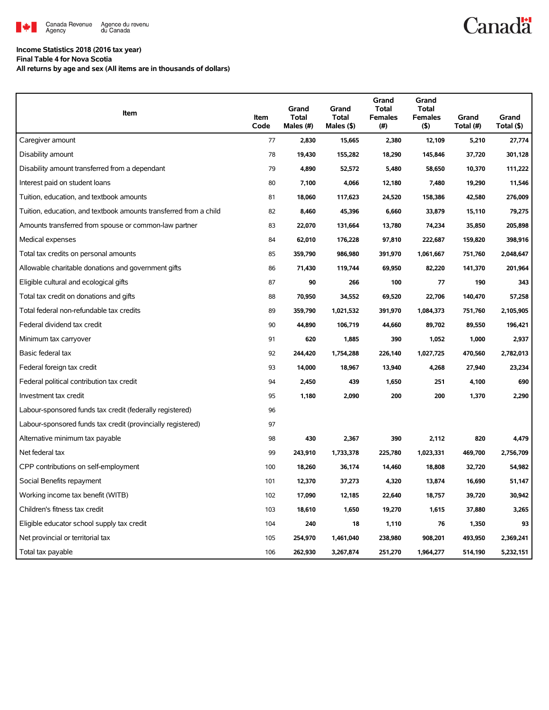

# **Canadä**

## **Income Statistics 2018 (2016 tax year)**

**Final Table 4 for Nova Scotia**

**All returns by age and sex (All items are in thousands of dollars)**

| Item                                                              | Item<br>Code | Grand<br><b>Total</b><br>Males (#) | Grand<br><b>Total</b><br>Males (\$) | Grand<br><b>Total</b><br><b>Females</b><br>(#) | Grand<br><b>Total</b><br><b>Females</b><br>(5) | Grand<br>Total (#) | Grand<br>Total (\$) |
|-------------------------------------------------------------------|--------------|------------------------------------|-------------------------------------|------------------------------------------------|------------------------------------------------|--------------------|---------------------|
| Caregiver amount                                                  | 77           | 2,830                              | 15,665                              | 2,380                                          | 12,109                                         | 5,210              | 27,774              |
| Disability amount                                                 | 78           | 19,430                             | 155,282                             | 18,290                                         | 145,846                                        | 37,720             | 301,128             |
| Disability amount transferred from a dependant                    | 79           | 4,890                              | 52,572                              | 5,480                                          | 58,650                                         | 10,370             | 111,222             |
| Interest paid on student loans                                    | 80           | 7,100                              | 4,066                               | 12,180                                         | 7,480                                          | 19,290             | 11,546              |
| Tuition, education, and textbook amounts                          | 81           | 18,060                             | 117,623                             | 24,520                                         | 158,386                                        | 42,580             | 276,009             |
| Tuition, education, and textbook amounts transferred from a child | 82           | 8,460                              | 45,396                              | 6,660                                          | 33,879                                         | 15,110             | 79,275              |
| Amounts transferred from spouse or common-law partner             | 83           | 22,070                             | 131,664                             | 13,780                                         | 74,234                                         | 35,850             | 205,898             |
| Medical expenses                                                  | 84           | 62,010                             | 176,228                             | 97,810                                         | 222,687                                        | 159,820            | 398,916             |
| Total tax credits on personal amounts                             | 85           | 359,790                            | 986,980                             | 391,970                                        | 1,061,667                                      | 751,760            | 2,048,647           |
| Allowable charitable donations and government gifts               | 86           | 71,430                             | 119,744                             | 69,950                                         | 82,220                                         | 141,370            | 201,964             |
| Eligible cultural and ecological gifts                            | 87           | 90                                 | 266                                 | 100                                            | 77                                             | 190                | 343                 |
| Total tax credit on donations and gifts                           | 88           | 70,950                             | 34,552                              | 69,520                                         | 22,706                                         | 140,470            | 57,258              |
| Total federal non-refundable tax credits                          | 89           | 359,790                            | 1,021,532                           | 391,970                                        | 1,084,373                                      | 751,760            | 2,105,905           |
| Federal dividend tax credit                                       | 90           | 44,890                             | 106,719                             | 44,660                                         | 89,702                                         | 89,550             | 196,421             |
| Minimum tax carryover                                             | 91           | 620                                | 1,885                               | 390                                            | 1,052                                          | 1,000              | 2,937               |
| Basic federal tax                                                 | 92           | 244,420                            | 1,754,288                           | 226,140                                        | 1,027,725                                      | 470,560            | 2,782,013           |
| Federal foreign tax credit                                        | 93           | 14,000                             | 18,967                              | 13,940                                         | 4,268                                          | 27,940             | 23,234              |
| Federal political contribution tax credit                         | 94           | 2,450                              | 439                                 | 1,650                                          | 251                                            | 4,100              | 690                 |
| Investment tax credit                                             | 95           | 1,180                              | 2,090                               | 200                                            | 200                                            | 1,370              | 2,290               |
| Labour-sponsored funds tax credit (federally registered)          | 96           |                                    |                                     |                                                |                                                |                    |                     |
| Labour-sponsored funds tax credit (provincially registered)       | 97           |                                    |                                     |                                                |                                                |                    |                     |
| Alternative minimum tax payable                                   | 98           | 430                                | 2,367                               | 390                                            | 2,112                                          | 820                | 4,479               |
| Net federal tax                                                   | 99           | 243,910                            | 1,733,378                           | 225,780                                        | 1,023,331                                      | 469,700            | 2,756,709           |
| CPP contributions on self-employment                              | 100          | 18,260                             | 36,174                              | 14,460                                         | 18,808                                         | 32,720             | 54,982              |
| Social Benefits repayment                                         | 101          | 12,370                             | 37,273                              | 4,320                                          | 13,874                                         | 16,690             | 51,147              |
| Working income tax benefit (WITB)                                 | 102          | 17,090                             | 12,185                              | 22,640                                         | 18,757                                         | 39,720             | 30,942              |
| Children's fitness tax credit                                     | 103          | 18,610                             | 1,650                               | 19,270                                         | 1,615                                          | 37,880             | 3,265               |
| Eligible educator school supply tax credit                        | 104          | 240                                | 18                                  | 1,110                                          | 76                                             | 1,350              | 93                  |
| Net provincial or territorial tax                                 | 105          | 254,970                            | 1,461,040                           | 238,980                                        | 908,201                                        | 493,950            | 2,369,241           |
| Total tax payable                                                 | 106          | 262,930                            | 3,267,874                           | 251,270                                        | 1,964,277                                      | 514,190            | 5,232,151           |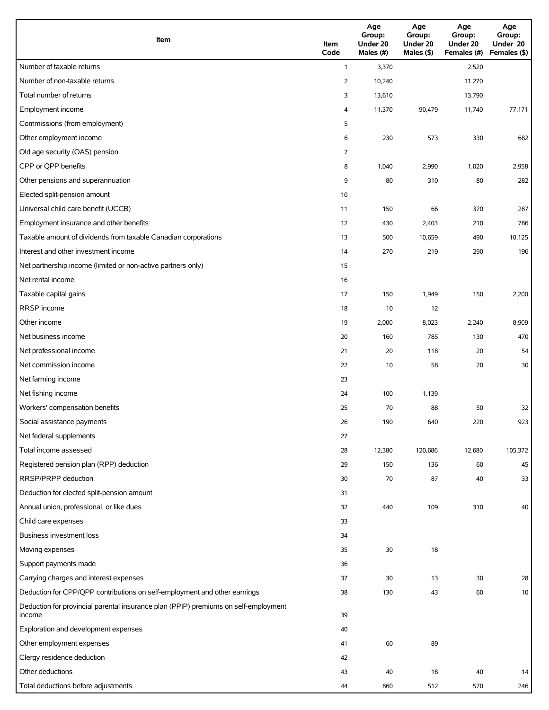| Item                                                                                          | Item<br>Code   | Age<br>Group:<br>Under 20<br>Males (#) | Age<br>Group:<br>Under 20<br>Males (\$) | Age<br>Group:<br>Under 20<br>Females (#) | Age<br>Group:<br>Under 20<br>Females (\$) |
|-----------------------------------------------------------------------------------------------|----------------|----------------------------------------|-----------------------------------------|------------------------------------------|-------------------------------------------|
| Number of taxable returns                                                                     | $\mathbf{1}$   | 3,370                                  |                                         | 2,520                                    |                                           |
| Number of non-taxable returns                                                                 | $\overline{2}$ | 10,240                                 |                                         | 11,270                                   |                                           |
| Total number of returns                                                                       | 3              | 13,610                                 |                                         | 13,790                                   |                                           |
| Employment income                                                                             | 4              | 11,370                                 | 90,479                                  | 11,740                                   | 77,171                                    |
| Commissions (from employment)                                                                 | 5              |                                        |                                         |                                          |                                           |
| Other employment income                                                                       | 6              | 230                                    | 573                                     | 330                                      | 682                                       |
| Old age security (OAS) pension                                                                | 7              |                                        |                                         |                                          |                                           |
| CPP or QPP benefits                                                                           | 8              | 1,040                                  | 2,990                                   | 1,020                                    | 2,958                                     |
| Other pensions and superannuation                                                             | 9              | 80                                     | 310                                     | 80                                       | 282                                       |
| Elected split-pension amount                                                                  | 10             |                                        |                                         |                                          |                                           |
| Universal child care benefit (UCCB)                                                           | 11             | 150                                    | 66                                      | 370                                      | 287                                       |
| Employment insurance and other benefits                                                       | 12             | 430                                    | 2,403                                   | 210                                      | 786                                       |
| Taxable amount of dividends from taxable Canadian corporations                                | 13             | 500                                    | 10,659                                  | 490                                      | 10,125                                    |
| Interest and other investment income                                                          | 14             | 270                                    | 219                                     | 290                                      | 196                                       |
| Net partnership income (limited or non-active partners only)                                  | 15             |                                        |                                         |                                          |                                           |
| Net rental income                                                                             | 16             |                                        |                                         |                                          |                                           |
| Taxable capital gains                                                                         | 17             | 150                                    | 1,949                                   | 150                                      | 2,200                                     |
| <b>RRSP</b> income                                                                            | 18             | 10                                     | 12                                      |                                          |                                           |
| Other income                                                                                  | 19             | 2,000                                  | 8,023                                   | 2,240                                    | 8,909                                     |
| Net business income                                                                           | 20             | 160                                    | 785                                     | 130                                      | 470                                       |
| Net professional income                                                                       | 21             | 20                                     | 118                                     | 20                                       | 54                                        |
| Net commission income                                                                         | 22             | 10                                     | 58                                      | 20                                       | 30                                        |
| Net farming income                                                                            | 23             |                                        |                                         |                                          |                                           |
| Net fishing income                                                                            | 24             | 100                                    | 1,139                                   |                                          |                                           |
| Workers' compensation benefits                                                                | 25             | 70                                     | 88                                      | 50                                       | 32                                        |
| Social assistance payments                                                                    | 26             | 190                                    | 640                                     | 220                                      | 923                                       |
| Net federal supplements                                                                       | 27             |                                        |                                         |                                          |                                           |
| Total income assessed                                                                         | 28             | 12,380                                 | 120,686                                 | 12,680                                   | 105,372                                   |
| Registered pension plan (RPP) deduction                                                       | 29             | 150                                    | 136                                     | 60                                       | 45                                        |
| RRSP/PRPP deduction                                                                           | 30             | 70                                     | 87                                      | 40                                       | 33                                        |
| Deduction for elected split-pension amount                                                    | 31             |                                        |                                         |                                          |                                           |
| Annual union, professional, or like dues                                                      | 32             | 440                                    | 109                                     | 310                                      | 40                                        |
| Child care expenses                                                                           | 33             |                                        |                                         |                                          |                                           |
| Business investment loss                                                                      | 34             |                                        |                                         |                                          |                                           |
| Moving expenses                                                                               | 35             | $30\,$                                 | $18\,$                                  |                                          |                                           |
| Support payments made                                                                         | 36             |                                        |                                         |                                          |                                           |
| Carrying charges and interest expenses                                                        | 37             | 30                                     | 13                                      | 30                                       | 28                                        |
| Deduction for CPP/QPP contributions on self-employment and other earnings                     | 38             | 130                                    | 43                                      | 60                                       | 10                                        |
| Deduction for provincial parental insurance plan (PPIP) premiums on self-employment<br>income | 39             |                                        |                                         |                                          |                                           |
| Exploration and development expenses                                                          | 40             |                                        |                                         |                                          |                                           |
| Other employment expenses                                                                     | 41             | 60                                     | 89                                      |                                          |                                           |
| Clergy residence deduction                                                                    | 42             |                                        |                                         |                                          |                                           |
| Other deductions                                                                              | 43             | 40                                     | 18                                      | 40                                       | 14                                        |
| Total deductions before adjustments                                                           | 44             | 860                                    | 512                                     | 570                                      | 246                                       |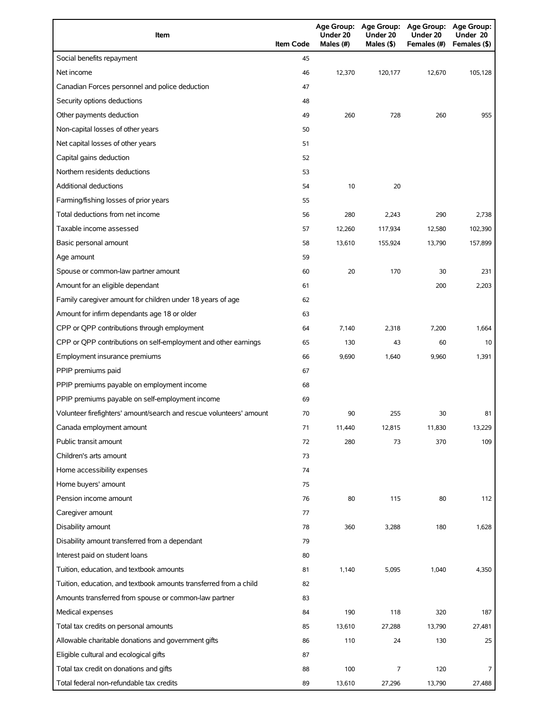| Item                                                                | <b>Item Code</b> | Under 20<br>Males $(H)$ | Age Group: Age Group:<br>Under 20<br>Males (\$) | Age Group: Age Group:<br>Under 20<br>Females (#) | Under 20<br>Females (\$) |
|---------------------------------------------------------------------|------------------|-------------------------|-------------------------------------------------|--------------------------------------------------|--------------------------|
| Social benefits repayment                                           | 45               |                         |                                                 |                                                  |                          |
| Net income                                                          | 46               | 12,370                  | 120,177                                         | 12,670                                           | 105,128                  |
| Canadian Forces personnel and police deduction                      | 47               |                         |                                                 |                                                  |                          |
| Security options deductions                                         | 48               |                         |                                                 |                                                  |                          |
| Other payments deduction                                            | 49               | 260                     | 728                                             | 260                                              | 955                      |
| Non-capital losses of other years                                   | 50               |                         |                                                 |                                                  |                          |
| Net capital losses of other years                                   | 51               |                         |                                                 |                                                  |                          |
| Capital gains deduction                                             | 52               |                         |                                                 |                                                  |                          |
| Northern residents deductions                                       | 53               |                         |                                                 |                                                  |                          |
| <b>Additional deductions</b>                                        | 54               | 10                      | 20                                              |                                                  |                          |
| Farming/fishing losses of prior years                               | 55               |                         |                                                 |                                                  |                          |
| Total deductions from net income                                    | 56               | 280                     | 2,243                                           | 290                                              | 2,738                    |
| Taxable income assessed                                             | 57               | 12,260                  | 117,934                                         | 12,580                                           | 102,390                  |
| Basic personal amount                                               | 58               | 13,610                  | 155,924                                         | 13,790                                           | 157,899                  |
| Age amount                                                          | 59               |                         |                                                 |                                                  |                          |
| Spouse or common-law partner amount                                 | 60               | 20                      | 170                                             | 30                                               | 231                      |
| Amount for an eligible dependant                                    | 61               |                         |                                                 | 200                                              | 2,203                    |
| Family caregiver amount for children under 18 years of age          | 62               |                         |                                                 |                                                  |                          |
| Amount for infirm dependants age 18 or older                        | 63               |                         |                                                 |                                                  |                          |
| CPP or QPP contributions through employment                         | 64               | 7,140                   | 2,318                                           | 7,200                                            | 1,664                    |
| CPP or QPP contributions on self-employment and other earnings      | 65               | 130                     | 43                                              | 60                                               | 10                       |
| Employment insurance premiums                                       | 66               | 9,690                   | 1,640                                           | 9,960                                            | 1,391                    |
| PPIP premiums paid                                                  | 67               |                         |                                                 |                                                  |                          |
| PPIP premiums payable on employment income                          | 68               |                         |                                                 |                                                  |                          |
| PPIP premiums payable on self-employment income                     | 69               |                         |                                                 |                                                  |                          |
| Volunteer firefighters' amount/search and rescue volunteers' amount | 70               | 90                      | 255                                             | 30                                               | 81                       |
| Canada employment amount                                            | 71               | 11,440                  | 12,815                                          | 11,830                                           | 13,229                   |
| Public transit amount                                               | 72               | 280                     | 73                                              | 370                                              | 109                      |
| Children's arts amount                                              | 73               |                         |                                                 |                                                  |                          |
| Home accessibility expenses                                         | 74               |                         |                                                 |                                                  |                          |
| Home buyers' amount                                                 | 75               |                         |                                                 |                                                  |                          |
| Pension income amount                                               | 76               | 80                      | 115                                             | 80                                               | 112                      |
| Caregiver amount                                                    | 77               |                         |                                                 |                                                  |                          |
| Disability amount                                                   | 78               | 360                     | 3,288                                           | 180                                              | 1,628                    |
| Disability amount transferred from a dependant                      | 79               |                         |                                                 |                                                  |                          |
| Interest paid on student loans                                      | 80               |                         |                                                 |                                                  |                          |
| Tuition, education, and textbook amounts                            | 81               | 1,140                   | 5,095                                           | 1,040                                            | 4,350                    |
| Tuition, education, and textbook amounts transferred from a child   | 82               |                         |                                                 |                                                  |                          |
| Amounts transferred from spouse or common-law partner               | 83               |                         |                                                 |                                                  |                          |
| Medical expenses                                                    | 84               | 190                     | 118                                             | 320                                              | 187                      |
| Total tax credits on personal amounts                               | 85               | 13,610                  | 27,288                                          | 13,790                                           | 27,481                   |
| Allowable charitable donations and government gifts                 | 86               | 110                     | 24                                              | 130                                              | 25                       |
| Eligible cultural and ecological gifts                              | 87               |                         |                                                 |                                                  |                          |
| Total tax credit on donations and gifts                             | 88               | 100                     | $\overline{7}$                                  | 120                                              | 7                        |
| Total federal non-refundable tax credits                            | 89               | 13,610                  | 27,296                                          | 13,790                                           | 27,488                   |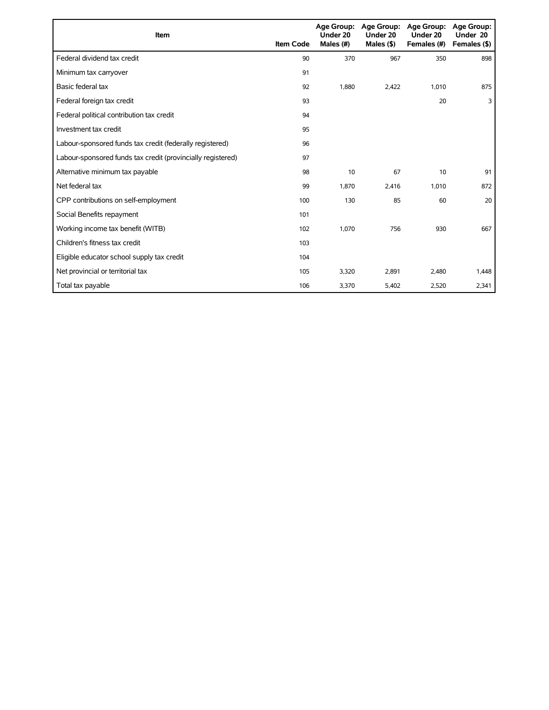| Item                                                        | <b>Item Code</b> | Under 20<br>Males (#) | Age Group: Age Group:<br>Under 20<br>Males $($ \$ $)$ | Age Group:<br>Under 20<br>Females (#) | <b>Age Group:</b><br>Under 20<br>Females (\$) |
|-------------------------------------------------------------|------------------|-----------------------|-------------------------------------------------------|---------------------------------------|-----------------------------------------------|
| Federal dividend tax credit                                 | 90               | 370                   | 967                                                   | 350                                   | 898                                           |
| Minimum tax carryover                                       | 91               |                       |                                                       |                                       |                                               |
| Basic federal tax                                           | 92               | 1,880                 | 2,422                                                 | 1,010                                 | 875                                           |
| Federal foreign tax credit                                  | 93               |                       |                                                       | 20                                    | 3                                             |
| Federal political contribution tax credit                   | 94               |                       |                                                       |                                       |                                               |
| Investment tax credit                                       | 95               |                       |                                                       |                                       |                                               |
| Labour-sponsored funds tax credit (federally registered)    | 96               |                       |                                                       |                                       |                                               |
| Labour-sponsored funds tax credit (provincially registered) | 97               |                       |                                                       |                                       |                                               |
| Alternative minimum tax payable                             | 98               | 10                    | 67                                                    | 10                                    | 91                                            |
| Net federal tax                                             | 99               | 1,870                 | 2,416                                                 | 1,010                                 | 872                                           |
| CPP contributions on self-employment                        | 100              | 130                   | 85                                                    | 60                                    | 20                                            |
| Social Benefits repayment                                   | 101              |                       |                                                       |                                       |                                               |
| Working income tax benefit (WITB)                           | 102              | 1,070                 | 756                                                   | 930                                   | 667                                           |
| Children's fitness tax credit                               | 103              |                       |                                                       |                                       |                                               |
| Eligible educator school supply tax credit                  | 104              |                       |                                                       |                                       |                                               |
| Net provincial or territorial tax                           | 105              | 3,320                 | 2,891                                                 | 2,480                                 | 1,448                                         |
| Total tax payable                                           | 106              | 3,370                 | 5,402                                                 | 2,520                                 | 2,341                                         |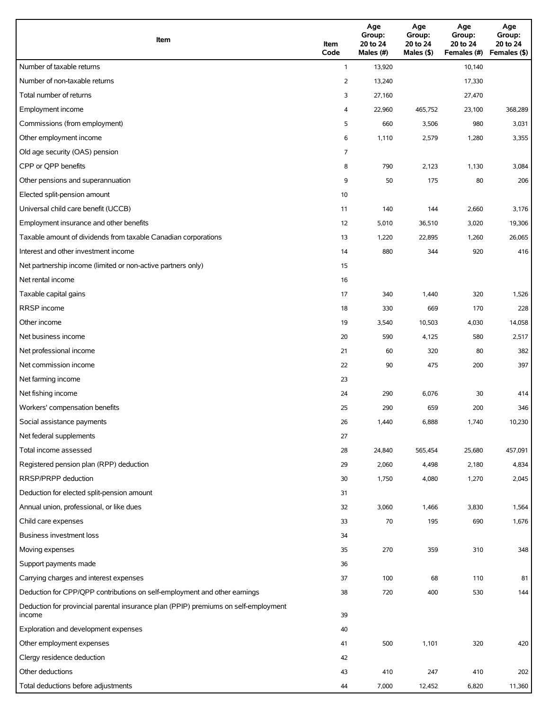| Item                                                                                          | Item<br>Code   | Age<br>Group:<br>20 to 24<br>Males (#) | Age<br>Group:<br>20 to 24<br>Males (\$) | Age<br>Group:<br>20 to 24<br>Females (#) | Age<br>Group:<br>20 to 24<br>Females (\$) |
|-----------------------------------------------------------------------------------------------|----------------|----------------------------------------|-----------------------------------------|------------------------------------------|-------------------------------------------|
| Number of taxable returns                                                                     | $\mathbf{1}$   | 13,920                                 |                                         | 10,140                                   |                                           |
| Number of non-taxable returns                                                                 | $\overline{2}$ | 13,240                                 |                                         | 17,330                                   |                                           |
| Total number of returns                                                                       | 3              | 27,160                                 |                                         | 27,470                                   |                                           |
| Employment income                                                                             | 4              | 22,960                                 | 465,752                                 | 23,100                                   | 368,289                                   |
| Commissions (from employment)                                                                 | 5              | 660                                    | 3,506                                   | 980                                      | 3,031                                     |
| Other employment income                                                                       | 6              | 1,110                                  | 2,579                                   | 1,280                                    | 3,355                                     |
| Old age security (OAS) pension                                                                | 7              |                                        |                                         |                                          |                                           |
| CPP or QPP benefits                                                                           | 8              | 790                                    | 2,123                                   | 1,130                                    | 3,084                                     |
| Other pensions and superannuation                                                             | 9              | 50                                     | 175                                     | 80                                       | 206                                       |
| Elected split-pension amount                                                                  | 10             |                                        |                                         |                                          |                                           |
| Universal child care benefit (UCCB)                                                           | 11             | 140                                    | 144                                     | 2,660                                    | 3,176                                     |
| Employment insurance and other benefits                                                       | 12             | 5,010                                  | 36,510                                  | 3,020                                    | 19,306                                    |
| Taxable amount of dividends from taxable Canadian corporations                                | 13             | 1,220                                  | 22,895                                  | 1,260                                    | 26,065                                    |
| Interest and other investment income                                                          | 14             | 880                                    | 344                                     | 920                                      | 416                                       |
| Net partnership income (limited or non-active partners only)                                  | 15             |                                        |                                         |                                          |                                           |
| Net rental income                                                                             | 16             |                                        |                                         |                                          |                                           |
| Taxable capital gains                                                                         | 17             | 340                                    | 1,440                                   | 320                                      | 1,526                                     |
| <b>RRSP</b> income                                                                            | 18             | 330                                    | 669                                     | 170                                      | 228                                       |
| Other income                                                                                  | 19             | 3,540                                  | 10,503                                  | 4,030                                    | 14,058                                    |
| Net business income                                                                           | 20             | 590                                    | 4,125                                   | 580                                      | 2,517                                     |
| Net professional income                                                                       | 21             | 60                                     | 320                                     | 80                                       | 382                                       |
| Net commission income                                                                         | 22             | 90                                     | 475                                     | 200                                      | 397                                       |
| Net farming income                                                                            | 23             |                                        |                                         |                                          |                                           |
| Net fishing income                                                                            | 24             | 290                                    | 6,076                                   | 30                                       | 414                                       |
| Workers' compensation benefits                                                                | 25             | 290                                    | 659                                     | 200                                      | 346                                       |
| Social assistance payments                                                                    | 26             | 1,440                                  | 6,888                                   | 1,740                                    | 10,230                                    |
| Net federal supplements                                                                       | 27             |                                        |                                         |                                          |                                           |
| Total income assessed                                                                         | 28             | 24,840                                 | 565,454                                 | 25,680                                   | 457,091                                   |
| Registered pension plan (RPP) deduction                                                       | 29             | 2,060                                  | 4,498                                   | 2,180                                    | 4,834                                     |
| RRSP/PRPP deduction                                                                           | 30             | 1,750                                  | 4,080                                   | 1,270                                    | 2,045                                     |
| Deduction for elected split-pension amount                                                    | 31             |                                        |                                         |                                          |                                           |
| Annual union, professional, or like dues                                                      | 32             | 3,060                                  | 1,466                                   | 3,830                                    | 1,564                                     |
| Child care expenses                                                                           | 33             | $70\,$                                 | 195                                     | 690                                      | 1,676                                     |
| <b>Business investment loss</b>                                                               | 34             |                                        |                                         |                                          |                                           |
| Moving expenses                                                                               | 35             | 270                                    | 359                                     | 310                                      | 348                                       |
| Support payments made                                                                         | 36             |                                        |                                         |                                          |                                           |
| Carrying charges and interest expenses                                                        | 37             | 100                                    | 68                                      | 110                                      | 81                                        |
| Deduction for CPP/QPP contributions on self-employment and other earnings                     | 38             | 720                                    | 400                                     | 530                                      | 144                                       |
| Deduction for provincial parental insurance plan (PPIP) premiums on self-employment<br>income | 39             |                                        |                                         |                                          |                                           |
| Exploration and development expenses                                                          | 40             |                                        |                                         |                                          |                                           |
| Other employment expenses                                                                     | 41             | 500                                    | 1,101                                   | 320                                      | 420                                       |
| Clergy residence deduction                                                                    | 42             |                                        |                                         |                                          |                                           |
| Other deductions                                                                              | 43             | 410                                    | 247                                     | 410                                      | 202                                       |
| Total deductions before adjustments                                                           | 44             | 7,000                                  | 12,452                                  | 6,820                                    | 11,360                                    |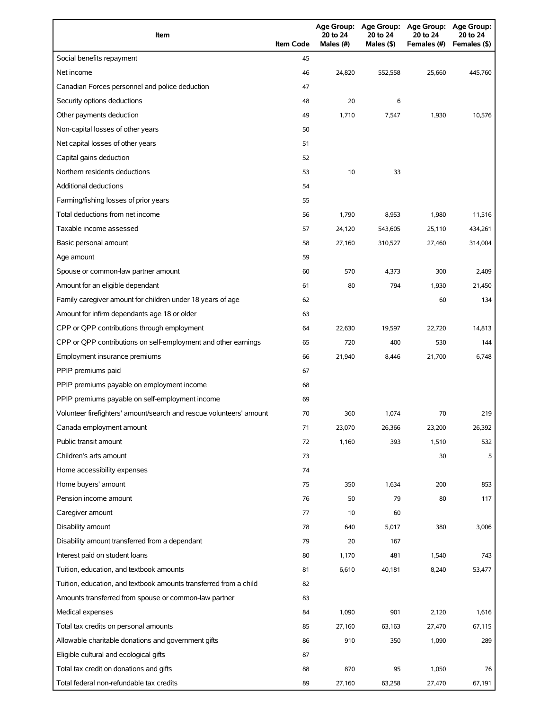| Item                                                                              | <b>Item Code</b> | <b>Age Group:</b><br>20 to 24<br>Males (#) | <b>Age Group:</b><br>20 to 24<br>Males (\$) | <b>Age Group:</b><br>20 to 24<br>Females (#) | Age Group:<br>20 to 24<br>Females (\$) |
|-----------------------------------------------------------------------------------|------------------|--------------------------------------------|---------------------------------------------|----------------------------------------------|----------------------------------------|
| Social benefits repayment                                                         | 45               |                                            |                                             |                                              |                                        |
| Net income                                                                        | 46               | 24,820                                     | 552,558                                     | 25.660                                       | 445,760                                |
| Canadian Forces personnel and police deduction                                    | 47               |                                            |                                             |                                              |                                        |
| Security options deductions                                                       | 48               | 20                                         | 6                                           |                                              |                                        |
| Other payments deduction                                                          | 49               | 1,710                                      | 7,547                                       | 1,930                                        | 10,576                                 |
| Non-capital losses of other years                                                 | 50               |                                            |                                             |                                              |                                        |
| Net capital losses of other years                                                 | 51               |                                            |                                             |                                              |                                        |
| Capital gains deduction                                                           | 52               |                                            |                                             |                                              |                                        |
| Northern residents deductions                                                     | 53               | 10                                         | 33                                          |                                              |                                        |
| <b>Additional deductions</b>                                                      | 54               |                                            |                                             |                                              |                                        |
| Farming/fishing losses of prior years                                             | 55               |                                            |                                             |                                              |                                        |
| Total deductions from net income                                                  | 56               | 1,790                                      | 8,953                                       | 1,980                                        | 11,516                                 |
| Taxable income assessed                                                           | 57               | 24,120                                     | 543,605                                     | 25,110                                       | 434,261                                |
| Basic personal amount                                                             | 58               | 27,160                                     | 310,527                                     | 27,460                                       | 314,004                                |
| Age amount                                                                        | 59               |                                            |                                             |                                              |                                        |
| Spouse or common-law partner amount                                               | 60               | 570                                        | 4,373                                       | 300                                          | 2,409                                  |
| Amount for an eligible dependant                                                  | 61               | 80                                         | 794                                         | 1,930                                        | 21,450                                 |
| Family caregiver amount for children under 18 years of age                        | 62               |                                            |                                             | 60                                           | 134                                    |
| Amount for infirm dependants age 18 or older                                      | 63               |                                            |                                             |                                              |                                        |
| CPP or QPP contributions through employment                                       | 64               | 22,630                                     | 19,597                                      | 22,720                                       | 14,813                                 |
| CPP or QPP contributions on self-employment and other earnings                    | 65               | 720                                        | 400                                         | 530                                          | 144                                    |
| Employment insurance premiums                                                     | 66               | 21,940                                     | 8,446                                       | 21,700                                       | 6,748                                  |
| PPIP premiums paid                                                                | 67               |                                            |                                             |                                              |                                        |
| PPIP premiums payable on employment income                                        | 68               |                                            |                                             |                                              |                                        |
| PPIP premiums payable on self-employment income                                   | 69               |                                            |                                             |                                              |                                        |
| Volunteer firefighters' amount/search and rescue volunteers' amount               | 70               | 360                                        | 1,074                                       | 70                                           | 219                                    |
| Canada employment amount                                                          | 71               | 23,070                                     | 26,366                                      | 23,200                                       | 26,392                                 |
| Public transit amount                                                             | 72               | 1,160                                      | 393                                         | 1,510                                        | 532                                    |
| Children's arts amount                                                            | 73               |                                            |                                             | 30                                           | 5                                      |
| Home accessibility expenses                                                       | 74               |                                            |                                             |                                              |                                        |
| Home buyers' amount                                                               | 75               | 350                                        | 1,634                                       | 200                                          | 853                                    |
| Pension income amount                                                             | 76               | 50                                         | 79                                          | 80                                           | 117                                    |
| Caregiver amount                                                                  | 77               | 10                                         | 60                                          |                                              |                                        |
| Disability amount                                                                 | 78               | 640                                        | 5,017                                       | 380                                          | 3,006                                  |
| Disability amount transferred from a dependant                                    | 79               | 20                                         | 167                                         |                                              |                                        |
| Interest paid on student loans                                                    | 80               | 1,170                                      | 481                                         | 1,540                                        | 743                                    |
| Tuition, education, and textbook amounts                                          | 81               | 6,610                                      | 40,181                                      | 8,240                                        | 53,477                                 |
| Tuition, education, and textbook amounts transferred from a child                 | 82               |                                            |                                             |                                              |                                        |
| Amounts transferred from spouse or common-law partner                             | 83               |                                            |                                             |                                              |                                        |
| Medical expenses                                                                  | 84               | 1,090                                      | 901                                         | 2,120                                        | 1,616                                  |
| Total tax credits on personal amounts                                             |                  |                                            |                                             |                                              | 67,115                                 |
| Allowable charitable donations and government gifts                               | 85<br>86         | 27,160<br>910                              | 63,163<br>350                               | 27,470<br>1,090                              | 289                                    |
|                                                                                   |                  |                                            |                                             |                                              |                                        |
| Eligible cultural and ecological gifts<br>Total tax credit on donations and gifts | 87<br>88         | 870                                        | 95                                          | 1,050                                        | 76                                     |
| Total federal non-refundable tax credits                                          | 89               | 27,160                                     | 63,258                                      | 27,470                                       | 67,191                                 |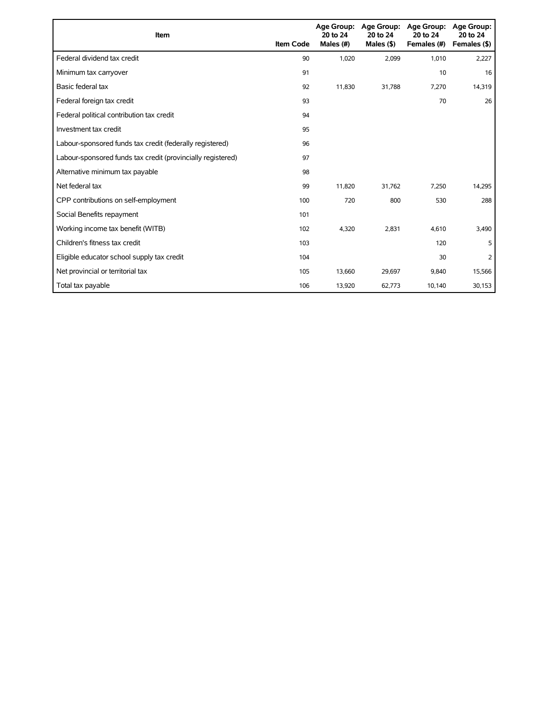| Item                                                        | <b>Item Code</b> | 20 to 24<br>Males (#) | Age Group: Age Group:<br>20 to 24<br>Males $($ \$) | Age Group:<br>20 to 24<br>Females (#) | Age Group:<br>20 to 24<br>Females (\$) |
|-------------------------------------------------------------|------------------|-----------------------|----------------------------------------------------|---------------------------------------|----------------------------------------|
| Federal dividend tax credit                                 | 90               | 1,020                 | 2,099                                              | 1,010                                 | 2,227                                  |
| Minimum tax carryover                                       | 91               |                       |                                                    | 10                                    | 16                                     |
| Basic federal tax                                           | 92               | 11,830                | 31,788                                             | 7,270                                 | 14,319                                 |
| Federal foreign tax credit                                  | 93               |                       |                                                    | 70                                    | 26                                     |
| Federal political contribution tax credit                   | 94               |                       |                                                    |                                       |                                        |
| Investment tax credit                                       | 95               |                       |                                                    |                                       |                                        |
| Labour-sponsored funds tax credit (federally registered)    | 96               |                       |                                                    |                                       |                                        |
| Labour-sponsored funds tax credit (provincially registered) | 97               |                       |                                                    |                                       |                                        |
| Alternative minimum tax payable                             | 98               |                       |                                                    |                                       |                                        |
| Net federal tax                                             | 99               | 11,820                | 31,762                                             | 7,250                                 | 14,295                                 |
| CPP contributions on self-employment                        | 100              | 720                   | 800                                                | 530                                   | 288                                    |
| Social Benefits repayment                                   | 101              |                       |                                                    |                                       |                                        |
| Working income tax benefit (WITB)                           | 102              | 4,320                 | 2.831                                              | 4,610                                 | 3,490                                  |
| Children's fitness tax credit                               | 103              |                       |                                                    | 120                                   | 5                                      |
| Eligible educator school supply tax credit                  | 104              |                       |                                                    | 30                                    | 2                                      |
| Net provincial or territorial tax                           | 105              | 13,660                | 29,697                                             | 9,840                                 | 15,566                                 |
| Total tax payable                                           | 106              | 13,920                | 62,773                                             | 10,140                                | 30,153                                 |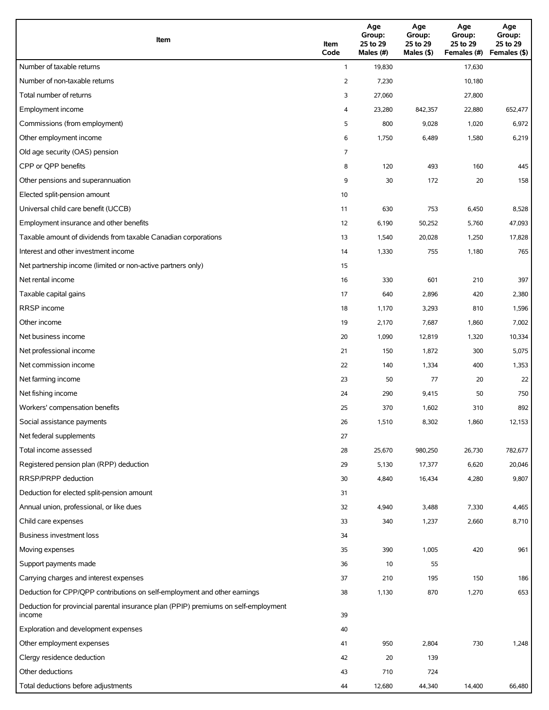| Item                                                                                          | Item<br>Code | Age<br>Group:<br>25 to 29<br>Males (#) | Age<br>Group:<br>25 to 29<br>Males (\$) | Age<br>Group:<br>25 to 29<br>Females (#) | Age<br>Group:<br>25 to 29<br>Females (\$) |
|-----------------------------------------------------------------------------------------------|--------------|----------------------------------------|-----------------------------------------|------------------------------------------|-------------------------------------------|
| Number of taxable returns                                                                     | $\mathbf{1}$ | 19,830                                 |                                         | 17,630                                   |                                           |
| Number of non-taxable returns                                                                 | 2            | 7,230                                  |                                         | 10,180                                   |                                           |
| Total number of returns                                                                       | 3            | 27,060                                 |                                         | 27,800                                   |                                           |
| Employment income                                                                             | 4            | 23,280                                 | 842,357                                 | 22,880                                   | 652,477                                   |
| Commissions (from employment)                                                                 | 5            | 800                                    | 9,028                                   | 1,020                                    | 6,972                                     |
| Other employment income                                                                       | 6            | 1,750                                  | 6,489                                   | 1,580                                    | 6,219                                     |
| Old age security (OAS) pension                                                                | 7            |                                        |                                         |                                          |                                           |
| CPP or QPP benefits                                                                           | 8            | 120                                    | 493                                     | 160                                      | 445                                       |
| Other pensions and superannuation                                                             | 9            | 30                                     | 172                                     | 20                                       | 158                                       |
| Elected split-pension amount                                                                  | 10           |                                        |                                         |                                          |                                           |
| Universal child care benefit (UCCB)                                                           | 11           | 630                                    | 753                                     | 6,450                                    | 8,528                                     |
| Employment insurance and other benefits                                                       | 12           | 6,190                                  | 50,252                                  | 5,760                                    | 47,093                                    |
| Taxable amount of dividends from taxable Canadian corporations                                | 13           | 1,540                                  | 20,028                                  | 1,250                                    | 17,828                                    |
| Interest and other investment income                                                          | 14           | 1,330                                  | 755                                     | 1,180                                    | 765                                       |
| Net partnership income (limited or non-active partners only)                                  | 15           |                                        |                                         |                                          |                                           |
| Net rental income                                                                             | 16           | 330                                    | 601                                     | 210                                      | 397                                       |
| Taxable capital gains                                                                         | 17           | 640                                    | 2,896                                   | 420                                      | 2,380                                     |
| <b>RRSP</b> income                                                                            | 18           | 1,170                                  | 3,293                                   | 810                                      | 1,596                                     |
| Other income                                                                                  | 19           | 2,170                                  | 7,687                                   | 1,860                                    | 7,002                                     |
| Net business income                                                                           | 20           | 1,090                                  | 12,819                                  | 1,320                                    | 10,334                                    |
| Net professional income                                                                       | 21           | 150                                    | 1,872                                   | 300                                      | 5,075                                     |
| Net commission income                                                                         | 22           | 140                                    | 1,334                                   | 400                                      | 1,353                                     |
| Net farming income                                                                            | 23           | 50                                     | 77                                      | 20                                       | 22                                        |
| Net fishing income                                                                            | 24           | 290                                    | 9,415                                   | 50                                       | 750                                       |
| Workers' compensation benefits                                                                | 25           | 370                                    | 1,602                                   | 310                                      | 892                                       |
| Social assistance payments                                                                    | 26           | 1,510                                  | 8,302                                   | 1,860                                    | 12,153                                    |
| Net federal supplements                                                                       | 27           |                                        |                                         |                                          |                                           |
| Total income assessed                                                                         | 28           | 25,670                                 | 980,250                                 | 26,730                                   | 782,677                                   |
| Registered pension plan (RPP) deduction                                                       | 29           | 5,130                                  | 17,377                                  | 6,620                                    | 20,046                                    |
| RRSP/PRPP deduction                                                                           | 30           | 4,840                                  | 16,434                                  | 4,280                                    | 9,807                                     |
| Deduction for elected split-pension amount                                                    | 31           |                                        |                                         |                                          |                                           |
| Annual union, professional, or like dues                                                      | 32           | 4,940                                  | 3,488                                   | 7,330                                    | 4,465                                     |
| Child care expenses                                                                           | 33           | 340                                    | 1,237                                   | 2,660                                    | 8,710                                     |
| Business investment loss                                                                      | 34           |                                        |                                         |                                          |                                           |
| Moving expenses                                                                               | 35           | 390                                    | 1,005                                   | 420                                      | 961                                       |
| Support payments made                                                                         | 36           | 10                                     | 55                                      |                                          |                                           |
| Carrying charges and interest expenses                                                        | 37           | 210                                    | 195                                     | 150                                      | 186                                       |
| Deduction for CPP/QPP contributions on self-employment and other earnings                     | 38           | 1,130                                  | 870                                     | 1,270                                    | 653                                       |
| Deduction for provincial parental insurance plan (PPIP) premiums on self-employment<br>income | 39           |                                        |                                         |                                          |                                           |
| Exploration and development expenses                                                          | 40           |                                        |                                         |                                          |                                           |
| Other employment expenses                                                                     | 41           | 950                                    | 2,804                                   | 730                                      | 1,248                                     |
| Clergy residence deduction                                                                    | 42           | 20                                     | 139                                     |                                          |                                           |
| Other deductions                                                                              | 43           | 710                                    | 724                                     |                                          |                                           |
| Total deductions before adjustments                                                           | 44           | 12,680                                 | 44,340                                  | 14,400                                   | 66,480                                    |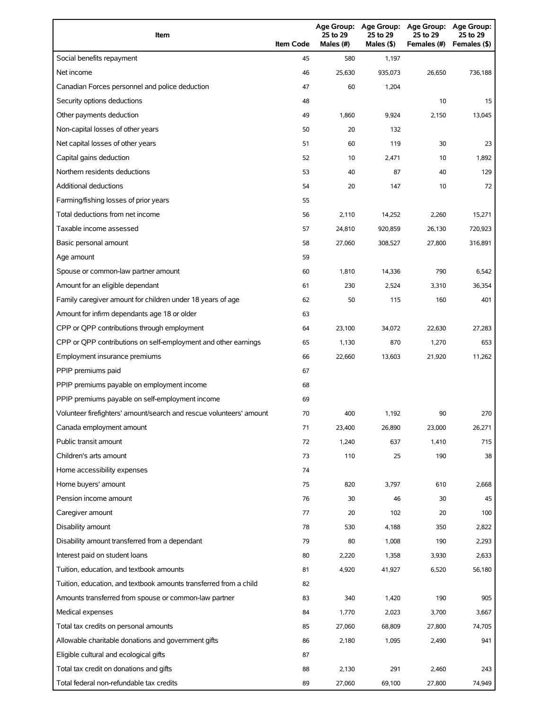| Item                                                                | <b>Item Code</b> | 25 to 29<br>Males (#) | Age Group: Age Group:<br>25 to 29<br>Males (\$) | <b>Age Group:</b><br>25 to 29<br>Females (#) | <b>Age Group:</b><br>25 to 29<br>Females (\$) |
|---------------------------------------------------------------------|------------------|-----------------------|-------------------------------------------------|----------------------------------------------|-----------------------------------------------|
| Social benefits repayment                                           | 45               | 580                   | 1,197                                           |                                              |                                               |
| Net income                                                          | 46               | 25,630                | 935,073                                         | 26,650                                       | 736,188                                       |
| Canadian Forces personnel and police deduction                      | 47               | 60                    | 1,204                                           |                                              |                                               |
| Security options deductions                                         | 48               |                       |                                                 | 10                                           | 15                                            |
| Other payments deduction                                            | 49               | 1,860                 | 9,924                                           | 2,150                                        | 13,045                                        |
| Non-capital losses of other years                                   | 50               | 20                    | 132                                             |                                              |                                               |
| Net capital losses of other years                                   | 51               | 60                    | 119                                             | 30                                           | 23                                            |
| Capital gains deduction                                             | 52               | 10                    | 2,471                                           | 10                                           | 1,892                                         |
| Northern residents deductions                                       | 53               | 40                    | 87                                              | 40                                           | 129                                           |
| <b>Additional deductions</b>                                        | 54               | 20                    | 147                                             | 10                                           | 72                                            |
| Farming/fishing losses of prior years                               | 55               |                       |                                                 |                                              |                                               |
| Total deductions from net income                                    | 56               | 2,110                 | 14,252                                          | 2,260                                        | 15,271                                        |
| Taxable income assessed                                             | 57               | 24,810                | 920,859                                         | 26,130                                       | 720,923                                       |
| Basic personal amount                                               | 58               | 27,060                | 308,527                                         | 27,800                                       | 316,891                                       |
| Age amount                                                          | 59               |                       |                                                 |                                              |                                               |
| Spouse or common-law partner amount                                 | 60               | 1,810                 | 14,336                                          | 790                                          | 6,542                                         |
| Amount for an eligible dependant                                    | 61               | 230                   | 2,524                                           | 3,310                                        | 36,354                                        |
| Family caregiver amount for children under 18 years of age          | 62               | 50                    | 115                                             | 160                                          | 401                                           |
| Amount for infirm dependants age 18 or older                        | 63               |                       |                                                 |                                              |                                               |
| CPP or QPP contributions through employment                         | 64               | 23,100                | 34,072                                          | 22,630                                       | 27,283                                        |
| CPP or QPP contributions on self-employment and other earnings      | 65               | 1,130                 | 870                                             | 1,270                                        | 653                                           |
| Employment insurance premiums                                       | 66               | 22,660                | 13,603                                          | 21,920                                       | 11,262                                        |
| PPIP premiums paid                                                  | 67               |                       |                                                 |                                              |                                               |
| PPIP premiums payable on employment income                          | 68               |                       |                                                 |                                              |                                               |
| PPIP premiums payable on self-employment income                     | 69               |                       |                                                 |                                              |                                               |
| Volunteer firefighters' amount/search and rescue volunteers' amount | 70               | 400                   | 1,192                                           | 90                                           | 270                                           |
| Canada employment amount                                            | 71               | 23,400                | 26,890                                          | 23,000                                       | 26,271                                        |
| Public transit amount                                               | 72               | 1,240                 | 637                                             | 1,410                                        | 715                                           |
| Children's arts amount                                              | 73               | 110                   | 25                                              | 190                                          | 38                                            |
| Home accessibility expenses                                         | 74               |                       |                                                 |                                              |                                               |
| Home buyers' amount                                                 | 75               | 820                   | 3,797                                           | 610                                          | 2,668                                         |
| Pension income amount                                               | 76               | 30                    | 46                                              | 30                                           | 45                                            |
| Caregiver amount                                                    | 77               | 20                    | 102                                             | 20                                           | 100                                           |
| Disability amount                                                   | 78               | 530                   | 4,188                                           | 350                                          | 2,822                                         |
| Disability amount transferred from a dependant                      | 79               | 80                    | 1,008                                           | 190                                          | 2,293                                         |
| Interest paid on student loans                                      | 80               | 2,220                 | 1,358                                           | 3,930                                        | 2,633                                         |
| Tuition, education, and textbook amounts                            | 81               | 4,920                 | 41,927                                          | 6,520                                        | 56,180                                        |
| Tuition, education, and textbook amounts transferred from a child   | 82               |                       |                                                 |                                              |                                               |
| Amounts transferred from spouse or common-law partner               | 83               | 340                   | 1,420                                           | 190                                          | 905                                           |
| Medical expenses                                                    | 84               | 1,770                 | 2,023                                           | 3,700                                        | 3,667                                         |
| Total tax credits on personal amounts                               | 85               | 27,060                | 68,809                                          | 27,800                                       | 74,705                                        |
| Allowable charitable donations and government gifts                 | 86               | 2,180                 | 1,095                                           | 2,490                                        | 941                                           |
| Eligible cultural and ecological gifts                              | 87               |                       |                                                 |                                              |                                               |
| Total tax credit on donations and gifts                             | 88               | 2,130                 | 291                                             | 2,460                                        | 243                                           |
| Total federal non-refundable tax credits                            | 89               | 27,060                | 69,100                                          | 27,800                                       | 74,949                                        |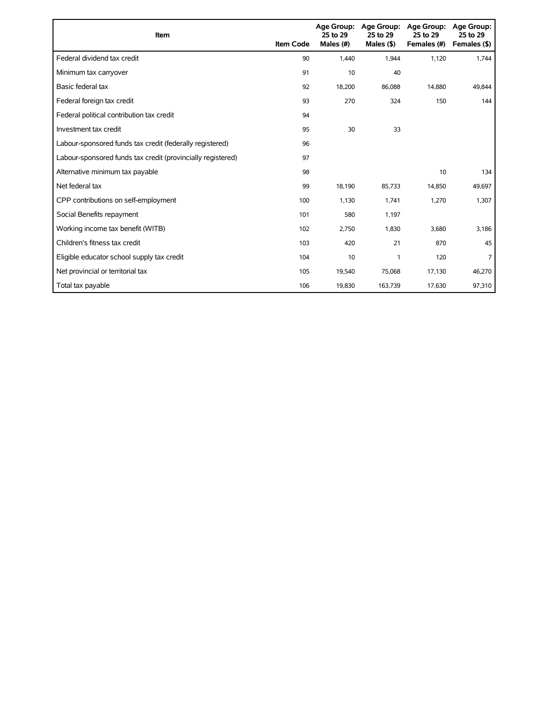| Item                                                        | <b>Item Code</b> | 25 to 29<br>Males (#) | Age Group: Age Group:<br>25 to 29<br>Males $(§)$ | <b>Age Group:</b><br>25 to 29<br>Females (#) | Age Group:<br>25 to 29<br>Females (\$) |
|-------------------------------------------------------------|------------------|-----------------------|--------------------------------------------------|----------------------------------------------|----------------------------------------|
| Federal dividend tax credit                                 | 90               | 1,440                 | 1,944                                            | 1,120                                        | 1,744                                  |
| Minimum tax carryover                                       | 91               | 10                    | 40                                               |                                              |                                        |
| Basic federal tax                                           | 92               | 18,200                | 86,088                                           | 14,880                                       | 49.844                                 |
| Federal foreign tax credit                                  | 93               | 270                   | 324                                              | 150                                          | 144                                    |
| Federal political contribution tax credit                   | 94               |                       |                                                  |                                              |                                        |
| Investment tax credit                                       | 95               | 30                    | 33                                               |                                              |                                        |
| Labour-sponsored funds tax credit (federally registered)    | 96               |                       |                                                  |                                              |                                        |
| Labour-sponsored funds tax credit (provincially registered) | 97               |                       |                                                  |                                              |                                        |
| Alternative minimum tax payable                             | 98               |                       |                                                  | 10                                           | 134                                    |
| Net federal tax                                             | 99               | 18,190                | 85,733                                           | 14,850                                       | 49,697                                 |
| CPP contributions on self-employment                        | 100              | 1,130                 | 1,741                                            | 1,270                                        | 1,307                                  |
| Social Benefits repayment                                   | 101              | 580                   | 1,197                                            |                                              |                                        |
| Working income tax benefit (WITB)                           | 102              | 2,750                 | 1,830                                            | 3,680                                        | 3,186                                  |
| Children's fitness tax credit                               | 103              | 420                   | 21                                               | 870                                          | 45                                     |
| Eligible educator school supply tax credit                  | 104              | 10                    | 1                                                | 120                                          | 7                                      |
| Net provincial or territorial tax                           | 105              | 19,540                | 75,068                                           | 17,130                                       | 46,270                                 |
| Total tax payable                                           | 106              | 19,830                | 163,739                                          | 17,630                                       | 97,310                                 |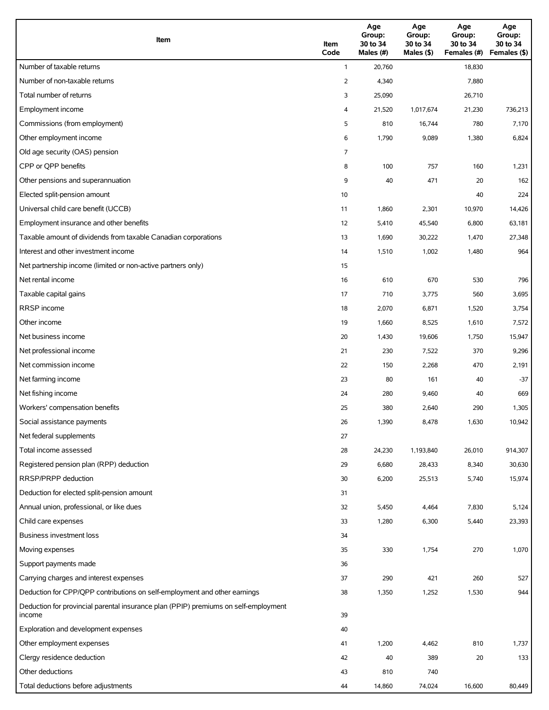| Item                                                                                          | Item<br>Code   | Age<br>Group:<br>30 to 34<br>Males (#) | Age<br>Group:<br>30 to 34<br>Males (\$) | Age<br>Group:<br>30 to 34<br>Females (#) | Age<br>Group:<br>30 to 34<br>Females (\$) |
|-----------------------------------------------------------------------------------------------|----------------|----------------------------------------|-----------------------------------------|------------------------------------------|-------------------------------------------|
| Number of taxable returns                                                                     | $\mathbf{1}$   | 20,760                                 |                                         | 18,830                                   |                                           |
| Number of non-taxable returns                                                                 | $\overline{2}$ | 4,340                                  |                                         | 7,880                                    |                                           |
| Total number of returns                                                                       | 3              | 25,090                                 |                                         | 26,710                                   |                                           |
| Employment income                                                                             | 4              | 21,520                                 | 1,017,674                               | 21,230                                   | 736,213                                   |
| Commissions (from employment)                                                                 | 5              | 810                                    | 16,744                                  | 780                                      | 7,170                                     |
| Other employment income                                                                       | 6              | 1,790                                  | 9,089                                   | 1,380                                    | 6,824                                     |
| Old age security (OAS) pension                                                                | 7              |                                        |                                         |                                          |                                           |
| CPP or QPP benefits                                                                           | 8              | 100                                    | 757                                     | 160                                      | 1,231                                     |
| Other pensions and superannuation                                                             | 9              | 40                                     | 471                                     | 20                                       | 162                                       |
| Elected split-pension amount                                                                  | 10             |                                        |                                         | 40                                       | 224                                       |
| Universal child care benefit (UCCB)                                                           | 11             | 1,860                                  | 2,301                                   | 10,970                                   | 14,426                                    |
| Employment insurance and other benefits                                                       | 12             | 5,410                                  | 45,540                                  | 6,800                                    | 63,181                                    |
| Taxable amount of dividends from taxable Canadian corporations                                | 13             | 1,690                                  | 30,222                                  | 1,470                                    | 27,348                                    |
| Interest and other investment income                                                          | 14             | 1,510                                  | 1,002                                   | 1,480                                    | 964                                       |
| Net partnership income (limited or non-active partners only)                                  | 15             |                                        |                                         |                                          |                                           |
| Net rental income                                                                             | 16             | 610                                    | 670                                     | 530                                      | 796                                       |
| Taxable capital gains                                                                         | 17             | 710                                    | 3,775                                   | 560                                      | 3,695                                     |
| <b>RRSP</b> income                                                                            | 18             | 2,070                                  | 6,871                                   | 1,520                                    | 3,754                                     |
| Other income                                                                                  | 19             | 1,660                                  | 8,525                                   | 1,610                                    | 7,572                                     |
| Net business income                                                                           | 20             | 1,430                                  | 19,606                                  | 1,750                                    | 15,947                                    |
| Net professional income                                                                       | 21             | 230                                    | 7,522                                   | 370                                      | 9,296                                     |
| Net commission income                                                                         | 22             | 150                                    | 2,268                                   | 470                                      | 2,191                                     |
| Net farming income                                                                            | 23             | 80                                     | 161                                     | 40                                       | $-37$                                     |
| Net fishing income                                                                            | 24             | 280                                    | 9,460                                   | 40                                       | 669                                       |
| Workers' compensation benefits                                                                | 25             | 380                                    | 2,640                                   | 290                                      | 1,305                                     |
| Social assistance payments                                                                    | 26             | 1,390                                  | 8,478                                   | 1,630                                    | 10,942                                    |
| Net federal supplements                                                                       | 27             |                                        |                                         |                                          |                                           |
| Total income assessed                                                                         | 28             | 24,230                                 | 1,193,840                               | 26,010                                   | 914,307                                   |
| Registered pension plan (RPP) deduction                                                       | 29             | 6,680                                  | 28,433                                  | 8,340                                    | 30,630                                    |
| RRSP/PRPP deduction                                                                           | 30             | 6,200                                  | 25,513                                  | 5,740                                    | 15,974                                    |
| Deduction for elected split-pension amount                                                    | 31             |                                        |                                         |                                          |                                           |
| Annual union, professional, or like dues                                                      | 32             | 5,450                                  | 4,464                                   | 7,830                                    | 5,124                                     |
| Child care expenses                                                                           | 33             | 1,280                                  | 6,300                                   | 5,440                                    | 23,393                                    |
| Business investment loss                                                                      | 34             |                                        |                                         |                                          |                                           |
| Moving expenses                                                                               | 35             | 330                                    | 1,754                                   | 270                                      | 1,070                                     |
| Support payments made                                                                         | 36             |                                        |                                         |                                          |                                           |
| Carrying charges and interest expenses                                                        | 37             | 290                                    | 421                                     | 260                                      | 527                                       |
| Deduction for CPP/QPP contributions on self-employment and other earnings                     | 38             | 1,350                                  | 1,252                                   | 1,530                                    | 944                                       |
| Deduction for provincial parental insurance plan (PPIP) premiums on self-employment<br>income | 39             |                                        |                                         |                                          |                                           |
| Exploration and development expenses                                                          | 40             |                                        |                                         |                                          |                                           |
| Other employment expenses                                                                     | 41             | 1,200                                  | 4,462                                   | 810                                      | 1,737                                     |
| Clergy residence deduction                                                                    | 42             | 40                                     | 389                                     | 20                                       | 133                                       |
| Other deductions                                                                              | 43             | 810                                    | 740                                     |                                          |                                           |
| Total deductions before adjustments                                                           | 44             | 14,860                                 | 74,024                                  | 16,600                                   | 80,449                                    |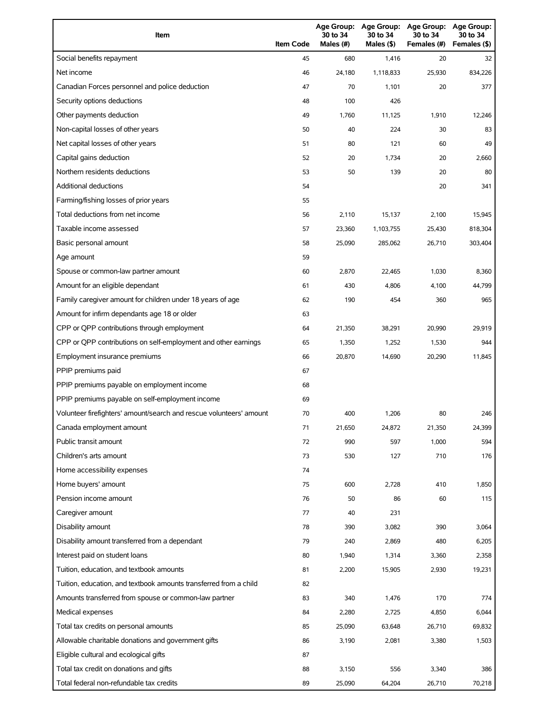| Item                                                                | <b>Item Code</b> | 30 to 34<br>Males (#) | 30 to 34<br>Males (\$) | Age Group: Age Group: Age Group:<br>30 to 34<br>Females (#) | Age Group:<br>30 to 34<br>Females (\$) |
|---------------------------------------------------------------------|------------------|-----------------------|------------------------|-------------------------------------------------------------|----------------------------------------|
| Social benefits repayment                                           | 45               | 680                   | 1,416                  | 20                                                          | 32                                     |
| Net income                                                          | 46               | 24,180                | 1,118,833              | 25,930                                                      | 834,226                                |
| Canadian Forces personnel and police deduction                      | 47               | 70                    | 1,101                  | 20                                                          | 377                                    |
| Security options deductions                                         | 48               | 100                   | 426                    |                                                             |                                        |
| Other payments deduction                                            | 49               | 1,760                 | 11,125                 | 1,910                                                       | 12,246                                 |
| Non-capital losses of other years                                   | 50               | 40                    | 224                    | 30                                                          | 83                                     |
| Net capital losses of other years                                   | 51               | 80                    | 121                    | 60                                                          | 49                                     |
| Capital gains deduction                                             | 52               | 20                    | 1,734                  | 20                                                          | 2,660                                  |
| Northern residents deductions                                       | 53               | 50                    | 139                    | 20                                                          | 80                                     |
| Additional deductions                                               | 54               |                       |                        | 20                                                          | 341                                    |
| Farming/fishing losses of prior years                               | 55               |                       |                        |                                                             |                                        |
| Total deductions from net income                                    | 56               | 2,110                 | 15,137                 | 2,100                                                       | 15,945                                 |
| Taxable income assessed                                             | 57               | 23,360                | 1,103,755              | 25,430                                                      | 818,304                                |
| Basic personal amount                                               | 58               | 25,090                | 285,062                | 26.710                                                      | 303,404                                |
| Age amount                                                          | 59               |                       |                        |                                                             |                                        |
| Spouse or common-law partner amount                                 | 60               | 2,870                 | 22.465                 | 1,030                                                       | 8,360                                  |
| Amount for an eligible dependant                                    | 61               | 430                   | 4,806                  | 4,100                                                       | 44,799                                 |
| Family caregiver amount for children under 18 years of age          | 62               | 190                   | 454                    | 360                                                         | 965                                    |
| Amount for infirm dependants age 18 or older                        | 63               |                       |                        |                                                             |                                        |
| CPP or QPP contributions through employment                         | 64               | 21,350                | 38,291                 | 20,990                                                      | 29,919                                 |
| CPP or QPP contributions on self-employment and other earnings      | 65               | 1,350                 | 1,252                  | 1,530                                                       | 944                                    |
| Employment insurance premiums                                       | 66               | 20,870                | 14,690                 | 20,290                                                      | 11,845                                 |
| PPIP premiums paid                                                  | 67               |                       |                        |                                                             |                                        |
| PPIP premiums payable on employment income                          | 68               |                       |                        |                                                             |                                        |
| PPIP premiums payable on self-employment income                     | 69               |                       |                        |                                                             |                                        |
| Volunteer firefighters' amount/search and rescue volunteers' amount | 70               | 400                   | 1,206                  | 80                                                          | 246                                    |
| Canada employment amount                                            | 71               | 21,650                | 24,872                 | 21,350                                                      | 24,399                                 |
| Public transit amount                                               | 72               | 990                   | 597                    | 1,000                                                       | 594                                    |
| Children's arts amount                                              | 73               | 530                   | 127                    | 710                                                         | 176                                    |
| Home accessibility expenses                                         | 74               |                       |                        |                                                             |                                        |
| Home buyers' amount                                                 | 75               | 600                   | 2,728                  | 410                                                         | 1,850                                  |
| Pension income amount                                               | 76               | 50                    | 86                     | 60                                                          | 115                                    |
| Caregiver amount                                                    | 77               | 40                    | 231                    |                                                             |                                        |
| Disability amount                                                   | 78               | 390                   | 3,082                  | 390                                                         | 3,064                                  |
| Disability amount transferred from a dependant                      | 79               | 240                   | 2,869                  | 480                                                         | 6,205                                  |
| Interest paid on student loans                                      | 80               | 1,940                 | 1,314                  | 3,360                                                       | 2,358                                  |
| Tuition, education, and textbook amounts                            | 81               | 2,200                 | 15,905                 | 2,930                                                       | 19,231                                 |
| Tuition, education, and textbook amounts transferred from a child   | 82               |                       |                        |                                                             |                                        |
| Amounts transferred from spouse or common-law partner               | 83               | 340                   | 1,476                  | 170                                                         | 774                                    |
| Medical expenses                                                    | 84               | 2,280                 | 2,725                  | 4,850                                                       | 6,044                                  |
| Total tax credits on personal amounts                               | 85               | 25,090                | 63,648                 | 26,710                                                      | 69,832                                 |
| Allowable charitable donations and government gifts                 | 86               | 3,190                 | 2,081                  | 3,380                                                       | 1,503                                  |
| Eligible cultural and ecological gifts                              | 87               |                       |                        |                                                             |                                        |
| Total tax credit on donations and gifts                             | 88               | 3,150                 | 556                    | 3,340                                                       | 386                                    |
| Total federal non-refundable tax credits                            | 89               | 25,090                | 64,204                 | 26,710                                                      | 70,218                                 |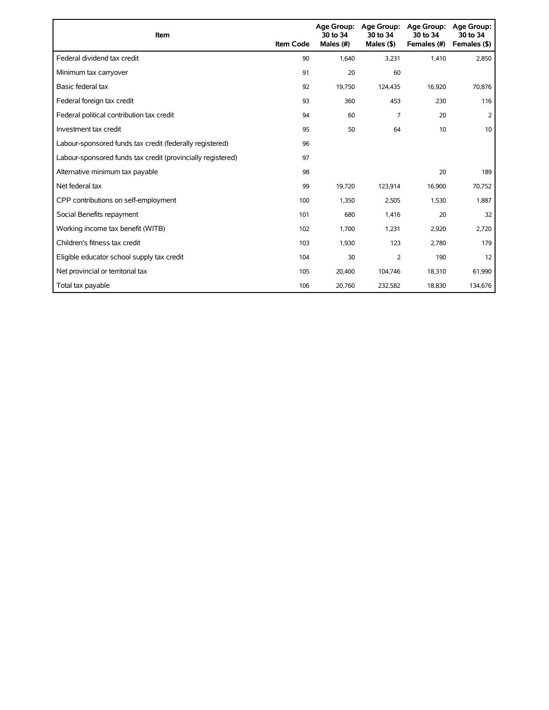| Item                                                        | <b>Item Code</b> | 30 to 34<br>Males (#) | Age Group: Age Group:<br>30 to 34<br>Males $($ \$) | Age Group:<br>30 to 34<br>Females (#) | Age Group:<br>30 to 34<br>Females (\$) |
|-------------------------------------------------------------|------------------|-----------------------|----------------------------------------------------|---------------------------------------|----------------------------------------|
| Federal dividend tax credit                                 | 90               | 1,640                 | 3,231                                              | 1,410                                 | 2,850                                  |
| Minimum tax carryover                                       | 91               | 20                    | 60                                                 |                                       |                                        |
| Basic federal tax                                           | 92               | 19,750                | 124,435                                            | 16,920                                | 70,876                                 |
| Federal foreign tax credit                                  | 93               | 360                   | 453                                                | 230                                   | 116                                    |
| Federal political contribution tax credit                   | 94               | 60                    | 7                                                  | 20                                    | 2                                      |
| Investment tax credit                                       | 95               | 50                    | 64                                                 | 10                                    | 10                                     |
| Labour-sponsored funds tax credit (federally registered)    | 96               |                       |                                                    |                                       |                                        |
| Labour-sponsored funds tax credit (provincially registered) | 97               |                       |                                                    |                                       |                                        |
| Alternative minimum tax payable                             | 98               |                       |                                                    | 20                                    | 189                                    |
| Net federal tax                                             | 99               | 19,720                | 123,914                                            | 16,900                                | 70,752                                 |
| CPP contributions on self-employment                        | 100              | 1,350                 | 2,505                                              | 1,530                                 | 1,887                                  |
| Social Benefits repayment                                   | 101              | 680                   | 1,416                                              | 20                                    | 32                                     |
| Working income tax benefit (WITB)                           | 102              | 1,700                 | 1,231                                              | 2,920                                 | 2,720                                  |
| Children's fitness tax credit                               | 103              | 1,930                 | 123                                                | 2,780                                 | 179                                    |
| Eligible educator school supply tax credit                  | 104              | 30                    | $\overline{2}$                                     | 190                                   | 12                                     |
| Net provincial or territorial tax                           | 105              | 20,400                | 104,746                                            | 18,310                                | 61,990                                 |
| Total tax payable                                           | 106              | 20,760                | 232,582                                            | 18,830                                | 134,676                                |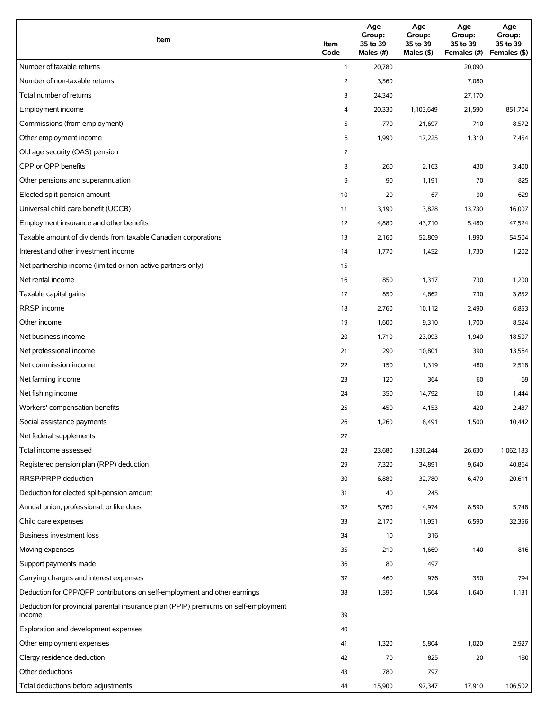| Item                                                                                          | Item<br>Code   | Age<br>Group:<br>35 to 39<br>Males (#) | Age<br>Group:<br>35 to 39<br>Males (\$) | Age<br>Group:<br>35 to 39<br>Females (#) | Age<br>Group:<br>35 to 39<br>Females (\$) |
|-----------------------------------------------------------------------------------------------|----------------|----------------------------------------|-----------------------------------------|------------------------------------------|-------------------------------------------|
| Number of taxable returns                                                                     | $\mathbf{1}$   | 20,780                                 |                                         | 20,090                                   |                                           |
| Number of non-taxable returns                                                                 | $\overline{2}$ | 3,560                                  |                                         | 7,080                                    |                                           |
| Total number of returns                                                                       | 3              | 24,340                                 |                                         | 27,170                                   |                                           |
| Employment income                                                                             | 4              | 20,330                                 | 1,103,649                               | 21,590                                   | 851,704                                   |
| Commissions (from employment)                                                                 | 5              | 770                                    | 21,697                                  | 710                                      | 8,572                                     |
| Other employment income                                                                       | 6              | 1,990                                  | 17,225                                  | 1,310                                    | 7,454                                     |
| Old age security (OAS) pension                                                                | 7              |                                        |                                         |                                          |                                           |
| CPP or QPP benefits                                                                           | 8              | 260                                    | 2,163                                   | 430                                      | 3,400                                     |
| Other pensions and superannuation                                                             | 9              | 90                                     | 1,191                                   | 70                                       | 825                                       |
| Elected split-pension amount                                                                  | 10             | 20                                     | 67                                      | 90                                       | 629                                       |
| Universal child care benefit (UCCB)                                                           | 11             | 3,190                                  | 3,828                                   | 13,730                                   | 16,007                                    |
| Employment insurance and other benefits                                                       | 12             | 4,880                                  | 43,710                                  | 5,480                                    | 47,524                                    |
| Taxable amount of dividends from taxable Canadian corporations                                | 13             | 2,160                                  | 52,809                                  | 1,990                                    | 54,504                                    |
| Interest and other investment income                                                          | 14             | 1,770                                  | 1,452                                   | 1,730                                    | 1,202                                     |
| Net partnership income (limited or non-active partners only)                                  | 15             |                                        |                                         |                                          |                                           |
| Net rental income                                                                             | 16             | 850                                    | 1,317                                   | 730                                      | 1,200                                     |
| Taxable capital gains                                                                         | 17             | 850                                    | 4,662                                   | 730                                      | 3,852                                     |
| <b>RRSP</b> income                                                                            | 18             | 2,760                                  | 10,112                                  | 2,490                                    | 6,853                                     |
| Other income                                                                                  | 19             | 1,600                                  | 9,310                                   | 1,700                                    | 8,524                                     |
| Net business income                                                                           | 20             | 1,710                                  | 23,093                                  | 1,940                                    | 18,507                                    |
| Net professional income                                                                       | 21             | 290                                    | 10,801                                  | 390                                      | 13,564                                    |
| Net commission income                                                                         | 22             | 150                                    | 1,319                                   | 480                                      | 2,518                                     |
| Net farming income                                                                            | 23             | 120                                    | 364                                     | 60                                       | $-69$                                     |
| Net fishing income                                                                            | 24             | 350                                    | 14,792                                  | 60                                       | 1,444                                     |
| Workers' compensation benefits                                                                | 25             | 450                                    | 4,153                                   | 420                                      | 2,437                                     |
| Social assistance payments                                                                    | 26             | 1,260                                  | 8,491                                   | 1,500                                    | 10,442                                    |
| Net federal supplements                                                                       | 27             |                                        |                                         |                                          |                                           |
| Total income assessed                                                                         | 28             | 23,680                                 | 1,336,244                               | 26,630                                   | 1,062,183                                 |
| Registered pension plan (RPP) deduction                                                       | 29             | 7,320                                  | 34,891                                  | 9,640                                    | 40,864                                    |
| RRSP/PRPP deduction                                                                           | 30             | 6,880                                  | 32,780                                  | 6,470                                    | 20,611                                    |
| Deduction for elected split-pension amount                                                    | 31             | 40                                     | 245                                     |                                          |                                           |
| Annual union, professional, or like dues                                                      | 32             | 5,760                                  | 4,974                                   | 8,590                                    | 5,748                                     |
| Child care expenses                                                                           | 33             | 2,170                                  | 11,951                                  | 6,590                                    | 32,356                                    |
| Business investment loss                                                                      | 34             | 10                                     | 316                                     |                                          |                                           |
| Moving expenses                                                                               | 35             | 210                                    | 1,669                                   | 140                                      | 816                                       |
| Support payments made                                                                         | 36             | 80                                     | 497                                     |                                          |                                           |
| Carrying charges and interest expenses                                                        | 37             | 460                                    | 976                                     | 350                                      | 794                                       |
| Deduction for CPP/QPP contributions on self-employment and other earnings                     | 38             | 1,590                                  | 1,564                                   | 1,640                                    | 1,131                                     |
| Deduction for provincial parental insurance plan (PPIP) premiums on self-employment<br>income | 39             |                                        |                                         |                                          |                                           |
| Exploration and development expenses                                                          | 40             |                                        |                                         |                                          |                                           |
| Other employment expenses                                                                     | 41             | 1,320                                  | 5,804                                   | 1,020                                    | 2,927                                     |
| Clergy residence deduction                                                                    | 42             | 70                                     | 825                                     | 20                                       | 180                                       |
| Other deductions                                                                              | 43             | 780                                    | 797                                     |                                          |                                           |
| Total deductions before adjustments                                                           | 44             | 15,900                                 | 97,347                                  | 17,910                                   | 106,502                                   |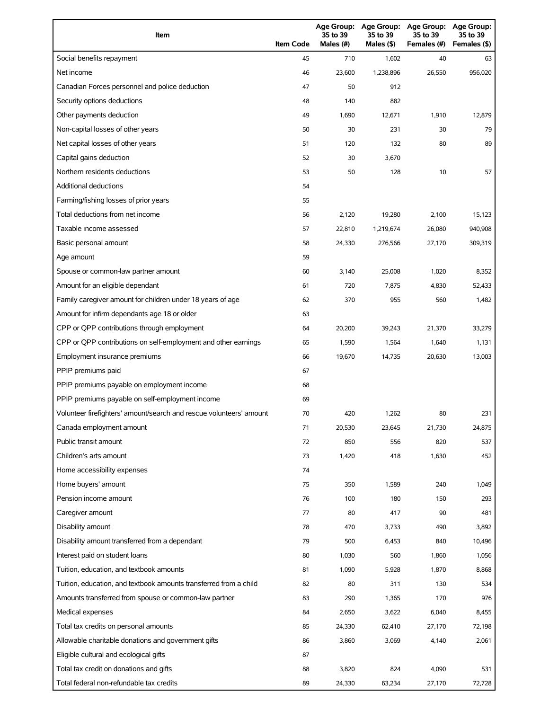| Item                                                                | <b>Item Code</b> | 35 to 39<br>Males $(H)$ | Age Group: Age Group:<br>35 to 39<br>Males (\$) | <b>Age Group:</b><br>35 to 39<br>Females (#) | Age Group:<br>35 to 39<br>Females (\$) |
|---------------------------------------------------------------------|------------------|-------------------------|-------------------------------------------------|----------------------------------------------|----------------------------------------|
| Social benefits repayment                                           | 45               | 710                     | 1,602                                           | 40                                           | 63                                     |
| Net income                                                          | 46               | 23.600                  | 1,238,896                                       | 26,550                                       | 956,020                                |
| Canadian Forces personnel and police deduction                      | 47               | 50                      | 912                                             |                                              |                                        |
| Security options deductions                                         | 48               | 140                     | 882                                             |                                              |                                        |
| Other payments deduction                                            | 49               | 1,690                   | 12,671                                          | 1,910                                        | 12,879                                 |
| Non-capital losses of other years                                   | 50               | 30                      | 231                                             | 30                                           | 79                                     |
| Net capital losses of other years                                   | 51               | 120                     | 132                                             | 80                                           | 89                                     |
| Capital gains deduction                                             | 52               | 30                      | 3,670                                           |                                              |                                        |
| Northern residents deductions                                       | 53               | 50                      | 128                                             | 10                                           | 57                                     |
| <b>Additional deductions</b>                                        | 54               |                         |                                                 |                                              |                                        |
| Farming/fishing losses of prior years                               | 55               |                         |                                                 |                                              |                                        |
| Total deductions from net income                                    | 56               | 2,120                   | 19,280                                          | 2,100                                        | 15,123                                 |
| Taxable income assessed                                             | 57               | 22,810                  | 1,219,674                                       | 26,080                                       | 940,908                                |
| Basic personal amount                                               | 58               | 24,330                  | 276,566                                         | 27,170                                       | 309,319                                |
| Age amount                                                          | 59               |                         |                                                 |                                              |                                        |
| Spouse or common-law partner amount                                 | 60               | 3,140                   | 25,008                                          | 1,020                                        | 8,352                                  |
| Amount for an eligible dependant                                    | 61               | 720                     | 7,875                                           | 4,830                                        | 52,433                                 |
| Family caregiver amount for children under 18 years of age          | 62               | 370                     | 955                                             | 560                                          | 1,482                                  |
| Amount for infirm dependants age 18 or older                        | 63               |                         |                                                 |                                              |                                        |
| CPP or QPP contributions through employment                         | 64               | 20,200                  | 39,243                                          | 21,370                                       | 33,279                                 |
| CPP or QPP contributions on self-employment and other earnings      | 65               | 1,590                   | 1,564                                           | 1,640                                        | 1,131                                  |
| Employment insurance premiums                                       | 66               | 19,670                  | 14,735                                          | 20,630                                       | 13,003                                 |
| PPIP premiums paid                                                  | 67               |                         |                                                 |                                              |                                        |
| PPIP premiums payable on employment income                          | 68               |                         |                                                 |                                              |                                        |
| PPIP premiums payable on self-employment income                     | 69               |                         |                                                 |                                              |                                        |
| Volunteer firefighters' amount/search and rescue volunteers' amount | 70               | 420                     | 1,262                                           | 80                                           | 231                                    |
| Canada employment amount                                            | 71               | 20,530                  | 23,645                                          | 21,730                                       | 24,875                                 |
| Public transit amount                                               | 72               | 850                     | 556                                             | 820                                          | 537                                    |
| Children's arts amount                                              | 73               | 1,420                   | 418                                             | 1,630                                        | 452                                    |
| Home accessibility expenses                                         | 74               |                         |                                                 |                                              |                                        |
| Home buyers' amount                                                 | 75               | 350                     | 1,589                                           | 240                                          | 1,049                                  |
| Pension income amount                                               | 76               | 100                     | 180                                             | 150                                          | 293                                    |
| Caregiver amount                                                    | 77               | 80                      | 417                                             | 90                                           | 481                                    |
| Disability amount                                                   | 78               | 470                     | 3,733                                           | 490                                          | 3,892                                  |
| Disability amount transferred from a dependant                      | 79               | 500                     | 6,453                                           | 840                                          | 10,496                                 |
| Interest paid on student loans                                      | 80               | 1,030                   | 560                                             | 1,860                                        | 1,056                                  |
| Tuition, education, and textbook amounts                            | 81               | 1,090                   | 5,928                                           | 1,870                                        | 8,868                                  |
| Tuition, education, and textbook amounts transferred from a child   | 82               | 80                      | 311                                             | 130                                          | 534                                    |
| Amounts transferred from spouse or common-law partner               | 83               | 290                     | 1,365                                           | 170                                          | 976                                    |
| Medical expenses                                                    | 84               | 2,650                   | 3,622                                           | 6,040                                        | 8,455                                  |
| Total tax credits on personal amounts                               | 85               | 24,330                  | 62,410                                          | 27,170                                       | 72,198                                 |
| Allowable charitable donations and government gifts                 | 86               | 3,860                   | 3,069                                           | 4,140                                        | 2,061                                  |
| Eligible cultural and ecological gifts                              | 87               |                         |                                                 |                                              |                                        |
| Total tax credit on donations and gifts                             | 88               | 3,820                   | 824                                             | 4,090                                        | 531                                    |
| Total federal non-refundable tax credits                            | 89               | 24,330                  | 63,234                                          | 27,170                                       | 72,728                                 |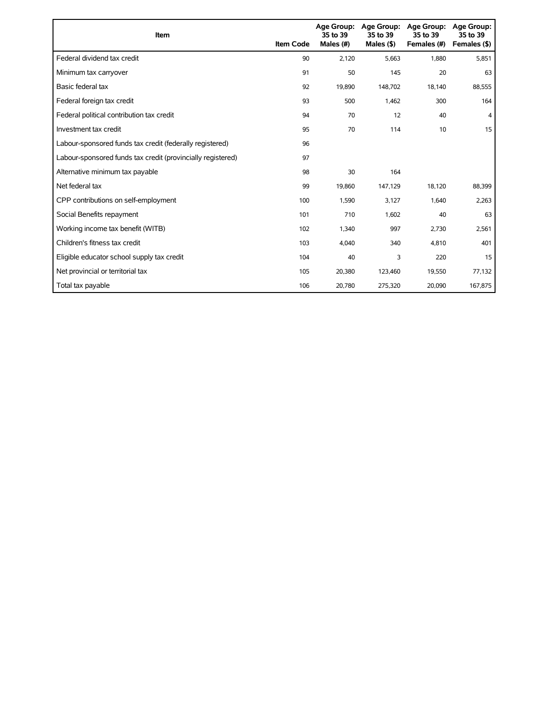| Item                                                        | <b>Item Code</b> | 35 to 39<br>Males (#) | Age Group: Age Group:<br>35 to 39<br>Males $(§)$ | Age Group:<br>35 to 39<br>Females (#) | Age Group:<br>35 to 39<br>Females (\$) |
|-------------------------------------------------------------|------------------|-----------------------|--------------------------------------------------|---------------------------------------|----------------------------------------|
| Federal dividend tax credit                                 | 90               | 2,120                 | 5,663                                            | 1,880                                 | 5,851                                  |
| Minimum tax carryover                                       | 91               | 50                    | 145                                              | 20                                    | 63                                     |
| Basic federal tax                                           | 92               | 19,890                | 148,702                                          | 18,140                                | 88,555                                 |
| Federal foreign tax credit                                  | 93               | 500                   | 1,462                                            | 300                                   | 164                                    |
| Federal political contribution tax credit                   | 94               | 70                    | 12                                               | 40                                    | 4                                      |
| Investment tax credit                                       | 95               | 70                    | 114                                              | 10                                    | 15                                     |
| Labour-sponsored funds tax credit (federally registered)    | 96               |                       |                                                  |                                       |                                        |
| Labour-sponsored funds tax credit (provincially registered) | 97               |                       |                                                  |                                       |                                        |
| Alternative minimum tax payable                             | 98               | 30                    | 164                                              |                                       |                                        |
| Net federal tax                                             | 99               | 19,860                | 147,129                                          | 18,120                                | 88,399                                 |
| CPP contributions on self-employment                        | 100              | 1,590                 | 3,127                                            | 1,640                                 | 2,263                                  |
| Social Benefits repayment                                   | 101              | 710                   | 1,602                                            | 40                                    | 63                                     |
| Working income tax benefit (WITB)                           | 102              | 1,340                 | 997                                              | 2,730                                 | 2,561                                  |
| Children's fitness tax credit                               | 103              | 4,040                 | 340                                              | 4,810                                 | 401                                    |
| Eligible educator school supply tax credit                  | 104              | 40                    | 3                                                | 220                                   | 15                                     |
| Net provincial or territorial tax                           | 105              | 20,380                | 123,460                                          | 19,550                                | 77,132                                 |
| Total tax payable                                           | 106              | 20,780                | 275,320                                          | 20,090                                | 167,875                                |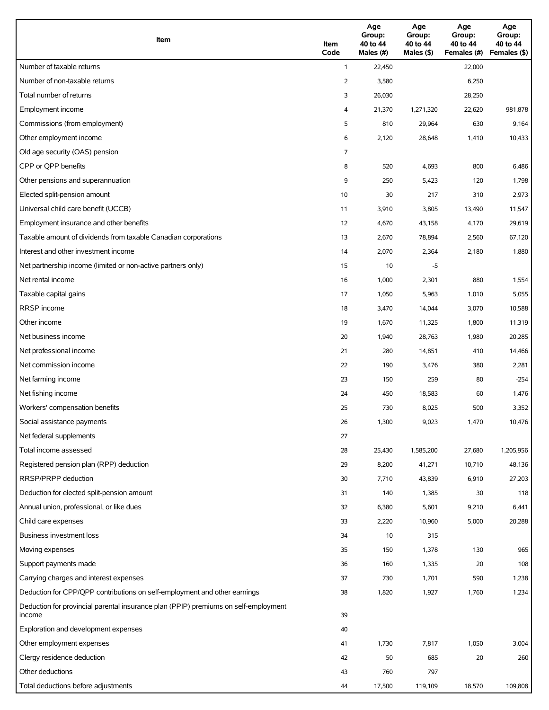| Item                                                                                          | Item<br>Code   | Age<br>Group:<br>40 to 44<br>Males (#) | Age<br>Group:<br>40 to 44<br>Males (\$) | Age<br>Group:<br>40 to 44<br>Females (#) | Age<br>Group:<br>40 to 44<br>Females (\$) |
|-----------------------------------------------------------------------------------------------|----------------|----------------------------------------|-----------------------------------------|------------------------------------------|-------------------------------------------|
| Number of taxable returns                                                                     | $\mathbf{1}$   | 22,450                                 |                                         | 22,000                                   |                                           |
| Number of non-taxable returns                                                                 | $\overline{2}$ | 3,580                                  |                                         | 6,250                                    |                                           |
| Total number of returns                                                                       | 3              | 26,030                                 |                                         | 28,250                                   |                                           |
| Employment income                                                                             | 4              | 21,370                                 | 1,271,320                               | 22,620                                   | 981,878                                   |
| Commissions (from employment)                                                                 | 5              | 810                                    | 29,964                                  | 630                                      | 9,164                                     |
| Other employment income                                                                       | 6              | 2,120                                  | 28,648                                  | 1,410                                    | 10,433                                    |
| Old age security (OAS) pension                                                                | 7              |                                        |                                         |                                          |                                           |
| CPP or QPP benefits                                                                           | 8              | 520                                    | 4,693                                   | 800                                      | 6,486                                     |
| Other pensions and superannuation                                                             | 9              | 250                                    | 5,423                                   | 120                                      | 1,798                                     |
| Elected split-pension amount                                                                  | 10             | 30                                     | 217                                     | 310                                      | 2,973                                     |
| Universal child care benefit (UCCB)                                                           | 11             | 3,910                                  | 3,805                                   | 13,490                                   | 11,547                                    |
| Employment insurance and other benefits                                                       | 12             | 4,670                                  | 43,158                                  | 4,170                                    | 29,619                                    |
| Taxable amount of dividends from taxable Canadian corporations                                | 13             | 2,670                                  | 78,894                                  | 2,560                                    | 67,120                                    |
| Interest and other investment income                                                          | 14             | 2,070                                  | 2,364                                   | 2,180                                    | 1,880                                     |
| Net partnership income (limited or non-active partners only)                                  | 15             | 10                                     | -5                                      |                                          |                                           |
| Net rental income                                                                             | 16             | 1,000                                  | 2,301                                   | 880                                      | 1,554                                     |
| Taxable capital gains                                                                         | 17             | 1,050                                  | 5,963                                   | 1,010                                    | 5,055                                     |
| <b>RRSP</b> income                                                                            | 18             | 3,470                                  | 14,044                                  | 3,070                                    | 10,588                                    |
| Other income                                                                                  | 19             | 1,670                                  | 11,325                                  | 1,800                                    | 11,319                                    |
| Net business income                                                                           | 20             | 1,940                                  | 28,763                                  | 1,980                                    | 20,285                                    |
| Net professional income                                                                       | 21             | 280                                    | 14,851                                  | 410                                      | 14,466                                    |
| Net commission income                                                                         | 22             | 190                                    | 3,476                                   | 380                                      | 2,281                                     |
| Net farming income                                                                            | 23             | 150                                    | 259                                     | 80                                       | $-254$                                    |
| Net fishing income                                                                            | 24             | 450                                    | 18,583                                  | 60                                       | 1,476                                     |
| Workers' compensation benefits                                                                | 25             | 730                                    | 8,025                                   | 500                                      | 3,352                                     |
| Social assistance payments                                                                    | 26             | 1,300                                  | 9,023                                   | 1,470                                    | 10,476                                    |
| Net federal supplements                                                                       | 27             |                                        |                                         |                                          |                                           |
| Total income assessed                                                                         | 28             | 25,430                                 | 1,585,200                               | 27,680                                   | 1,205,956                                 |
| Registered pension plan (RPP) deduction                                                       | 29             | 8,200                                  | 41,271                                  | 10,710                                   | 48,136                                    |
| RRSP/PRPP deduction                                                                           | 30             | 7,710                                  | 43,839                                  | 6,910                                    | 27,203                                    |
| Deduction for elected split-pension amount                                                    | 31             | 140                                    | 1,385                                   | 30                                       | 118                                       |
| Annual union, professional, or like dues                                                      | 32             | 6,380                                  | 5,601                                   | 9,210                                    | 6,441                                     |
| Child care expenses                                                                           | 33             | 2,220                                  | 10,960                                  | 5,000                                    | 20,288                                    |
| Business investment loss                                                                      | 34             | 10                                     | 315                                     |                                          |                                           |
| Moving expenses                                                                               | 35             | 150                                    | 1,378                                   | 130                                      | 965                                       |
| Support payments made                                                                         | 36             | 160                                    | 1,335                                   | 20                                       | 108                                       |
| Carrying charges and interest expenses                                                        | 37             | 730                                    | 1,701                                   | 590                                      | 1,238                                     |
| Deduction for CPP/QPP contributions on self-employment and other earnings                     | 38             | 1,820                                  | 1,927                                   | 1,760                                    | 1,234                                     |
| Deduction for provincial parental insurance plan (PPIP) premiums on self-employment<br>income | 39             |                                        |                                         |                                          |                                           |
| Exploration and development expenses                                                          | 40             |                                        |                                         |                                          |                                           |
| Other employment expenses                                                                     | 41             | 1,730                                  | 7,817                                   | 1,050                                    | 3,004                                     |
| Clergy residence deduction                                                                    | 42             | 50                                     | 685                                     | 20                                       | 260                                       |
| Other deductions                                                                              | 43             | 760                                    | 797                                     |                                          |                                           |
| Total deductions before adjustments                                                           | 44             | 17,500                                 | 119,109                                 | 18,570                                   | 109,808                                   |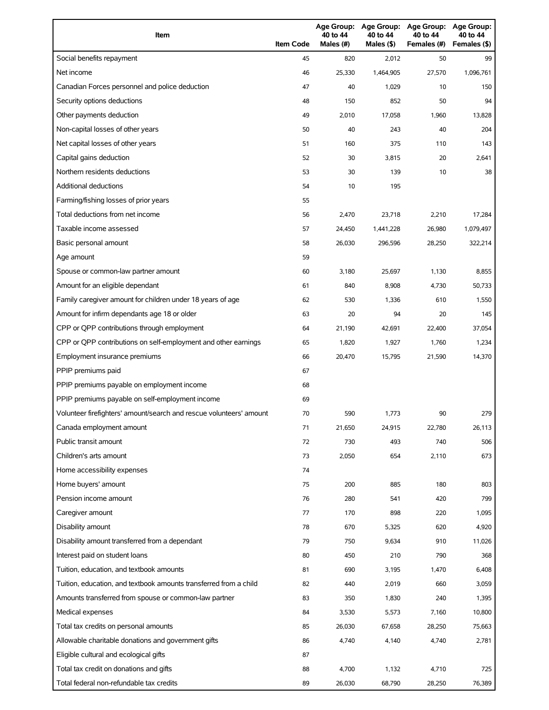| Item                                                                | <b>Item Code</b> | 40 to 44<br>Males (#) | 40 to 44<br>Males (\$) | Age Group: Age Group: Age Group:<br>40 to 44<br>Females (#) | Age Group:<br>40 to 44<br>Females (\$) |
|---------------------------------------------------------------------|------------------|-----------------------|------------------------|-------------------------------------------------------------|----------------------------------------|
| Social benefits repayment                                           | 45               | 820                   | 2,012                  | 50                                                          | 99                                     |
| Net income                                                          | 46               | 25,330                | 1,464,905              | 27,570                                                      | 1,096,761                              |
| Canadian Forces personnel and police deduction                      | 47               | 40                    | 1,029                  | 10                                                          | 150                                    |
| Security options deductions                                         | 48               | 150                   | 852                    | 50                                                          | 94                                     |
| Other payments deduction                                            | 49               | 2,010                 | 17,058                 | 1,960                                                       | 13,828                                 |
| Non-capital losses of other years                                   | 50               | 40                    | 243                    | 40                                                          | 204                                    |
| Net capital losses of other years                                   | 51               | 160                   | 375                    | 110                                                         | 143                                    |
| Capital gains deduction                                             | 52               | 30                    | 3,815                  | 20                                                          | 2,641                                  |
| Northern residents deductions                                       | 53               | 30                    | 139                    | 10                                                          | 38                                     |
| Additional deductions                                               | 54               | 10                    | 195                    |                                                             |                                        |
| Farming/fishing losses of prior years                               | 55               |                       |                        |                                                             |                                        |
| Total deductions from net income                                    | 56               | 2,470                 | 23,718                 | 2,210                                                       | 17,284                                 |
| Taxable income assessed                                             | 57               | 24,450                | 1,441,228              | 26,980                                                      | 1,079,497                              |
| Basic personal amount                                               | 58               | 26,030                | 296,596                | 28,250                                                      | 322,214                                |
| Age amount                                                          | 59               |                       |                        |                                                             |                                        |
| Spouse or common-law partner amount                                 | 60               | 3,180                 | 25,697                 | 1,130                                                       | 8,855                                  |
| Amount for an eligible dependant                                    | 61               | 840                   | 8,908                  | 4,730                                                       | 50,733                                 |
| Family caregiver amount for children under 18 years of age          | 62               | 530                   | 1,336                  | 610                                                         | 1,550                                  |
| Amount for infirm dependants age 18 or older                        | 63               | 20                    | 94                     | 20                                                          | 145                                    |
| CPP or QPP contributions through employment                         | 64               | 21,190                | 42,691                 | 22,400                                                      | 37,054                                 |
| CPP or QPP contributions on self-employment and other earnings      | 65               | 1,820                 | 1,927                  | 1,760                                                       | 1,234                                  |
| Employment insurance premiums                                       | 66               | 20,470                | 15,795                 | 21,590                                                      | 14,370                                 |
| PPIP premiums paid                                                  | 67               |                       |                        |                                                             |                                        |
| PPIP premiums payable on employment income                          | 68               |                       |                        |                                                             |                                        |
| PPIP premiums payable on self-employment income                     | 69               |                       |                        |                                                             |                                        |
| Volunteer firefighters' amount/search and rescue volunteers' amount | 70               | 590                   | 1,773                  | 90                                                          | 279                                    |
| Canada employment amount                                            | 71               | 21,650                | 24,915                 | 22,780                                                      | 26,113                                 |
| Public transit amount                                               | 72               | 730                   | 493                    | 740                                                         | 506                                    |
| Children's arts amount                                              | 73               | 2,050                 | 654                    | 2,110                                                       | 673                                    |
| Home accessibility expenses                                         | 74               |                       |                        |                                                             |                                        |
| Home buyers' amount                                                 | 75               | 200                   | 885                    | 180                                                         | 803                                    |
| Pension income amount                                               | 76               | 280                   | 541                    | 420                                                         | 799                                    |
| Caregiver amount                                                    | 77               | 170                   | 898                    | 220                                                         | 1,095                                  |
| Disability amount                                                   | 78               | 670                   | 5,325                  | 620                                                         | 4,920                                  |
| Disability amount transferred from a dependant                      | 79               | 750                   | 9,634                  | 910                                                         | 11,026                                 |
| Interest paid on student loans                                      | 80               | 450                   | 210                    | 790                                                         | 368                                    |
| Tuition, education, and textbook amounts                            | 81               | 690                   | 3,195                  | 1,470                                                       | 6,408                                  |
| Tuition, education, and textbook amounts transferred from a child   | 82               | 440                   | 2,019                  | 660                                                         | 3,059                                  |
| Amounts transferred from spouse or common-law partner               | 83               | 350                   | 1,830                  | 240                                                         | 1,395                                  |
| Medical expenses                                                    | 84               | 3,530                 | 5,573                  | 7,160                                                       | 10,800                                 |
| Total tax credits on personal amounts                               | 85               | 26,030                | 67,658                 | 28,250                                                      | 75,663                                 |
| Allowable charitable donations and government gifts                 | 86               | 4,740                 | 4,140                  | 4,740                                                       | 2,781                                  |
| Eligible cultural and ecological gifts                              | 87               |                       |                        |                                                             |                                        |
| Total tax credit on donations and gifts                             | 88               | 4,700                 | 1,132                  | 4,710                                                       | 725                                    |
| Total federal non-refundable tax credits                            | 89               | 26,030                | 68,790                 | 28,250                                                      | 76,389                                 |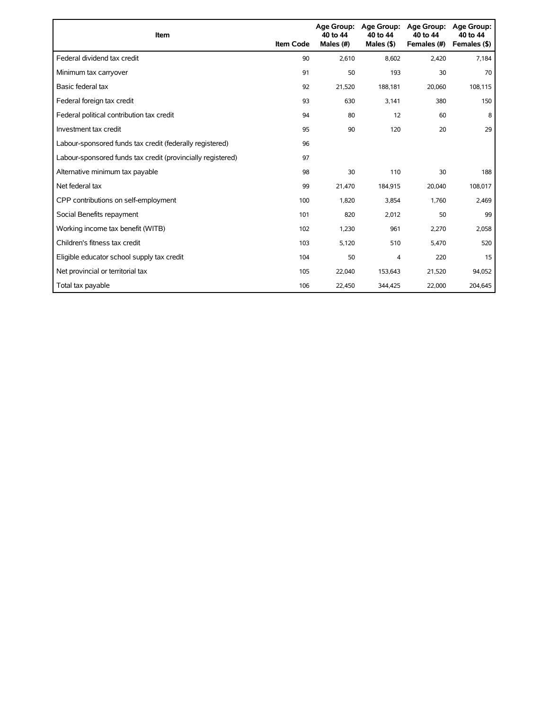| Item                                                        | <b>Item Code</b> | 40 to 44<br>Males (#) | Age Group: Age Group:<br>40 to 44<br>Males $($ \$) | <b>Age Group:</b><br>40 to 44<br>Females (#) | <b>Age Group:</b><br>40 to 44<br>Females (\$) |
|-------------------------------------------------------------|------------------|-----------------------|----------------------------------------------------|----------------------------------------------|-----------------------------------------------|
| Federal dividend tax credit                                 | 90               | 2,610                 | 8,602                                              | 2,420                                        | 7,184                                         |
| Minimum tax carryover                                       | 91               | 50                    | 193                                                | 30                                           | 70                                            |
| Basic federal tax                                           | 92               | 21,520                | 188.181                                            | 20,060                                       | 108,115                                       |
| Federal foreign tax credit                                  | 93               | 630                   | 3,141                                              | 380                                          | 150                                           |
| Federal political contribution tax credit                   | 94               | 80                    | 12                                                 | 60                                           | 8                                             |
| Investment tax credit                                       | 95               | 90                    | 120                                                | 20                                           | 29                                            |
| Labour-sponsored funds tax credit (federally registered)    | 96               |                       |                                                    |                                              |                                               |
| Labour-sponsored funds tax credit (provincially registered) | 97               |                       |                                                    |                                              |                                               |
| Alternative minimum tax payable                             | 98               | 30                    | 110                                                | 30                                           | 188                                           |
| Net federal tax                                             | 99               | 21,470                | 184,915                                            | 20,040                                       | 108,017                                       |
| CPP contributions on self-employment                        | 100              | 1,820                 | 3,854                                              | 1,760                                        | 2,469                                         |
| Social Benefits repayment                                   | 101              | 820                   | 2,012                                              | 50                                           | 99                                            |
| Working income tax benefit (WITB)                           | 102              | 1,230                 | 961                                                | 2,270                                        | 2,058                                         |
| Children's fitness tax credit                               | 103              | 5,120                 | 510                                                | 5,470                                        | 520                                           |
| Eligible educator school supply tax credit                  | 104              | 50                    | 4                                                  | 220                                          | 15                                            |
| Net provincial or territorial tax                           | 105              | 22,040                | 153,643                                            | 21,520                                       | 94,052                                        |
| Total tax payable                                           | 106              | 22,450                | 344,425                                            | 22,000                                       | 204,645                                       |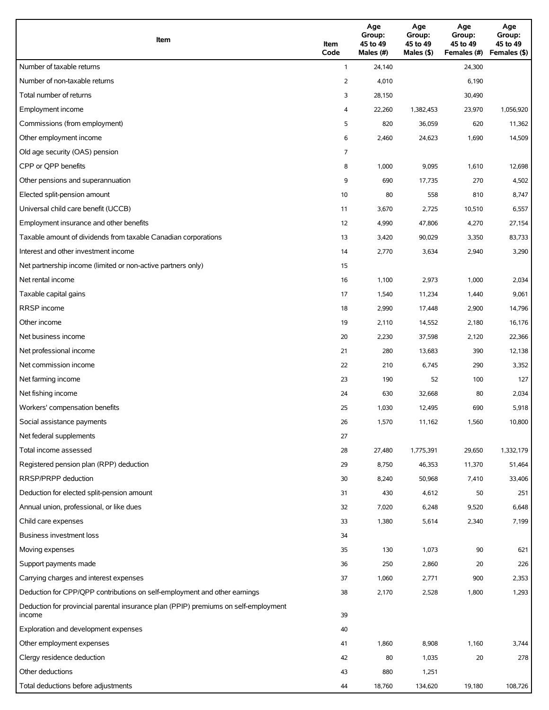| Item                                                                                          | Item<br>Code | Age<br>Group:<br>45 to 49<br>Males (#) | Age<br>Group:<br>45 to 49<br>Males (\$) | Age<br>Group:<br>45 to 49<br>Females (#) | Age<br>Group:<br>45 to 49<br>Females (\$) |
|-----------------------------------------------------------------------------------------------|--------------|----------------------------------------|-----------------------------------------|------------------------------------------|-------------------------------------------|
| Number of taxable returns                                                                     | $\mathbf{1}$ | 24,140                                 |                                         | 24,300                                   |                                           |
| Number of non-taxable returns                                                                 | 2            | 4,010                                  |                                         | 6,190                                    |                                           |
| Total number of returns                                                                       | 3            | 28,150                                 |                                         | 30,490                                   |                                           |
| Employment income                                                                             | 4            | 22,260                                 | 1,382,453                               | 23,970                                   | 1,056,920                                 |
| Commissions (from employment)                                                                 | 5            | 820                                    | 36,059                                  | 620                                      | 11,362                                    |
| Other employment income                                                                       | 6            | 2,460                                  | 24,623                                  | 1,690                                    | 14,509                                    |
| Old age security (OAS) pension                                                                | 7            |                                        |                                         |                                          |                                           |
| CPP or QPP benefits                                                                           | 8            | 1,000                                  | 9,095                                   | 1,610                                    | 12,698                                    |
| Other pensions and superannuation                                                             | 9            | 690                                    | 17,735                                  | 270                                      | 4,502                                     |
| Elected split-pension amount                                                                  | 10           | 80                                     | 558                                     | 810                                      | 8,747                                     |
| Universal child care benefit (UCCB)                                                           | 11           | 3,670                                  | 2,725                                   | 10,510                                   | 6,557                                     |
| Employment insurance and other benefits                                                       | 12           | 4,990                                  | 47,806                                  | 4,270                                    | 27,154                                    |
| Taxable amount of dividends from taxable Canadian corporations                                | 13           | 3,420                                  | 90,029                                  | 3,350                                    | 83,733                                    |
| Interest and other investment income                                                          | 14           | 2,770                                  | 3,634                                   | 2,940                                    | 3,290                                     |
| Net partnership income (limited or non-active partners only)                                  | 15           |                                        |                                         |                                          |                                           |
| Net rental income                                                                             | 16           | 1,100                                  | 2,973                                   | 1,000                                    | 2,034                                     |
| Taxable capital gains                                                                         | 17           | 1,540                                  | 11,234                                  | 1,440                                    | 9,061                                     |
| <b>RRSP</b> income                                                                            | 18           | 2,990                                  | 17,448                                  | 2,900                                    | 14,796                                    |
| Other income                                                                                  | 19           | 2,110                                  | 14,552                                  | 2,180                                    | 16,176                                    |
| Net business income                                                                           | 20           | 2,230                                  | 37,598                                  | 2,120                                    | 22,366                                    |
| Net professional income                                                                       | 21           | 280                                    | 13,683                                  | 390                                      | 12,138                                    |
| Net commission income                                                                         | 22           | 210                                    | 6,745                                   | 290                                      | 3,352                                     |
| Net farming income                                                                            | 23           | 190                                    | 52                                      | 100                                      | 127                                       |
| Net fishing income                                                                            | 24           | 630                                    | 32,668                                  | 80                                       | 2,034                                     |
| Workers' compensation benefits                                                                | 25           | 1,030                                  | 12,495                                  | 690                                      | 5,918                                     |
| Social assistance payments                                                                    | 26           | 1,570                                  | 11,162                                  | 1,560                                    | 10,800                                    |
| Net federal supplements                                                                       | 27           |                                        |                                         |                                          |                                           |
| Total income assessed                                                                         | 28           | 27,480                                 | 1,775,391                               | 29,650                                   | 1,332,179                                 |
| Registered pension plan (RPP) deduction                                                       | 29           | 8,750                                  | 46,353                                  | 11,370                                   | 51,464                                    |
| RRSP/PRPP deduction                                                                           | 30           | 8,240                                  | 50,968                                  | 7,410                                    | 33,406                                    |
| Deduction for elected split-pension amount                                                    | 31           | 430                                    | 4,612                                   | 50                                       | 251                                       |
| Annual union, professional, or like dues                                                      | 32           | 7,020                                  | 6,248                                   | 9,520                                    | 6,648                                     |
| Child care expenses                                                                           | 33           | 1,380                                  | 5,614                                   | 2,340                                    | 7,199                                     |
| Business investment loss                                                                      | 34           |                                        |                                         |                                          |                                           |
| Moving expenses                                                                               | 35           | 130                                    | 1,073                                   | 90                                       | 621                                       |
| Support payments made                                                                         | 36           | 250                                    | 2,860                                   | 20                                       | 226                                       |
| Carrying charges and interest expenses                                                        | 37           | 1,060                                  | 2,771                                   | 900                                      | 2,353                                     |
| Deduction for CPP/QPP contributions on self-employment and other earnings                     | 38           | 2,170                                  | 2,528                                   | 1,800                                    | 1,293                                     |
| Deduction for provincial parental insurance plan (PPIP) premiums on self-employment<br>income | 39           |                                        |                                         |                                          |                                           |
| Exploration and development expenses                                                          | 40           |                                        |                                         |                                          |                                           |
| Other employment expenses                                                                     | 41           | 1,860                                  | 8,908                                   | 1,160                                    | 3,744                                     |
| Clergy residence deduction                                                                    | 42           | 80                                     | 1,035                                   | 20                                       | 278                                       |
| Other deductions                                                                              | 43           | 880                                    | 1,251                                   |                                          |                                           |
| Total deductions before adjustments                                                           | 44           | 18,760                                 | 134,620                                 | 19,180                                   | 108,726                                   |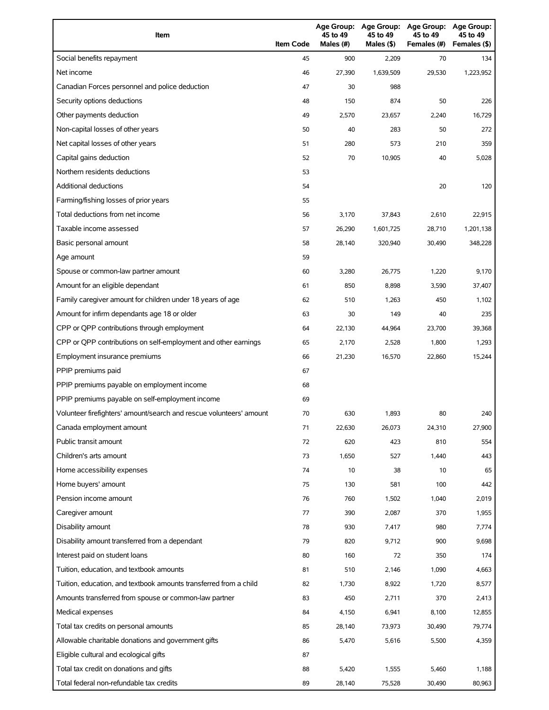| Item                                                                | <b>Item Code</b> | 45 to 49<br>Males (#) | 45 to 49<br>Males (\$) | Age Group: Age Group: Age Group:<br>45 to 49<br>Females (#) | Age Group:<br>45 to 49<br>Females (\$) |
|---------------------------------------------------------------------|------------------|-----------------------|------------------------|-------------------------------------------------------------|----------------------------------------|
| Social benefits repayment                                           | 45               | 900                   | 2,209                  | 70                                                          | 134                                    |
| Net income                                                          | 46               | 27,390                | 1,639,509              | 29,530                                                      | 1,223,952                              |
| Canadian Forces personnel and police deduction                      | 47               | 30                    | 988                    |                                                             |                                        |
| Security options deductions                                         | 48               | 150                   | 874                    | 50                                                          | 226                                    |
| Other payments deduction                                            | 49               | 2,570                 | 23,657                 | 2,240                                                       | 16,729                                 |
| Non-capital losses of other years                                   | 50               | 40                    | 283                    | 50                                                          | 272                                    |
| Net capital losses of other years                                   | 51               | 280                   | 573                    | 210                                                         | 359                                    |
| Capital gains deduction                                             | 52               | 70                    | 10,905                 | 40                                                          | 5,028                                  |
| Northern residents deductions                                       | 53               |                       |                        |                                                             |                                        |
| Additional deductions                                               | 54               |                       |                        | 20                                                          | 120                                    |
| Farming/fishing losses of prior years                               | 55               |                       |                        |                                                             |                                        |
| Total deductions from net income                                    | 56               | 3,170                 | 37,843                 | 2,610                                                       | 22,915                                 |
| Taxable income assessed                                             | 57               | 26,290                | 1,601,725              | 28,710                                                      | 1,201,138                              |
| Basic personal amount                                               | 58               | 28,140                | 320,940                | 30,490                                                      | 348,228                                |
| Age amount                                                          | 59               |                       |                        |                                                             |                                        |
| Spouse or common-law partner amount                                 | 60               | 3,280                 | 26,775                 | 1,220                                                       | 9,170                                  |
| Amount for an eligible dependant                                    | 61               | 850                   | 8,898                  | 3,590                                                       | 37,407                                 |
| Family caregiver amount for children under 18 years of age          | 62               | 510                   | 1,263                  | 450                                                         | 1,102                                  |
| Amount for infirm dependants age 18 or older                        | 63               | 30                    | 149                    | 40                                                          | 235                                    |
| CPP or QPP contributions through employment                         | 64               | 22,130                | 44,964                 | 23,700                                                      | 39,368                                 |
| CPP or QPP contributions on self-employment and other earnings      | 65               | 2,170                 | 2,528                  | 1,800                                                       | 1,293                                  |
| Employment insurance premiums                                       | 66               | 21,230                | 16,570                 | 22,860                                                      | 15,244                                 |
| PPIP premiums paid                                                  | 67               |                       |                        |                                                             |                                        |
| PPIP premiums payable on employment income                          | 68               |                       |                        |                                                             |                                        |
| PPIP premiums payable on self-employment income                     | 69               |                       |                        |                                                             |                                        |
| Volunteer firefighters' amount/search and rescue volunteers' amount | 70               | 630                   | 1,893                  | 80                                                          | 240                                    |
| Canada employment amount                                            | 71               | 22,630                | 26,073                 | 24,310                                                      | 27,900                                 |
| Public transit amount                                               | 72               | 620                   | 423                    | 810                                                         | 554                                    |
| Children's arts amount                                              | 73               | 1,650                 | 527                    | 1,440                                                       | 443                                    |
| Home accessibility expenses                                         | 74               | 10                    | 38                     | 10                                                          | 65                                     |
| Home buyers' amount                                                 | 75               | 130                   | 581                    | 100                                                         | 442                                    |
| Pension income amount                                               | 76               | 760                   | 1,502                  | 1,040                                                       | 2,019                                  |
| Caregiver amount                                                    | 77               | 390                   | 2,087                  | 370                                                         | 1,955                                  |
| Disability amount                                                   | 78               | 930                   | 7,417                  | 980                                                         | 7,774                                  |
| Disability amount transferred from a dependant                      | 79               | 820                   | 9,712                  | 900                                                         | 9,698                                  |
| Interest paid on student loans                                      | 80               | 160                   | 72                     | 350                                                         | 174                                    |
| Tuition, education, and textbook amounts                            | 81               | 510                   | 2,146                  | 1,090                                                       | 4,663                                  |
| Tuition, education, and textbook amounts transferred from a child   | 82               | 1,730                 | 8,922                  | 1,720                                                       | 8,577                                  |
| Amounts transferred from spouse or common-law partner               | 83               | 450                   | 2,711                  | 370                                                         | 2,413                                  |
| Medical expenses                                                    | 84               | 4,150                 | 6,941                  | 8,100                                                       | 12,855                                 |
| Total tax credits on personal amounts                               | 85               | 28,140                | 73,973                 | 30,490                                                      | 79,774                                 |
| Allowable charitable donations and government gifts                 | 86               | 5,470                 | 5,616                  | 5,500                                                       | 4,359                                  |
| Eligible cultural and ecological gifts                              | 87               |                       |                        |                                                             |                                        |
| Total tax credit on donations and gifts                             | 88               | 5,420                 | 1,555                  | 5,460                                                       | 1,188                                  |
| Total federal non-refundable tax credits                            | 89               | 28,140                | 75,528                 | 30,490                                                      | 80,963                                 |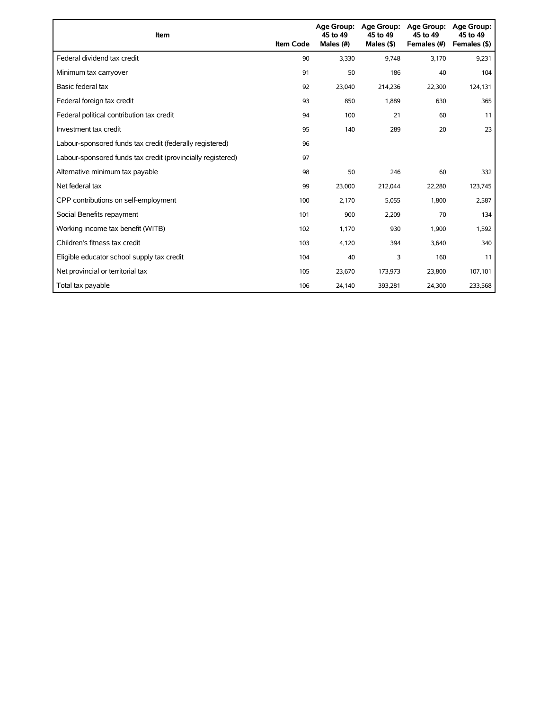| Item                                                        | <b>Item Code</b> | 45 to 49<br>Males (#) | Age Group: Age Group:<br>45 to 49<br>Males $($ \$) | <b>Age Group:</b><br>45 to 49<br>Females (#) | <b>Age Group:</b><br>45 to 49<br>Females (\$) |
|-------------------------------------------------------------|------------------|-----------------------|----------------------------------------------------|----------------------------------------------|-----------------------------------------------|
| Federal dividend tax credit                                 | 90               | 3,330                 | 9.748                                              | 3,170                                        | 9,231                                         |
| Minimum tax carryover                                       | 91               | 50                    | 186                                                | 40                                           | 104                                           |
| Basic federal tax                                           | 92               | 23,040                | 214,236                                            | 22,300                                       | 124,131                                       |
| Federal foreign tax credit                                  | 93               | 850                   | 1,889                                              | 630                                          | 365                                           |
| Federal political contribution tax credit                   | 94               | 100                   | 21                                                 | 60                                           | 11                                            |
| Investment tax credit                                       | 95               | 140                   | 289                                                | 20                                           | 23                                            |
| Labour-sponsored funds tax credit (federally registered)    | 96               |                       |                                                    |                                              |                                               |
| Labour-sponsored funds tax credit (provincially registered) | 97               |                       |                                                    |                                              |                                               |
| Alternative minimum tax payable                             | 98               | 50                    | 246                                                | 60                                           | 332                                           |
| Net federal tax                                             | 99               | 23,000                | 212,044                                            | 22,280                                       | 123,745                                       |
| CPP contributions on self-employment                        | 100              | 2,170                 | 5,055                                              | 1,800                                        | 2,587                                         |
| Social Benefits repayment                                   | 101              | 900                   | 2,209                                              | 70                                           | 134                                           |
| Working income tax benefit (WITB)                           | 102              | 1,170                 | 930                                                | 1,900                                        | 1,592                                         |
| Children's fitness tax credit                               | 103              | 4,120                 | 394                                                | 3,640                                        | 340                                           |
| Eligible educator school supply tax credit                  | 104              | 40                    | 3                                                  | 160                                          | 11                                            |
| Net provincial or territorial tax                           | 105              | 23,670                | 173,973                                            | 23,800                                       | 107,101                                       |
| Total tax payable                                           | 106              | 24,140                | 393,281                                            | 24,300                                       | 233,568                                       |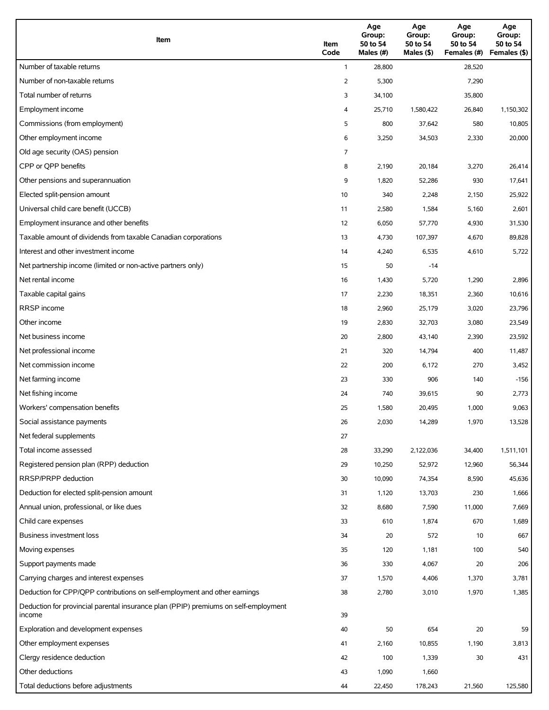| Item                                                                                          | Item<br>Code | Age<br>Group:<br>50 to 54<br>Males (#) | Age<br>Group:<br>50 to 54<br>Males (\$) | Age<br>Group:<br>50 to 54<br>Females (#) | Age<br>Group:<br>50 to 54<br>Females (\$) |
|-----------------------------------------------------------------------------------------------|--------------|----------------------------------------|-----------------------------------------|------------------------------------------|-------------------------------------------|
| Number of taxable returns                                                                     | $\mathbf{1}$ | 28,800                                 |                                         | 28,520                                   |                                           |
| Number of non-taxable returns                                                                 | 2            | 5,300                                  |                                         | 7,290                                    |                                           |
| Total number of returns                                                                       | 3            | 34,100                                 |                                         | 35,800                                   |                                           |
| Employment income                                                                             | 4            | 25,710                                 | 1,580,422                               | 26,840                                   | 1,150,302                                 |
| Commissions (from employment)                                                                 | 5            | 800                                    | 37,642                                  | 580                                      | 10,805                                    |
| Other employment income                                                                       | 6            | 3,250                                  | 34,503                                  | 2,330                                    | 20,000                                    |
| Old age security (OAS) pension                                                                | 7            |                                        |                                         |                                          |                                           |
| CPP or QPP benefits                                                                           | 8            | 2,190                                  | 20,184                                  | 3,270                                    | 26,414                                    |
| Other pensions and superannuation                                                             | 9            | 1,820                                  | 52,286                                  | 930                                      | 17,641                                    |
| Elected split-pension amount                                                                  | 10           | 340                                    | 2,248                                   | 2,150                                    | 25,922                                    |
| Universal child care benefit (UCCB)                                                           | 11           | 2,580                                  | 1,584                                   | 5,160                                    | 2,601                                     |
| Employment insurance and other benefits                                                       | 12           | 6,050                                  | 57,770                                  | 4,930                                    | 31,530                                    |
| Taxable amount of dividends from taxable Canadian corporations                                | 13           | 4,730                                  | 107,397                                 | 4,670                                    | 89,828                                    |
| Interest and other investment income                                                          | 14           | 4,240                                  | 6,535                                   | 4,610                                    | 5,722                                     |
| Net partnership income (limited or non-active partners only)                                  | 15           | 50                                     | $-14$                                   |                                          |                                           |
| Net rental income                                                                             | 16           | 1,430                                  | 5,720                                   | 1,290                                    | 2,896                                     |
| Taxable capital gains                                                                         | 17           | 2,230                                  | 18,351                                  | 2,360                                    | 10,616                                    |
| <b>RRSP</b> income                                                                            | 18           | 2,960                                  | 25,179                                  | 3,020                                    | 23,796                                    |
| Other income                                                                                  | 19           | 2,830                                  | 32,703                                  | 3,080                                    | 23,549                                    |
| Net business income                                                                           | 20           | 2,800                                  | 43,140                                  | 2,390                                    | 23,592                                    |
| Net professional income                                                                       | 21           | 320                                    | 14,794                                  | 400                                      | 11,487                                    |
| Net commission income                                                                         | 22           | 200                                    | 6,172                                   | 270                                      | 3,452                                     |
| Net farming income                                                                            | 23           | 330                                    | 906                                     | 140                                      | $-156$                                    |
| Net fishing income                                                                            | 24           | 740                                    | 39,615                                  | 90                                       | 2,773                                     |
| Workers' compensation benefits                                                                | 25           | 1,580                                  | 20,495                                  | 1,000                                    | 9,063                                     |
| Social assistance payments                                                                    | 26           | 2,030                                  | 14,289                                  | 1,970                                    | 13,528                                    |
| Net federal supplements                                                                       | 27           |                                        |                                         |                                          |                                           |
| Total income assessed                                                                         | 28           | 33,290                                 | 2,122,036                               | 34,400                                   | 1,511,101                                 |
| Registered pension plan (RPP) deduction                                                       | 29           | 10,250                                 | 52,972                                  | 12,960                                   | 56,344                                    |
| RRSP/PRPP deduction                                                                           | 30           | 10,090                                 | 74,354                                  | 8,590                                    | 45,636                                    |
| Deduction for elected split-pension amount                                                    | 31           | 1,120                                  | 13,703                                  | 230                                      | 1,666                                     |
| Annual union, professional, or like dues                                                      | 32           | 8,680                                  | 7,590                                   | 11,000                                   | 7,669                                     |
| Child care expenses                                                                           | 33           | 610                                    | 1,874                                   | 670                                      | 1,689                                     |
| <b>Business investment loss</b>                                                               | 34           | 20                                     | 572                                     | 10                                       | 667                                       |
| Moving expenses                                                                               | 35           | 120                                    | 1,181                                   | 100                                      | 540                                       |
| Support payments made                                                                         | 36           | 330                                    | 4,067                                   | 20                                       | 206                                       |
| Carrying charges and interest expenses                                                        | 37           | 1,570                                  | 4,406                                   | 1,370                                    | 3,781                                     |
| Deduction for CPP/QPP contributions on self-employment and other earnings                     | 38           | 2,780                                  | 3,010                                   | 1,970                                    | 1,385                                     |
| Deduction for provincial parental insurance plan (PPIP) premiums on self-employment<br>income | 39           |                                        |                                         |                                          |                                           |
| Exploration and development expenses                                                          | 40           | 50                                     | 654                                     | 20                                       | 59                                        |
| Other employment expenses                                                                     | 41           | 2,160                                  | 10,855                                  | 1,190                                    | 3,813                                     |
| Clergy residence deduction                                                                    | 42           | 100                                    | 1,339                                   | 30                                       | 431                                       |
| Other deductions                                                                              | 43           | 1,090                                  | 1,660                                   |                                          |                                           |
| Total deductions before adjustments                                                           | 44           | 22,450                                 | 178,243                                 | 21,560                                   | 125,580                                   |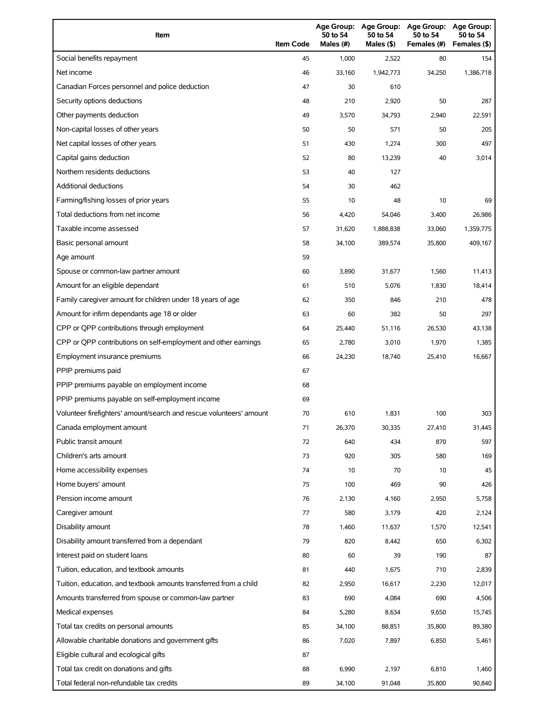| Item                                                                | <b>Item Code</b> | 50 to 54<br>Males (#) | 50 to 54<br>Males (\$) | Age Group: Age Group: Age Group:<br>50 to 54<br>Females (#) | Age Group:<br>50 to 54<br>Females (\$) |
|---------------------------------------------------------------------|------------------|-----------------------|------------------------|-------------------------------------------------------------|----------------------------------------|
| Social benefits repayment                                           | 45               | 1,000                 | 2,522                  | 80                                                          | 154                                    |
| Net income                                                          | 46               | 33,160                | 1,942,773              | 34,250                                                      | 1,386,718                              |
| Canadian Forces personnel and police deduction                      | 47               | 30                    | 610                    |                                                             |                                        |
| Security options deductions                                         | 48               | 210                   | 2,920                  | 50                                                          | 287                                    |
| Other payments deduction                                            | 49               | 3,570                 | 34,793                 | 2,940                                                       | 22,591                                 |
| Non-capital losses of other years                                   | 50               | 50                    | 571                    | 50                                                          | 205                                    |
| Net capital losses of other years                                   | 51               | 430                   | 1,274                  | 300                                                         | 497                                    |
| Capital gains deduction                                             | 52               | 80                    | 13,239                 | 40                                                          | 3,014                                  |
| Northern residents deductions                                       | 53               | 40                    | 127                    |                                                             |                                        |
| Additional deductions                                               | 54               | 30                    | 462                    |                                                             |                                        |
| Farming/fishing losses of prior years                               | 55               | 10                    | 48                     | 10                                                          | 69                                     |
| Total deductions from net income                                    | 56               | 4,420                 | 54,046                 | 3,400                                                       | 26,986                                 |
| Taxable income assessed                                             | 57               | 31,620                | 1,888,838              | 33,060                                                      | 1,359,775                              |
| Basic personal amount                                               | 58               | 34,100                | 389,574                | 35,800                                                      | 409,167                                |
| Age amount                                                          | 59               |                       |                        |                                                             |                                        |
| Spouse or common-law partner amount                                 | 60               | 3,890                 | 31,677                 | 1,560                                                       | 11,413                                 |
| Amount for an eligible dependant                                    | 61               | 510                   | 5,076                  | 1,830                                                       | 18,414                                 |
| Family caregiver amount for children under 18 years of age          | 62               | 350                   | 846                    | 210                                                         | 478                                    |
| Amount for infirm dependants age 18 or older                        | 63               | 60                    | 382                    | 50                                                          | 297                                    |
| CPP or QPP contributions through employment                         | 64               | 25,440                | 51,116                 | 26,530                                                      | 43,138                                 |
| CPP or QPP contributions on self-employment and other earnings      | 65               | 2,780                 | 3,010                  | 1,970                                                       | 1,385                                  |
| Employment insurance premiums                                       | 66               | 24,230                | 18,740                 | 25,410                                                      | 16,667                                 |
| PPIP premiums paid                                                  | 67               |                       |                        |                                                             |                                        |
| PPIP premiums payable on employment income                          | 68               |                       |                        |                                                             |                                        |
| PPIP premiums payable on self-employment income                     | 69               |                       |                        |                                                             |                                        |
| Volunteer firefighters' amount/search and rescue volunteers' amount | 70               | 610                   | 1,831                  | 100                                                         | 303                                    |
| Canada employment amount                                            | 71               | 26,370                | 30,335                 | 27,410                                                      | 31,445                                 |
| Public transit amount                                               | 72               | 640                   | 434                    | 870                                                         | 597                                    |
| Children's arts amount                                              | 73               | 920                   | 305                    | 580                                                         | 169                                    |
| Home accessibility expenses                                         | 74               | 10                    | 70                     | 10                                                          | 45                                     |
| Home buyers' amount                                                 | 75               | 100                   | 469                    | 90                                                          | 426                                    |
| Pension income amount                                               | 76               | 2,130                 | 4,160                  | 2,950                                                       | 5,758                                  |
| Caregiver amount                                                    | 77               | 580                   | 3,179                  | 420                                                         | 2,124                                  |
| Disability amount                                                   | 78               | 1,460                 | 11,637                 | 1,570                                                       | 12,541                                 |
| Disability amount transferred from a dependant                      | 79               | 820                   | 8,442                  | 650                                                         | 6,302                                  |
| Interest paid on student loans                                      | 80               | 60                    | 39                     | 190                                                         | 87                                     |
| Tuition, education, and textbook amounts                            | 81               | 440                   | 1,675                  | 710                                                         | 2,839                                  |
| Tuition, education, and textbook amounts transferred from a child   | 82               | 2,950                 | 16,617                 | 2,230                                                       | 12,017                                 |
| Amounts transferred from spouse or common-law partner               | 83               | 690                   | 4,084                  | 690                                                         | 4,506                                  |
| Medical expenses                                                    | 84               | 5,280                 | 8,634                  | 9,650                                                       | 15,745                                 |
| Total tax credits on personal amounts                               | 85               | 34,100                | 88,851                 | 35,800                                                      | 89,380                                 |
| Allowable charitable donations and government gifts                 | 86               | 7,020                 | 7,897                  | 6,850                                                       | 5,461                                  |
| Eligible cultural and ecological gifts                              | 87               |                       |                        |                                                             |                                        |
| Total tax credit on donations and gifts                             | 88               | 6,990                 | 2,197                  | 6,810                                                       | 1,460                                  |
| Total federal non-refundable tax credits                            | 89               | 34,100                | 91,048                 | 35,800                                                      | 90,840                                 |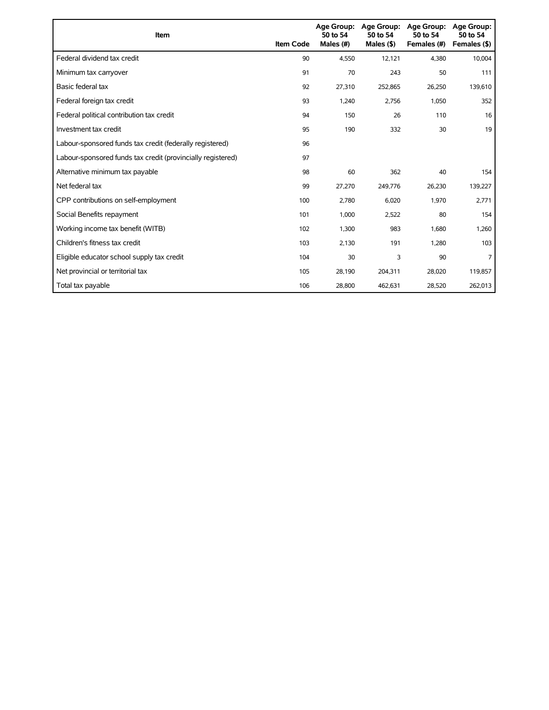| Item                                                        | <b>Item Code</b> | Age Group:<br>50 to 54<br>Males (#) | <b>Age Group:</b><br>50 to 54<br>Males $($ \$) | <b>Age Group:</b><br>50 to 54<br>Females (#) | <b>Age Group:</b><br>50 to 54<br>Females (\$) |
|-------------------------------------------------------------|------------------|-------------------------------------|------------------------------------------------|----------------------------------------------|-----------------------------------------------|
| Federal dividend tax credit                                 | 90               | 4,550                               | 12,121                                         | 4,380                                        | 10,004                                        |
| Minimum tax carryover                                       | 91               | 70                                  | 243                                            | 50                                           | 111                                           |
| Basic federal tax                                           | 92               | 27,310                              | 252,865                                        | 26,250                                       | 139,610                                       |
| Federal foreign tax credit                                  | 93               | 1,240                               | 2,756                                          | 1,050                                        | 352                                           |
| Federal political contribution tax credit                   | 94               | 150                                 | 26                                             | 110                                          | 16                                            |
| Investment tax credit                                       | 95               | 190                                 | 332                                            | 30                                           | 19                                            |
| Labour-sponsored funds tax credit (federally registered)    | 96               |                                     |                                                |                                              |                                               |
| Labour-sponsored funds tax credit (provincially registered) | 97               |                                     |                                                |                                              |                                               |
| Alternative minimum tax payable                             | 98               | 60                                  | 362                                            | 40                                           | 154                                           |
| Net federal tax                                             | 99               | 27,270                              | 249,776                                        | 26,230                                       | 139,227                                       |
| CPP contributions on self-employment                        | 100              | 2,780                               | 6,020                                          | 1,970                                        | 2,771                                         |
| Social Benefits repayment                                   | 101              | 1,000                               | 2,522                                          | 80                                           | 154                                           |
| Working income tax benefit (WITB)                           | 102              | 1,300                               | 983                                            | 1,680                                        | 1,260                                         |
| Children's fitness tax credit                               | 103              | 2,130                               | 191                                            | 1,280                                        | 103                                           |
| Eligible educator school supply tax credit                  | 104              | 30                                  | 3                                              | 90                                           |                                               |
| Net provincial or territorial tax                           | 105              | 28,190                              | 204,311                                        | 28,020                                       | 119,857                                       |
| Total tax payable                                           | 106              | 28,800                              | 462,631                                        | 28,520                                       | 262,013                                       |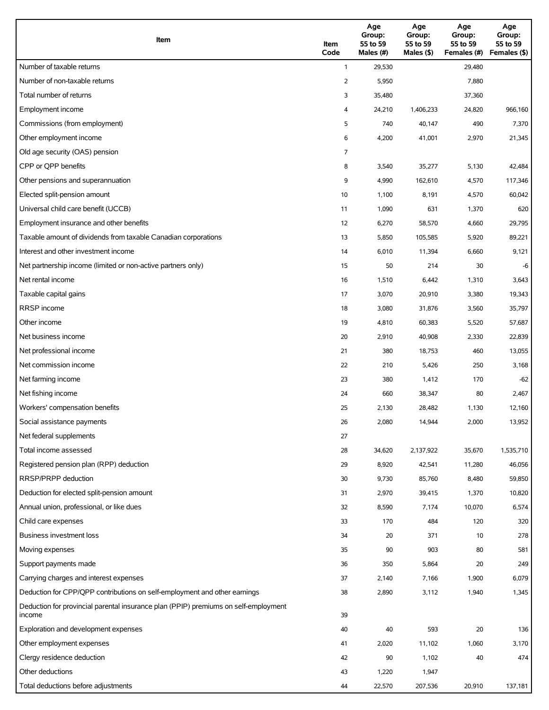| Item                                                                                          | Item<br>Code | Age<br>Group:<br>55 to 59<br>Males (#) | Age<br>Group:<br>55 to 59<br>Males (\$) | Age<br>Group:<br>55 to 59<br>Females (#) | Age<br>Group:<br>55 to 59<br>Females (\$) |
|-----------------------------------------------------------------------------------------------|--------------|----------------------------------------|-----------------------------------------|------------------------------------------|-------------------------------------------|
| Number of taxable returns                                                                     | $\mathbf{1}$ | 29,530                                 |                                         | 29,480                                   |                                           |
| Number of non-taxable returns                                                                 | 2            | 5,950                                  |                                         | 7,880                                    |                                           |
| Total number of returns                                                                       | 3            | 35,480                                 |                                         | 37,360                                   |                                           |
| Employment income                                                                             | 4            | 24,210                                 | 1,406,233                               | 24,820                                   | 966,160                                   |
| Commissions (from employment)                                                                 | 5            | 740                                    | 40,147                                  | 490                                      | 7,370                                     |
| Other employment income                                                                       | 6            | 4,200                                  | 41,001                                  | 2,970                                    | 21,345                                    |
| Old age security (OAS) pension                                                                | 7            |                                        |                                         |                                          |                                           |
| CPP or QPP benefits                                                                           | 8            | 3,540                                  | 35,277                                  | 5,130                                    | 42,484                                    |
| Other pensions and superannuation                                                             | 9            | 4,990                                  | 162,610                                 | 4,570                                    | 117,346                                   |
| Elected split-pension amount                                                                  | 10           | 1,100                                  | 8,191                                   | 4,570                                    | 60,042                                    |
| Universal child care benefit (UCCB)                                                           | 11           | 1,090                                  | 631                                     | 1,370                                    | 620                                       |
| Employment insurance and other benefits                                                       | 12           | 6,270                                  | 58,570                                  | 4,660                                    | 29,795                                    |
| Taxable amount of dividends from taxable Canadian corporations                                | 13           | 5,850                                  | 105,585                                 | 5,920                                    | 89,221                                    |
| Interest and other investment income                                                          | 14           | 6,010                                  | 11,394                                  | 6,660                                    | 9,121                                     |
| Net partnership income (limited or non-active partners only)                                  | 15           | 50                                     | 214                                     | 30                                       | -6                                        |
| Net rental income                                                                             | 16           | 1,510                                  | 6,442                                   | 1,310                                    | 3,643                                     |
| Taxable capital gains                                                                         | 17           | 3,070                                  | 20,910                                  | 3,380                                    | 19,343                                    |
| <b>RRSP</b> income                                                                            | 18           | 3,080                                  | 31,876                                  | 3,560                                    | 35,797                                    |
| Other income                                                                                  | 19           | 4,810                                  | 60,383                                  | 5,520                                    | 57,687                                    |
| Net business income                                                                           | 20           | 2,910                                  | 40,908                                  | 2,330                                    | 22,839                                    |
| Net professional income                                                                       | 21           | 380                                    | 18,753                                  | 460                                      | 13,055                                    |
| Net commission income                                                                         | 22           | 210                                    | 5,426                                   | 250                                      | 3,168                                     |
| Net farming income                                                                            | 23           | 380                                    | 1,412                                   | 170                                      | $-62$                                     |
| Net fishing income                                                                            | 24           | 660                                    | 38,347                                  | 80                                       | 2,467                                     |
| Workers' compensation benefits                                                                | 25           | 2,130                                  | 28,482                                  | 1,130                                    | 12,160                                    |
| Social assistance payments                                                                    | 26           | 2,080                                  | 14,944                                  | 2,000                                    | 13,952                                    |
| Net federal supplements                                                                       | 27           |                                        |                                         |                                          |                                           |
| Total income assessed                                                                         | 28           | 34,620                                 | 2,137,922                               | 35,670                                   | 1,535,710                                 |
| Registered pension plan (RPP) deduction                                                       | 29           | 8,920                                  | 42,541                                  | 11,280                                   | 46,056                                    |
| RRSP/PRPP deduction                                                                           | 30           | 9,730                                  | 85,760                                  | 8,480                                    | 59,850                                    |
| Deduction for elected split-pension amount                                                    | 31           | 2,970                                  | 39,415                                  | 1,370                                    | 10,820                                    |
| Annual union, professional, or like dues                                                      | 32           | 8,590                                  | 7,174                                   | 10,070                                   | 6,574                                     |
| Child care expenses                                                                           | 33           | 170                                    | 484                                     | 120                                      | 320                                       |
| <b>Business investment loss</b>                                                               | 34           | 20                                     | 371                                     | 10                                       | 278                                       |
| Moving expenses                                                                               | 35           | 90                                     | 903                                     | 80                                       | 581                                       |
| Support payments made                                                                         | 36           | 350                                    | 5,864                                   | 20                                       | 249                                       |
| Carrying charges and interest expenses                                                        | 37           | 2,140                                  | 7,166                                   | 1,900                                    | 6,079                                     |
| Deduction for CPP/QPP contributions on self-employment and other earnings                     | 38           | 2,890                                  | 3,112                                   | 1,940                                    | 1,345                                     |
| Deduction for provincial parental insurance plan (PPIP) premiums on self-employment<br>income | 39           |                                        |                                         |                                          |                                           |
| Exploration and development expenses                                                          | 40           | 40                                     | 593                                     | 20                                       | 136                                       |
| Other employment expenses                                                                     | 41           | 2,020                                  | 11,102                                  | 1,060                                    | 3,170                                     |
| Clergy residence deduction                                                                    | 42           | 90                                     | 1,102                                   | 40                                       | 474                                       |
| Other deductions                                                                              | 43           | 1,220                                  | 1,947                                   |                                          |                                           |
| Total deductions before adjustments                                                           | 44           | 22,570                                 | 207,536                                 | 20,910                                   | 137,181                                   |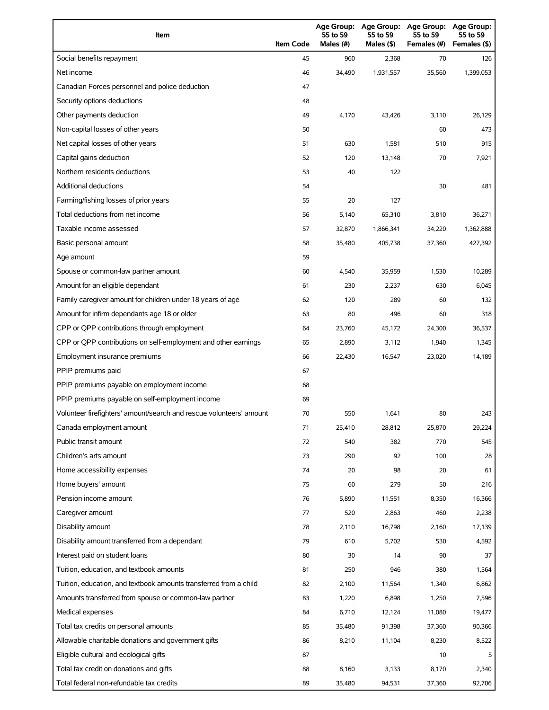| Item                                                                | <b>Item Code</b> | 55 to 59<br>Males (#) | Age Group: Age Group:<br>55 to 59<br>Males (\$) | <b>Age Group:</b><br>55 to 59<br>Females (#) | <b>Age Group:</b><br>55 to 59<br>Females (\$) |
|---------------------------------------------------------------------|------------------|-----------------------|-------------------------------------------------|----------------------------------------------|-----------------------------------------------|
| Social benefits repayment                                           | 45               | 960                   | 2,368                                           | 70                                           | 126                                           |
| Net income                                                          | 46               | 34,490                | 1,931,557                                       | 35,560                                       | 1,399,053                                     |
| Canadian Forces personnel and police deduction                      | 47               |                       |                                                 |                                              |                                               |
| Security options deductions                                         | 48               |                       |                                                 |                                              |                                               |
| Other payments deduction                                            | 49               | 4,170                 | 43,426                                          | 3,110                                        | 26,129                                        |
| Non-capital losses of other years                                   | 50               |                       |                                                 | 60                                           | 473                                           |
| Net capital losses of other years                                   | 51               | 630                   | 1,581                                           | 510                                          | 915                                           |
| Capital gains deduction                                             | 52               | 120                   | 13,148                                          | 70                                           | 7,921                                         |
| Northern residents deductions                                       | 53               | 40                    | 122                                             |                                              |                                               |
| <b>Additional deductions</b>                                        | 54               |                       |                                                 | 30                                           | 481                                           |
| Farming/fishing losses of prior years                               | 55               | 20                    | 127                                             |                                              |                                               |
| Total deductions from net income                                    | 56               | 5,140                 | 65,310                                          | 3,810                                        | 36,271                                        |
| Taxable income assessed                                             | 57               | 32,870                | 1,866,341                                       | 34,220                                       | 1,362,888                                     |
| Basic personal amount                                               | 58               | 35,480                | 405,738                                         | 37,360                                       | 427,392                                       |
| Age amount                                                          | 59               |                       |                                                 |                                              |                                               |
| Spouse or common-law partner amount                                 | 60               | 4,540                 | 35,959                                          | 1,530                                        | 10,289                                        |
| Amount for an eligible dependant                                    | 61               | 230                   | 2,237                                           | 630                                          | 6,045                                         |
| Family caregiver amount for children under 18 years of age          | 62               | 120                   | 289                                             | 60                                           | 132                                           |
| Amount for infirm dependants age 18 or older                        | 63               | 80                    | 496                                             | 60                                           | 318                                           |
| CPP or QPP contributions through employment                         | 64               | 23,760                | 45,172                                          | 24,300                                       | 36,537                                        |
| CPP or QPP contributions on self-employment and other earnings      | 65               | 2,890                 | 3,112                                           | 1,940                                        | 1,345                                         |
| Employment insurance premiums                                       | 66               | 22,430                | 16,547                                          | 23,020                                       | 14,189                                        |
| PPIP premiums paid                                                  | 67               |                       |                                                 |                                              |                                               |
| PPIP premiums payable on employment income                          | 68               |                       |                                                 |                                              |                                               |
| PPIP premiums payable on self-employment income                     | 69               |                       |                                                 |                                              |                                               |
| Volunteer firefighters' amount/search and rescue volunteers' amount | 70               | 550                   | 1,641                                           | 80                                           | 243                                           |
| Canada employment amount                                            | 71               | 25,410                | 28,812                                          | 25,870                                       | 29,224                                        |
| Public transit amount                                               | 72               | 540                   | 382                                             | 770                                          | 545                                           |
| Children's arts amount                                              | 73               | 290                   | 92                                              | 100                                          | 28                                            |
| Home accessibility expenses                                         | 74               | 20                    | 98                                              | 20                                           | 61                                            |
| Home buyers' amount                                                 | 75               | 60                    | 279                                             | 50                                           | 216                                           |
| Pension income amount                                               | 76               | 5,890                 | 11,551                                          | 8,350                                        | 16,366                                        |
| Caregiver amount                                                    | 77               | 520                   | 2,863                                           | 460                                          | 2,238                                         |
| Disability amount                                                   | 78               | 2,110                 | 16,798                                          | 2,160                                        | 17,139                                        |
| Disability amount transferred from a dependant                      | 79               | 610                   | 5,702                                           | 530                                          | 4,592                                         |
| Interest paid on student loans                                      | 80               | 30                    | 14                                              | 90                                           | 37                                            |
| Tuition, education, and textbook amounts                            | 81               | 250                   | 946                                             | 380                                          | 1,564                                         |
| Tuition, education, and textbook amounts transferred from a child   | 82               | 2,100                 | 11,564                                          | 1,340                                        | 6,862                                         |
| Amounts transferred from spouse or common-law partner               | 83               | 1,220                 | 6,898                                           | 1,250                                        | 7,596                                         |
| Medical expenses                                                    | 84               | 6,710                 | 12,124                                          | 11,080                                       | 19,477                                        |
| Total tax credits on personal amounts                               | 85               | 35,480                | 91,398                                          | 37,360                                       | 90,366                                        |
| Allowable charitable donations and government gifts                 | 86               | 8,210                 | 11,104                                          | 8,230                                        | 8,522                                         |
| Eligible cultural and ecological gifts                              | 87               |                       |                                                 | 10                                           |                                               |
| Total tax credit on donations and gifts                             | 88               | 8,160                 | 3,133                                           | 8,170                                        | 2,340                                         |
| Total federal non-refundable tax credits                            | 89               | 35,480                | 94,531                                          | 37,360                                       | 92,706                                        |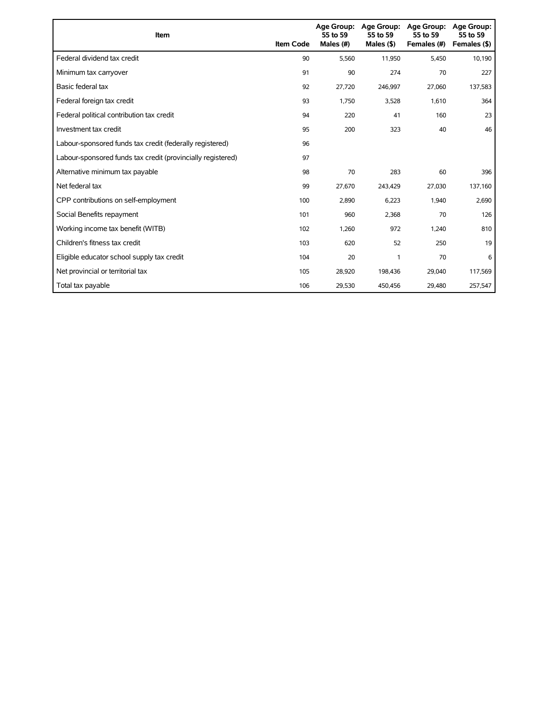| Item                                                        | <b>Item Code</b> | 55 to 59<br>Males (#) | Age Group: Age Group:<br>55 to 59<br>Males $($ \$) | <b>Age Group:</b><br>55 to 59<br>Females (#) | <b>Age Group:</b><br>55 to 59<br>Females (\$) |
|-------------------------------------------------------------|------------------|-----------------------|----------------------------------------------------|----------------------------------------------|-----------------------------------------------|
| Federal dividend tax credit                                 | 90               | 5,560                 | 11,950                                             | 5,450                                        | 10,190                                        |
| Minimum tax carryover                                       | 91               | 90                    | 274                                                | 70                                           | 227                                           |
| Basic federal tax                                           | 92               | 27,720                | 246,997                                            | 27,060                                       | 137,583                                       |
| Federal foreign tax credit                                  | 93               | 1,750                 | 3,528                                              | 1,610                                        | 364                                           |
| Federal political contribution tax credit                   | 94               | 220                   | 41                                                 | 160                                          | 23                                            |
| Investment tax credit                                       | 95               | 200                   | 323                                                | 40                                           | 46                                            |
| Labour-sponsored funds tax credit (federally registered)    | 96               |                       |                                                    |                                              |                                               |
| Labour-sponsored funds tax credit (provincially registered) | 97               |                       |                                                    |                                              |                                               |
| Alternative minimum tax payable                             | 98               | 70                    | 283                                                | 60                                           | 396                                           |
| Net federal tax                                             | 99               | 27,670                | 243,429                                            | 27,030                                       | 137,160                                       |
| CPP contributions on self-employment                        | 100              | 2,890                 | 6,223                                              | 1,940                                        | 2,690                                         |
| Social Benefits repayment                                   | 101              | 960                   | 2,368                                              | 70                                           | 126                                           |
| Working income tax benefit (WITB)                           | 102              | 1,260                 | 972                                                | 1,240                                        | 810                                           |
| Children's fitness tax credit                               | 103              | 620                   | 52                                                 | 250                                          | 19                                            |
| Eligible educator school supply tax credit                  | 104              | 20                    | 1                                                  | 70                                           | 6                                             |
| Net provincial or territorial tax                           | 105              | 28,920                | 198,436                                            | 29,040                                       | 117,569                                       |
| Total tax payable                                           | 106              | 29,530                | 450,456                                            | 29,480                                       | 257,547                                       |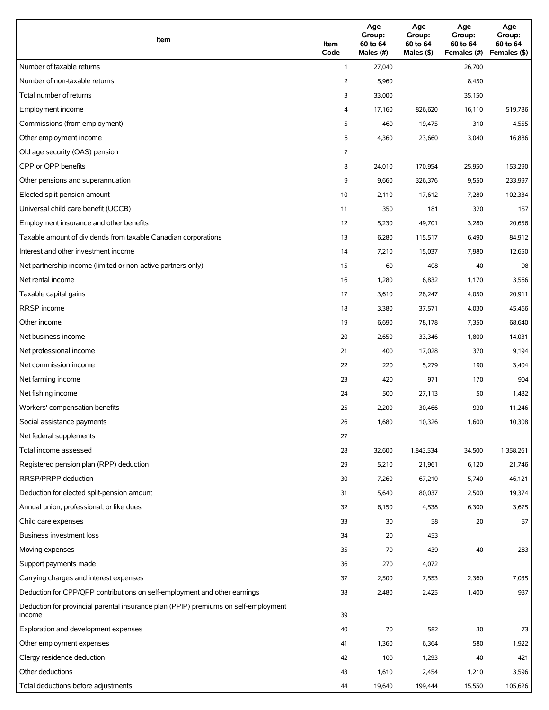| Item                                                                                          | Item<br>Code | Age<br>Group:<br>60 to 64<br>Males (#) | Age<br>Group:<br>60 to 64<br>Males (\$) | Age<br>Group:<br>60 to 64<br>Females (#) | Age<br>Group:<br>60 to 64<br>Females (\$) |
|-----------------------------------------------------------------------------------------------|--------------|----------------------------------------|-----------------------------------------|------------------------------------------|-------------------------------------------|
| Number of taxable returns                                                                     | $\mathbf{1}$ | 27,040                                 |                                         | 26,700                                   |                                           |
| Number of non-taxable returns                                                                 | 2            | 5,960                                  |                                         | 8,450                                    |                                           |
| Total number of returns                                                                       | 3            | 33,000                                 |                                         | 35,150                                   |                                           |
| Employment income                                                                             | 4            | 17,160                                 | 826,620                                 | 16,110                                   | 519,786                                   |
| Commissions (from employment)                                                                 | 5            | 460                                    | 19,475                                  | 310                                      | 4,555                                     |
| Other employment income                                                                       | 6            | 4,360                                  | 23,660                                  | 3,040                                    | 16,886                                    |
| Old age security (OAS) pension                                                                | 7            |                                        |                                         |                                          |                                           |
| CPP or OPP benefits                                                                           | 8            | 24,010                                 | 170,954                                 | 25,950                                   | 153,290                                   |
| Other pensions and superannuation                                                             | 9            | 9,660                                  | 326,376                                 | 9,550                                    | 233,997                                   |
| Elected split-pension amount                                                                  | 10           | 2,110                                  | 17,612                                  | 7,280                                    | 102,334                                   |
| Universal child care benefit (UCCB)                                                           | 11           | 350                                    | 181                                     | 320                                      | 157                                       |
| Employment insurance and other benefits                                                       | 12           | 5,230                                  | 49,701                                  | 3,280                                    | 20,656                                    |
| Taxable amount of dividends from taxable Canadian corporations                                | 13           | 6,280                                  | 115,517                                 | 6,490                                    | 84,912                                    |
| Interest and other investment income                                                          | 14           | 7,210                                  | 15,037                                  | 7,980                                    | 12,650                                    |
| Net partnership income (limited or non-active partners only)                                  | 15           | 60                                     | 408                                     | 40                                       | 98                                        |
| Net rental income                                                                             | 16           | 1,280                                  | 6,832                                   | 1,170                                    | 3,566                                     |
| Taxable capital gains                                                                         | 17           | 3,610                                  | 28,247                                  | 4,050                                    | 20,911                                    |
| <b>RRSP</b> income                                                                            | 18           | 3,380                                  | 37,571                                  | 4,030                                    | 45,466                                    |
| Other income                                                                                  | 19           | 6,690                                  | 78,178                                  | 7,350                                    | 68,640                                    |
| Net business income                                                                           | 20           | 2,650                                  | 33,346                                  | 1,800                                    | 14,031                                    |
| Net professional income                                                                       | 21           | 400                                    | 17,028                                  | 370                                      | 9,194                                     |
| Net commission income                                                                         | 22           | 220                                    | 5,279                                   | 190                                      | 3,404                                     |
| Net farming income                                                                            | 23           | 420                                    | 971                                     | 170                                      | 904                                       |
| Net fishing income                                                                            | 24           | 500                                    | 27,113                                  | 50                                       | 1,482                                     |
| Workers' compensation benefits                                                                | 25           | 2,200                                  | 30,466                                  | 930                                      | 11,246                                    |
| Social assistance payments                                                                    | 26           | 1,680                                  | 10,326                                  | 1,600                                    | 10,308                                    |
| Net federal supplements                                                                       | 27           |                                        |                                         |                                          |                                           |
| Total income assessed                                                                         | 28           | 32,600                                 | 1,843,534                               | 34,500                                   | 1,358,261                                 |
| Registered pension plan (RPP) deduction                                                       | 29           | 5,210                                  | 21,961                                  | 6,120                                    | 21,746                                    |
| RRSP/PRPP deduction                                                                           | 30           | 7,260                                  | 67,210                                  | 5,740                                    | 46,121                                    |
| Deduction for elected split-pension amount                                                    | 31           | 5,640                                  | 80,037                                  | 2,500                                    | 19,374                                    |
| Annual union, professional, or like dues                                                      | 32           | 6,150                                  | 4,538                                   | 6,300                                    | 3,675                                     |
| Child care expenses                                                                           | 33           | 30                                     | 58                                      | 20                                       | 57                                        |
| <b>Business investment loss</b>                                                               | 34           | 20                                     | 453                                     |                                          |                                           |
| Moving expenses                                                                               | 35           | 70                                     | 439                                     | 40                                       | 283                                       |
| Support payments made                                                                         | 36           | 270                                    | 4,072                                   |                                          |                                           |
| Carrying charges and interest expenses                                                        | 37           | 2,500                                  | 7,553                                   | 2,360                                    | 7,035                                     |
| Deduction for CPP/QPP contributions on self-employment and other earnings                     | 38           | 2,480                                  | 2,425                                   | 1,400                                    | 937                                       |
| Deduction for provincial parental insurance plan (PPIP) premiums on self-employment<br>income | 39           |                                        |                                         |                                          |                                           |
| Exploration and development expenses                                                          | 40           | 70                                     | 582                                     | 30                                       | 73                                        |
| Other employment expenses                                                                     | 41           | 1,360                                  | 6,364                                   | 580                                      | 1,922                                     |
| Clergy residence deduction                                                                    | 42           | 100                                    | 1,293                                   | 40                                       | 421                                       |
| Other deductions                                                                              | 43           | 1,610                                  | 2,454                                   | 1,210                                    | 3,596                                     |
| Total deductions before adjustments                                                           | 44           | 19,640                                 | 199,444                                 | 15,550                                   | 105,626                                   |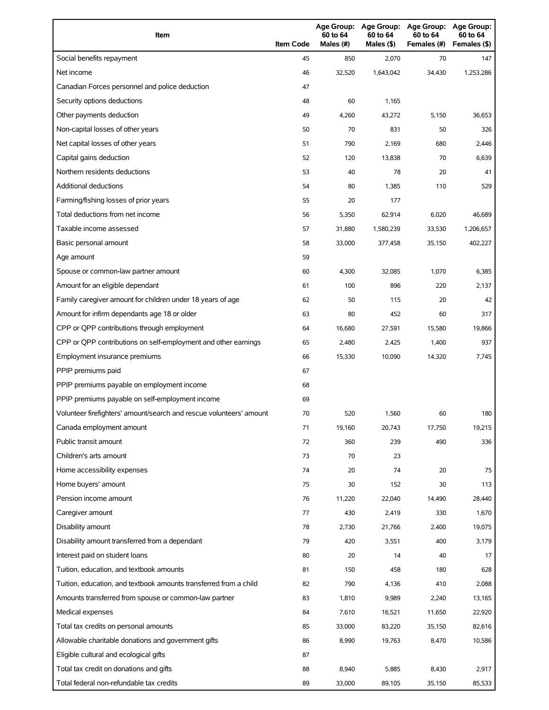| Item                                                                | <b>Item Code</b> | Age Group:<br>60 to 64<br>Males (#) | Age Group:<br>60 to 64<br>Males (\$) | <b>Age Group:</b><br>60 to 64<br>Females (#) | <b>Age Group:</b><br>60 to 64<br>Females (\$) |
|---------------------------------------------------------------------|------------------|-------------------------------------|--------------------------------------|----------------------------------------------|-----------------------------------------------|
| Social benefits repayment                                           | 45               | 850                                 | 2,070                                | 70                                           | 147                                           |
| Net income                                                          | 46               | 32,520                              | 1,643,042                            | 34,430                                       | 1,253,286                                     |
| Canadian Forces personnel and police deduction                      | 47               |                                     |                                      |                                              |                                               |
| Security options deductions                                         | 48               | 60                                  | 1,165                                |                                              |                                               |
| Other payments deduction                                            | 49               | 4,260                               | 43,272                               | 5,150                                        | 36,653                                        |
| Non-capital losses of other years                                   | 50               | 70                                  | 831                                  | 50                                           | 326                                           |
| Net capital losses of other years                                   | 51               | 790                                 | 2,169                                | 680                                          | 2,446                                         |
| Capital gains deduction                                             | 52               | 120                                 | 13,838                               | 70                                           | 6,639                                         |
| Northern residents deductions                                       | 53               | 40                                  | 78                                   | 20                                           | 41                                            |
| Additional deductions                                               | 54               | 80                                  | 1,385                                | 110                                          | 529                                           |
| Farming/fishing losses of prior years                               | 55               | 20                                  | 177                                  |                                              |                                               |
| Total deductions from net income                                    | 56               | 5,350                               | 62,914                               | 6,020                                        | 46,689                                        |
| Taxable income assessed                                             | 57               | 31,880                              | 1,580,239                            | 33,530                                       | 1,206,657                                     |
| Basic personal amount                                               | 58               | 33,000                              | 377,458                              | 35,150                                       | 402,227                                       |
| Age amount                                                          | 59               |                                     |                                      |                                              |                                               |
| Spouse or common-law partner amount                                 | 60               | 4,300                               | 32,085                               | 1,070                                        | 6,385                                         |
| Amount for an eligible dependant                                    | 61               | 100                                 | 896                                  | 220                                          | 2,137                                         |
| Family caregiver amount for children under 18 years of age          | 62               | 50                                  | 115                                  | 20                                           | 42                                            |
| Amount for infirm dependants age 18 or older                        | 63               | 80                                  | 452                                  | 60                                           | 317                                           |
| CPP or QPP contributions through employment                         | 64               | 16,680                              | 27,591                               | 15,580                                       | 19,866                                        |
| CPP or QPP contributions on self-employment and other earnings      | 65               | 2,480                               | 2,425                                | 1,400                                        | 937                                           |
| Employment insurance premiums                                       | 66               | 15,330                              | 10,090                               | 14,320                                       | 7,745                                         |
| PPIP premiums paid                                                  | 67               |                                     |                                      |                                              |                                               |
| PPIP premiums payable on employment income                          | 68               |                                     |                                      |                                              |                                               |
| PPIP premiums payable on self-employment income                     | 69               |                                     |                                      |                                              |                                               |
| Volunteer firefighters' amount/search and rescue volunteers' amount | 70               | 520                                 | 1,560                                | 60                                           | 180                                           |
| Canada employment amount                                            | 71               | 19,160                              | 20,743                               | 17,750                                       | 19,215                                        |
| Public transit amount                                               | 72               | 360                                 | 239                                  | 490                                          | 336                                           |
| Children's arts amount                                              | 73               | 70                                  | 23                                   |                                              |                                               |
| Home accessibility expenses                                         | 74               | 20                                  | 74                                   | 20                                           | 75                                            |
| Home buyers' amount                                                 | 75               | 30                                  | 152                                  | 30                                           | 113                                           |
| Pension income amount                                               | 76               | 11,220                              | 22,040                               | 14,490                                       | 28,440                                        |
| Caregiver amount                                                    | 77               | 430                                 | 2,419                                | 330                                          | 1,670                                         |
| Disability amount                                                   | 78               | 2,730                               | 21,766                               | 2,400                                        | 19,075                                        |
| Disability amount transferred from a dependant                      | 79               | 420                                 | 3,551                                | 400                                          | 3,179                                         |
| Interest paid on student loans                                      | 80               | 20                                  | 14                                   | 40                                           | 17                                            |
| Tuition, education, and textbook amounts                            | 81               | 150                                 | 458                                  | 180                                          | 628                                           |
| Tuition, education, and textbook amounts transferred from a child   | 82               | 790                                 | 4,136                                | 410                                          | 2,088                                         |
| Amounts transferred from spouse or common-law partner               | 83               | 1,810                               | 9,989                                | 2,240                                        | 13,165                                        |
| Medical expenses                                                    | 84               | 7,610                               | 16,521                               | 11,650                                       | 22,920                                        |
| Total tax credits on personal amounts                               | 85               | 33,000                              | 83,220                               | 35,150                                       | 82,616                                        |
| Allowable charitable donations and government gifts                 | 86               | 8,990                               | 19,763                               | 8,470                                        | 10,586                                        |
| Eligible cultural and ecological gifts                              | 87               |                                     |                                      |                                              |                                               |
| Total tax credit on donations and gifts                             | 88               | 8,940                               | 5,885                                | 8,430                                        | 2,917                                         |
| Total federal non-refundable tax credits                            | 89               | 33,000                              | 89,105                               | 35,150                                       | 85,533                                        |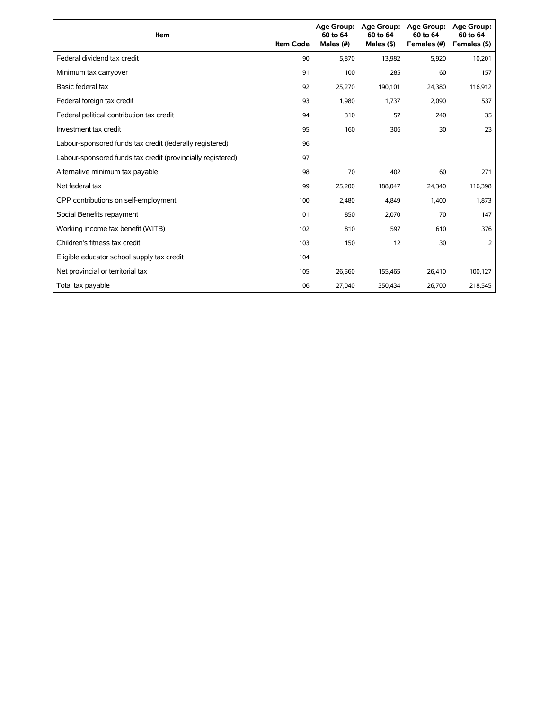| Item                                                        | <b>Item Code</b> | <b>Age Group:</b><br>60 to 64<br>Males (#) | <b>Age Group:</b><br>60 to 64<br>Males $($ \$) | <b>Age Group:</b><br>60 to 64<br>Females (#) | <b>Age Group:</b><br>60 to 64<br>Females (\$) |
|-------------------------------------------------------------|------------------|--------------------------------------------|------------------------------------------------|----------------------------------------------|-----------------------------------------------|
| Federal dividend tax credit                                 | 90               | 5,870                                      | 13,982                                         | 5,920                                        | 10,201                                        |
| Minimum tax carryover                                       | 91               | 100                                        | 285                                            | 60                                           | 157                                           |
| Basic federal tax                                           | 92               | 25,270                                     | 190,101                                        | 24,380                                       | 116,912                                       |
| Federal foreign tax credit                                  | 93               | 1,980                                      | 1.737                                          | 2,090                                        | 537                                           |
| Federal political contribution tax credit                   | 94               | 310                                        | 57                                             | 240                                          | 35                                            |
| Investment tax credit                                       | 95               | 160                                        | 306                                            | 30                                           | 23                                            |
| Labour-sponsored funds tax credit (federally registered)    | 96               |                                            |                                                |                                              |                                               |
| Labour-sponsored funds tax credit (provincially registered) | 97               |                                            |                                                |                                              |                                               |
| Alternative minimum tax payable                             | 98               | 70                                         | 402                                            | 60                                           | 271                                           |
| Net federal tax                                             | 99               | 25,200                                     | 188,047                                        | 24,340                                       | 116,398                                       |
| CPP contributions on self-employment                        | 100              | 2,480                                      | 4,849                                          | 1,400                                        | 1,873                                         |
| Social Benefits repayment                                   | 101              | 850                                        | 2,070                                          | 70                                           | 147                                           |
| Working income tax benefit (WITB)                           | 102              | 810                                        | 597                                            | 610                                          | 376                                           |
| Children's fitness tax credit                               | 103              | 150                                        | 12                                             | 30                                           | 2                                             |
| Eligible educator school supply tax credit                  | 104              |                                            |                                                |                                              |                                               |
| Net provincial or territorial tax                           | 105              | 26,560                                     | 155,465                                        | 26,410                                       | 100,127                                       |
| Total tax payable                                           | 106              | 27,040                                     | 350,434                                        | 26,700                                       | 218,545                                       |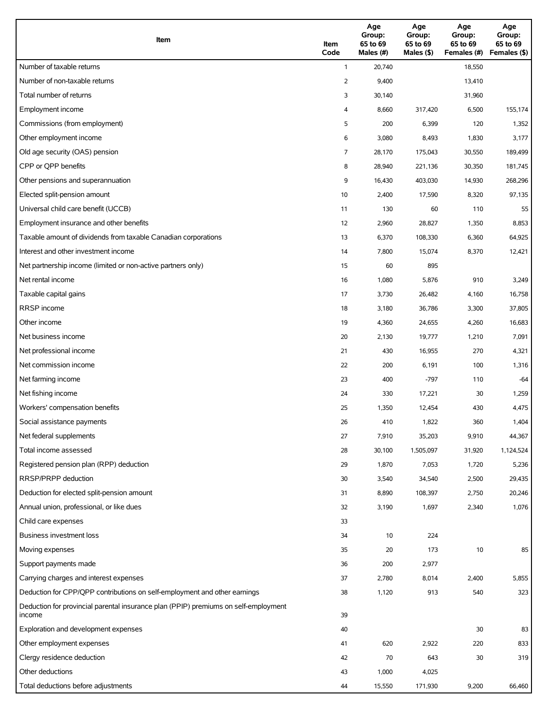| Item                                                                                          | Item<br>Code | Age<br>Group:<br>65 to 69<br>Males (#) | Age<br>Group:<br>65 to 69<br>Males (\$) | Age<br>Group:<br>65 to 69<br>Females (#) | Age<br>Group:<br>65 to 69<br>Females (\$) |
|-----------------------------------------------------------------------------------------------|--------------|----------------------------------------|-----------------------------------------|------------------------------------------|-------------------------------------------|
| Number of taxable returns                                                                     | $\mathbf{1}$ | 20,740                                 |                                         | 18,550                                   |                                           |
| Number of non-taxable returns                                                                 | 2            | 9,400                                  |                                         | 13,410                                   |                                           |
| Total number of returns                                                                       | 3            | 30,140                                 |                                         | 31,960                                   |                                           |
| Employment income                                                                             | 4            | 8,660                                  | 317,420                                 | 6,500                                    | 155,174                                   |
| Commissions (from employment)                                                                 | 5            | 200                                    | 6,399                                   | 120                                      | 1,352                                     |
| Other employment income                                                                       | 6            | 3,080                                  | 8,493                                   | 1,830                                    | 3,177                                     |
| Old age security (OAS) pension                                                                | 7            | 28,170                                 | 175,043                                 | 30,550                                   | 189,499                                   |
| CPP or QPP benefits                                                                           | 8            | 28,940                                 | 221,136                                 | 30,350                                   | 181,745                                   |
| Other pensions and superannuation                                                             | 9            | 16,430                                 | 403,030                                 | 14,930                                   | 268,296                                   |
| Elected split-pension amount                                                                  | 10           | 2,400                                  | 17,590                                  | 8,320                                    | 97,135                                    |
| Universal child care benefit (UCCB)                                                           | 11           | 130                                    | 60                                      | 110                                      | 55                                        |
| Employment insurance and other benefits                                                       | 12           | 2,960                                  | 28,827                                  | 1,350                                    | 8,853                                     |
| Taxable amount of dividends from taxable Canadian corporations                                | 13           | 6,370                                  | 108,330                                 | 6,360                                    | 64,925                                    |
| Interest and other investment income                                                          | 14           | 7,800                                  | 15,074                                  | 8,370                                    | 12,421                                    |
| Net partnership income (limited or non-active partners only)                                  | 15           | 60                                     | 895                                     |                                          |                                           |
| Net rental income                                                                             | 16           | 1,080                                  | 5,876                                   | 910                                      | 3,249                                     |
| Taxable capital gains                                                                         | 17           | 3,730                                  | 26,482                                  | 4,160                                    | 16,758                                    |
| <b>RRSP</b> income                                                                            | 18           | 3,180                                  | 36,786                                  | 3,300                                    | 37,805                                    |
| Other income                                                                                  | 19           | 4,360                                  | 24,655                                  | 4,260                                    | 16,683                                    |
| Net business income                                                                           | 20           | 2,130                                  | 19,777                                  | 1,210                                    | 7,091                                     |
| Net professional income                                                                       | 21           | 430                                    | 16,955                                  | 270                                      | 4,321                                     |
| Net commission income                                                                         | 22           | 200                                    | 6,191                                   | 100                                      | 1,316                                     |
| Net farming income                                                                            | 23           | 400                                    | -797                                    | 110                                      | $-64$                                     |
| Net fishing income                                                                            | 24           | 330                                    | 17,221                                  | 30                                       | 1,259                                     |
| Workers' compensation benefits                                                                | 25           | 1,350                                  | 12,454                                  | 430                                      | 4,475                                     |
| Social assistance payments                                                                    | 26           | 410                                    | 1,822                                   | 360                                      | 1,404                                     |
| Net federal supplements                                                                       | 27           | 7,910                                  | 35,203                                  | 9,910                                    | 44,367                                    |
| Total income assessed                                                                         | 28           | 30,100                                 | 1,505,097                               | 31,920                                   | 1,124,524                                 |
| Registered pension plan (RPP) deduction                                                       | 29           | 1,870                                  | 7,053                                   | 1,720                                    | 5,236                                     |
| RRSP/PRPP deduction                                                                           | 30           | 3,540                                  | 34,540                                  | 2,500                                    | 29,435                                    |
| Deduction for elected split-pension amount                                                    | 31           | 8,890                                  | 108,397                                 | 2,750                                    | 20,246                                    |
| Annual union, professional, or like dues                                                      | 32           | 3,190                                  | 1,697                                   | 2,340                                    | 1,076                                     |
| Child care expenses                                                                           | 33           |                                        |                                         |                                          |                                           |
| Business investment loss                                                                      | 34           | 10                                     | 224                                     |                                          |                                           |
| Moving expenses                                                                               | 35           | 20                                     | 173                                     | $10$                                     | 85                                        |
| Support payments made                                                                         | 36           | 200                                    | 2,977                                   |                                          |                                           |
| Carrying charges and interest expenses                                                        | 37           | 2,780                                  | 8,014                                   | 2,400                                    | 5,855                                     |
| Deduction for CPP/QPP contributions on self-employment and other earnings                     | 38           | 1,120                                  | 913                                     | 540                                      | 323                                       |
| Deduction for provincial parental insurance plan (PPIP) premiums on self-employment<br>income | 39           |                                        |                                         |                                          |                                           |
| Exploration and development expenses                                                          | 40           |                                        |                                         | 30                                       | 83                                        |
| Other employment expenses                                                                     | 41           | 620                                    | 2,922                                   | 220                                      | 833                                       |
| Clergy residence deduction                                                                    | 42           | 70                                     | 643                                     | 30                                       | 319                                       |
| Other deductions                                                                              | 43           | 1,000                                  | 4,025                                   |                                          |                                           |
| Total deductions before adjustments                                                           | 44           | 15,550                                 | 171,930                                 | 9,200                                    | 66,460                                    |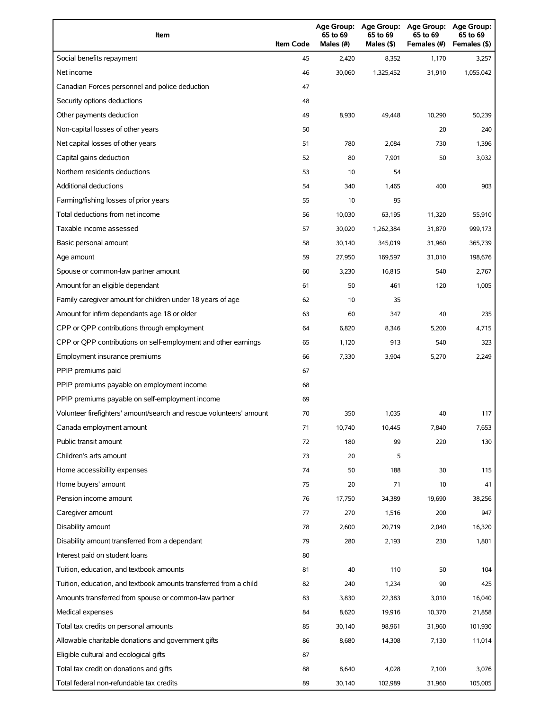| Item                                                                | <b>Item Code</b> | Age Group:<br>65 to 69<br>Males (#) | <b>Age Group:</b><br>65 to 69<br>Males (\$) | <b>Age Group:</b><br>65 to 69<br>Females (#) | <b>Age Group:</b><br>65 to 69<br>Females (\$) |
|---------------------------------------------------------------------|------------------|-------------------------------------|---------------------------------------------|----------------------------------------------|-----------------------------------------------|
| Social benefits repayment                                           | 45               | 2,420                               | 8,352                                       | 1,170                                        | 3,257                                         |
| Net income                                                          | 46               | 30,060                              | 1,325,452                                   | 31,910                                       | 1,055,042                                     |
| Canadian Forces personnel and police deduction                      | 47               |                                     |                                             |                                              |                                               |
| Security options deductions                                         | 48               |                                     |                                             |                                              |                                               |
| Other payments deduction                                            | 49               | 8,930                               | 49,448                                      | 10,290                                       | 50,239                                        |
| Non-capital losses of other years                                   | 50               |                                     |                                             | 20                                           | 240                                           |
| Net capital losses of other years                                   | 51               | 780                                 | 2,084                                       | 730                                          | 1,396                                         |
| Capital gains deduction                                             | 52               | 80                                  | 7,901                                       | 50                                           | 3,032                                         |
| Northern residents deductions                                       | 53               | 10                                  | 54                                          |                                              |                                               |
| Additional deductions                                               | 54               | 340                                 | 1,465                                       | 400                                          | 903                                           |
| Farming/fishing losses of prior years                               | 55               | 10                                  | 95                                          |                                              |                                               |
| Total deductions from net income                                    | 56               | 10,030                              | 63,195                                      | 11,320                                       | 55,910                                        |
| Taxable income assessed                                             | 57               | 30,020                              | 1,262,384                                   | 31,870                                       | 999,173                                       |
| Basic personal amount                                               | 58               | 30,140                              | 345,019                                     | 31,960                                       | 365,739                                       |
| Age amount                                                          | 59               | 27,950                              | 169,597                                     | 31,010                                       | 198,676                                       |
| Spouse or common-law partner amount                                 | 60               | 3,230                               | 16,815                                      | 540                                          | 2,767                                         |
| Amount for an eligible dependant                                    | 61               | 50                                  | 461                                         | 120                                          | 1,005                                         |
| Family caregiver amount for children under 18 years of age          | 62               | 10                                  | 35                                          |                                              |                                               |
| Amount for infirm dependants age 18 or older                        | 63               | 60                                  | 347                                         | 40                                           | 235                                           |
| CPP or QPP contributions through employment                         | 64               | 6,820                               | 8,346                                       | 5,200                                        | 4,715                                         |
| CPP or QPP contributions on self-employment and other earnings      | 65               | 1,120                               | 913                                         | 540                                          | 323                                           |
| Employment insurance premiums                                       | 66               | 7,330                               | 3,904                                       | 5,270                                        | 2,249                                         |
| PPIP premiums paid                                                  | 67               |                                     |                                             |                                              |                                               |
| PPIP premiums payable on employment income                          | 68               |                                     |                                             |                                              |                                               |
| PPIP premiums payable on self-employment income                     | 69               |                                     |                                             |                                              |                                               |
| Volunteer firefighters' amount/search and rescue volunteers' amount | 70               | 350                                 | 1,035                                       | 40                                           | 117                                           |
| Canada employment amount                                            | 71               | 10,740                              | 10,445                                      | 7,840                                        | 7,653                                         |
| Public transit amount                                               | 72               | 180                                 | 99                                          | 220                                          | 130                                           |
| Children's arts amount                                              | 73               | 20                                  | 5                                           |                                              |                                               |
| Home accessibility expenses                                         | 74               | 50                                  | 188                                         | 30                                           | 115                                           |
| Home buyers' amount                                                 | 75               | 20                                  | 71                                          | 10                                           | 41                                            |
| Pension income amount                                               | 76               | 17,750                              | 34,389                                      | 19,690                                       | 38,256                                        |
| Caregiver amount                                                    | 77               | 270                                 | 1,516                                       | 200                                          | 947                                           |
| Disability amount                                                   | 78               | 2,600                               | 20,719                                      | 2,040                                        | 16,320                                        |
| Disability amount transferred from a dependant                      | 79               | 280                                 | 2,193                                       | 230                                          | 1,801                                         |
| Interest paid on student loans                                      | 80               |                                     |                                             |                                              |                                               |
| Tuition, education, and textbook amounts                            | 81               | 40                                  | 110                                         | 50                                           | 104                                           |
| Tuition, education, and textbook amounts transferred from a child   | 82               | 240                                 | 1,234                                       | 90                                           | 425                                           |
| Amounts transferred from spouse or common-law partner               | 83               | 3,830                               | 22,383                                      | 3,010                                        | 16,040                                        |
| Medical expenses                                                    | 84               | 8,620                               | 19,916                                      | 10,370                                       | 21,858                                        |
| Total tax credits on personal amounts                               | 85               | 30,140                              | 98,961                                      | 31,960                                       | 101,930                                       |
| Allowable charitable donations and government gifts                 | 86               | 8,680                               | 14,308                                      | 7,130                                        | 11,014                                        |
| Eligible cultural and ecological gifts                              | 87               |                                     |                                             |                                              |                                               |
| Total tax credit on donations and gifts                             | 88               | 8,640                               | 4,028                                       | 7,100                                        | 3,076                                         |
| Total federal non-refundable tax credits                            | 89               | 30,140                              | 102,989                                     | 31,960                                       | 105,005                                       |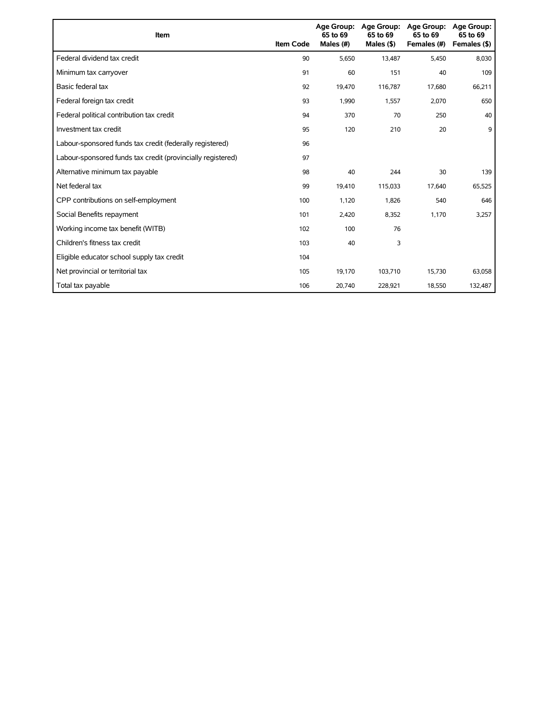| Item                                                        | <b>Item Code</b> | 65 to 69<br>Males (#) | Age Group: Age Group:<br>65 to 69<br>Males $(§)$ | <b>Age Group:</b><br>65 to 69<br>Females (#) | <b>Age Group:</b><br>65 to 69<br>Females (\$) |
|-------------------------------------------------------------|------------------|-----------------------|--------------------------------------------------|----------------------------------------------|-----------------------------------------------|
| Federal dividend tax credit                                 | 90               | 5.650                 | 13,487                                           | 5.450                                        | 8,030                                         |
| Minimum tax carryover                                       | 91               | 60                    | 151                                              | 40                                           | 109                                           |
| Basic federal tax                                           | 92               | 19,470                | 116,787                                          | 17,680                                       | 66,211                                        |
| Federal foreign tax credit                                  | 93               | 1,990                 | 1,557                                            | 2,070                                        | 650                                           |
| Federal political contribution tax credit                   | 94               | 370                   | 70                                               | 250                                          | 40                                            |
| Investment tax credit                                       | 95               | 120                   | 210                                              | 20                                           | 9                                             |
| Labour-sponsored funds tax credit (federally registered)    | 96               |                       |                                                  |                                              |                                               |
| Labour-sponsored funds tax credit (provincially registered) | 97               |                       |                                                  |                                              |                                               |
| Alternative minimum tax payable                             | 98               | 40                    | 244                                              | 30                                           | 139                                           |
| Net federal tax                                             | 99               | 19,410                | 115,033                                          | 17,640                                       | 65,525                                        |
| CPP contributions on self-employment                        | 100              | 1,120                 | 1,826                                            | 540                                          | 646                                           |
| Social Benefits repayment                                   | 101              | 2,420                 | 8,352                                            | 1,170                                        | 3,257                                         |
| Working income tax benefit (WITB)                           | 102              | 100                   | 76                                               |                                              |                                               |
| Children's fitness tax credit                               | 103              | 40                    | 3                                                |                                              |                                               |
| Eligible educator school supply tax credit                  | 104              |                       |                                                  |                                              |                                               |
| Net provincial or territorial tax                           | 105              | 19,170                | 103,710                                          | 15,730                                       | 63,058                                        |
| Total tax payable                                           | 106              | 20,740                | 228,921                                          | 18,550                                       | 132,487                                       |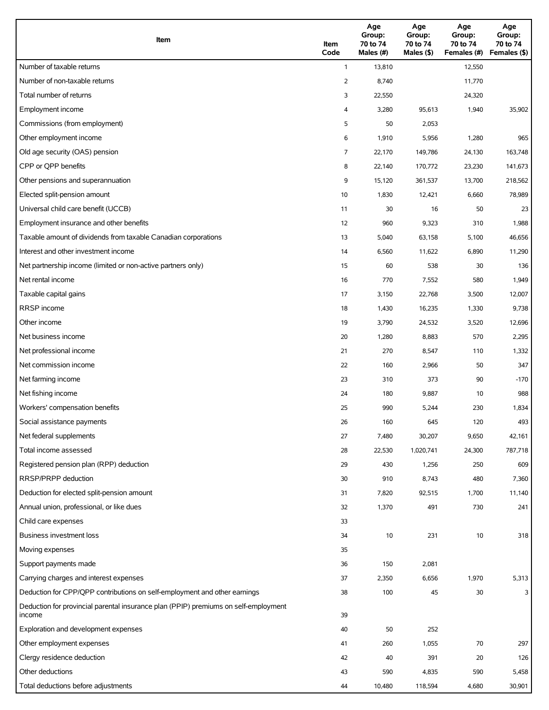| Item                                                                                          | Item<br>Code   | Age<br>Group:<br>70 to 74<br>Males (#) | Age<br>Group:<br>70 to 74<br>Males (\$) | Age<br>Group:<br>70 to 74<br>Females (#) | Age<br>Group:<br>70 to 74<br>Females (\$) |
|-----------------------------------------------------------------------------------------------|----------------|----------------------------------------|-----------------------------------------|------------------------------------------|-------------------------------------------|
| Number of taxable returns                                                                     | $\mathbf{1}$   | 13,810                                 |                                         | 12,550                                   |                                           |
| Number of non-taxable returns                                                                 | 2              | 8,740                                  |                                         | 11,770                                   |                                           |
| Total number of returns                                                                       | 3              | 22,550                                 |                                         | 24,320                                   |                                           |
| Employment income                                                                             | 4              | 3,280                                  | 95,613                                  | 1,940                                    | 35,902                                    |
| Commissions (from employment)                                                                 | 5              | 50                                     | 2,053                                   |                                          |                                           |
| Other employment income                                                                       | 6              | 1,910                                  | 5,956                                   | 1,280                                    | 965                                       |
| Old age security (OAS) pension                                                                | $\overline{7}$ | 22,170                                 | 149,786                                 | 24,130                                   | 163,748                                   |
| CPP or OPP benefits                                                                           | 8              | 22,140                                 | 170,772                                 | 23,230                                   | 141,673                                   |
| Other pensions and superannuation                                                             | 9              | 15,120                                 | 361,537                                 | 13,700                                   | 218,562                                   |
| Elected split-pension amount                                                                  | 10             | 1,830                                  | 12,421                                  | 6,660                                    | 78,989                                    |
| Universal child care benefit (UCCB)                                                           | 11             | 30                                     | 16                                      | 50                                       | 23                                        |
| Employment insurance and other benefits                                                       | 12             | 960                                    | 9,323                                   | 310                                      | 1,988                                     |
| Taxable amount of dividends from taxable Canadian corporations                                | 13             | 5,040                                  | 63,158                                  | 5,100                                    | 46,656                                    |
| Interest and other investment income                                                          | 14             | 6,560                                  | 11,622                                  | 6,890                                    | 11,290                                    |
| Net partnership income (limited or non-active partners only)                                  | 15             | 60                                     | 538                                     | 30                                       | 136                                       |
| Net rental income                                                                             | 16             | 770                                    | 7,552                                   | 580                                      | 1,949                                     |
| Taxable capital gains                                                                         | 17             | 3,150                                  | 22,768                                  | 3,500                                    | 12,007                                    |
| <b>RRSP</b> income                                                                            | 18             | 1,430                                  | 16,235                                  | 1,330                                    | 9,738                                     |
| Other income                                                                                  | 19             | 3,790                                  | 24,532                                  | 3,520                                    | 12,696                                    |
| Net business income                                                                           | 20             | 1,280                                  | 8,883                                   | 570                                      | 2,295                                     |
| Net professional income                                                                       | 21             | 270                                    | 8,547                                   | 110                                      | 1,332                                     |
| Net commission income                                                                         | 22             | 160                                    | 2,966                                   | 50                                       | 347                                       |
| Net farming income                                                                            | 23             | 310                                    | 373                                     | 90                                       | $-170$                                    |
| Net fishing income                                                                            | 24             | 180                                    | 9,887                                   | 10                                       | 988                                       |
| Workers' compensation benefits                                                                | 25             | 990                                    | 5,244                                   | 230                                      | 1,834                                     |
| Social assistance payments                                                                    | 26             | 160                                    | 645                                     | 120                                      | 493                                       |
| Net federal supplements                                                                       | 27             | 7,480                                  | 30,207                                  | 9,650                                    | 42,161                                    |
| Total income assessed                                                                         | 28             | 22,530                                 | 1,020,741                               | 24,300                                   | 787,718                                   |
| Registered pension plan (RPP) deduction                                                       | 29             | 430                                    | 1,256                                   | 250                                      | 609                                       |
| RRSP/PRPP deduction                                                                           | 30             | 910                                    | 8,743                                   | 480                                      | 7,360                                     |
| Deduction for elected split-pension amount                                                    | 31             | 7,820                                  | 92,515                                  | 1,700                                    | 11,140                                    |
| Annual union, professional, or like dues                                                      | 32             | 1,370                                  | 491                                     | 730                                      | 241                                       |
| Child care expenses                                                                           | 33             |                                        |                                         |                                          |                                           |
| Business investment loss                                                                      | 34             | 10                                     | 231                                     | $10$                                     | 318                                       |
| Moving expenses                                                                               | 35             |                                        |                                         |                                          |                                           |
| Support payments made                                                                         | 36             | 150                                    | 2,081                                   |                                          |                                           |
| Carrying charges and interest expenses                                                        | 37             | 2,350                                  | 6,656                                   | 1,970                                    | 5,313                                     |
| Deduction for CPP/QPP contributions on self-employment and other earnings                     | 38             | 100                                    | 45                                      | 30                                       | 3                                         |
| Deduction for provincial parental insurance plan (PPIP) premiums on self-employment<br>income | 39             |                                        |                                         |                                          |                                           |
| Exploration and development expenses                                                          | 40             | 50                                     | 252                                     |                                          |                                           |
| Other employment expenses                                                                     | 41             | 260                                    | 1,055                                   | 70                                       | 297                                       |
| Clergy residence deduction                                                                    | 42             | 40                                     | 391                                     | 20                                       | 126                                       |
| Other deductions                                                                              | 43             | 590                                    | 4,835                                   | 590                                      | 5,458                                     |
| Total deductions before adjustments                                                           | 44             | 10,480                                 | 118,594                                 | 4,680                                    | 30,901                                    |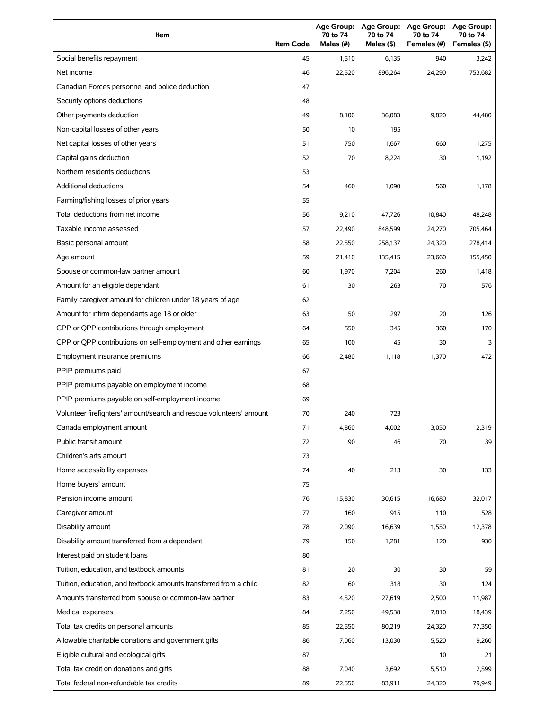| Item                                                                | <b>Item Code</b> | Age Group:<br>70 to 74<br>Males (#) | <b>Age Group:</b><br>70 to 74<br>Males (\$) | <b>Age Group:</b><br>70 to 74<br>Females (#) | <b>Age Group:</b><br>70 to 74<br>Females (\$) |
|---------------------------------------------------------------------|------------------|-------------------------------------|---------------------------------------------|----------------------------------------------|-----------------------------------------------|
| Social benefits repayment                                           | 45               | 1,510                               | 6,135                                       | 940                                          | 3,242                                         |
| Net income                                                          | 46               | 22,520                              | 896,264                                     | 24,290                                       | 753,682                                       |
| Canadian Forces personnel and police deduction                      | 47               |                                     |                                             |                                              |                                               |
| Security options deductions                                         | 48               |                                     |                                             |                                              |                                               |
| Other payments deduction                                            | 49               | 8,100                               | 36,083                                      | 9,820                                        | 44,480                                        |
| Non-capital losses of other years                                   | 50               | 10                                  | 195                                         |                                              |                                               |
| Net capital losses of other years                                   | 51               | 750                                 | 1,667                                       | 660                                          | 1,275                                         |
| Capital gains deduction                                             | 52               | 70                                  | 8,224                                       | 30                                           | 1,192                                         |
| Northern residents deductions                                       | 53               |                                     |                                             |                                              |                                               |
| Additional deductions                                               | 54               | 460                                 | 1,090                                       | 560                                          | 1,178                                         |
| Farming/fishing losses of prior years                               | 55               |                                     |                                             |                                              |                                               |
| Total deductions from net income                                    | 56               | 9,210                               | 47,726                                      | 10,840                                       | 48,248                                        |
| Taxable income assessed                                             | 57               | 22,490                              | 848,599                                     | 24,270                                       | 705,464                                       |
| Basic personal amount                                               | 58               | 22,550                              | 258,137                                     | 24,320                                       | 278,414                                       |
| Age amount                                                          | 59               | 21,410                              | 135,415                                     | 23,660                                       | 155,450                                       |
| Spouse or common-law partner amount                                 | 60               | 1,970                               | 7,204                                       | 260                                          | 1,418                                         |
| Amount for an eligible dependant                                    | 61               | 30                                  | 263                                         | 70                                           | 576                                           |
| Family caregiver amount for children under 18 years of age          | 62               |                                     |                                             |                                              |                                               |
| Amount for infirm dependants age 18 or older                        | 63               | 50                                  | 297                                         | 20                                           | 126                                           |
| CPP or QPP contributions through employment                         | 64               | 550                                 | 345                                         | 360                                          | 170                                           |
| CPP or QPP contributions on self-employment and other earnings      | 65               | 100                                 | 45                                          | 30                                           | 3                                             |
| Employment insurance premiums                                       | 66               | 2,480                               | 1,118                                       | 1,370                                        | 472                                           |
| PPIP premiums paid                                                  | 67               |                                     |                                             |                                              |                                               |
| PPIP premiums payable on employment income                          | 68               |                                     |                                             |                                              |                                               |
| PPIP premiums payable on self-employment income                     | 69               |                                     |                                             |                                              |                                               |
| Volunteer firefighters' amount/search and rescue volunteers' amount | 70               | 240                                 | 723                                         |                                              |                                               |
| Canada employment amount                                            | 71               | 4,860                               | 4,002                                       | 3,050                                        | 2,319                                         |
| Public transit amount                                               | 72               | 90                                  | 46                                          | 70                                           | 39                                            |
| Children's arts amount                                              | 73               |                                     |                                             |                                              |                                               |
| Home accessibility expenses                                         | 74               | 40                                  | 213                                         | 30                                           | 133                                           |
| Home buyers' amount                                                 | 75               |                                     |                                             |                                              |                                               |
| Pension income amount                                               | 76               | 15,830                              | 30,615                                      | 16,680                                       | 32,017                                        |
| Caregiver amount                                                    | 77               | 160                                 | 915                                         | 110                                          | 528                                           |
| Disability amount                                                   | 78               | 2,090                               | 16,639                                      | 1,550                                        | 12,378                                        |
| Disability amount transferred from a dependant                      | 79               | 150                                 | 1,281                                       | 120                                          | 930                                           |
| Interest paid on student loans                                      | 80               |                                     |                                             |                                              |                                               |
| Tuition, education, and textbook amounts                            | 81               | 20                                  | 30                                          | 30                                           | 59                                            |
| Tuition, education, and textbook amounts transferred from a child   | 82               | 60                                  | 318                                         | 30                                           | 124                                           |
| Amounts transferred from spouse or common-law partner               | 83               | 4,520                               | 27,619                                      | 2,500                                        | 11,987                                        |
| Medical expenses                                                    | 84               | 7,250                               | 49,538                                      | 7,810                                        | 18,439                                        |
| Total tax credits on personal amounts                               | 85               | 22,550                              | 80,219                                      | 24,320                                       | 77,350                                        |
| Allowable charitable donations and government gifts                 | 86               | 7,060                               | 13,030                                      | 5,520                                        | 9,260                                         |
| Eligible cultural and ecological gifts                              | 87               |                                     |                                             | 10                                           | 21                                            |
| Total tax credit on donations and gifts                             | 88               | 7,040                               | 3,692                                       | 5,510                                        | 2,599                                         |
| Total federal non-refundable tax credits                            | 89               | 22,550                              | 83,911                                      | 24,320                                       | 79,949                                        |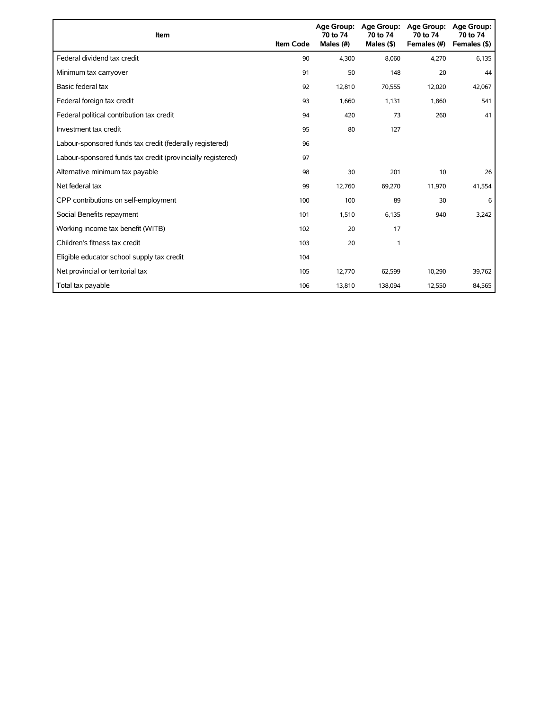| Item                                                        | <b>Item Code</b> | 70 to 74<br>Males (#) | Age Group: Age Group:<br>70 to 74<br>Males $($ \$ $)$ | Age Group:<br>70 to 74<br>Females (#) | Age Group:<br>70 to 74<br>Females (\$) |
|-------------------------------------------------------------|------------------|-----------------------|-------------------------------------------------------|---------------------------------------|----------------------------------------|
| Federal dividend tax credit                                 | 90               | 4,300                 | 8,060                                                 | 4,270                                 | 6,135                                  |
| Minimum tax carryover                                       | 91               | 50                    | 148                                                   | 20                                    | 44                                     |
| Basic federal tax                                           | 92               | 12,810                | 70,555                                                | 12,020                                | 42,067                                 |
| Federal foreign tax credit                                  | 93               | 1,660                 | 1,131                                                 | 1,860                                 | 541                                    |
| Federal political contribution tax credit                   | 94               | 420                   | 73                                                    | 260                                   | 41                                     |
| Investment tax credit                                       | 95               | 80                    | 127                                                   |                                       |                                        |
| Labour-sponsored funds tax credit (federally registered)    | 96               |                       |                                                       |                                       |                                        |
| Labour-sponsored funds tax credit (provincially registered) | 97               |                       |                                                       |                                       |                                        |
| Alternative minimum tax payable                             | 98               | 30                    | 201                                                   | 10                                    | 26                                     |
| Net federal tax                                             | 99               | 12,760                | 69,270                                                | 11,970                                | 41,554                                 |
| CPP contributions on self-employment                        | 100              | 100                   | 89                                                    | 30                                    | 6                                      |
| Social Benefits repayment                                   | 101              | 1,510                 | 6,135                                                 | 940                                   | 3,242                                  |
| Working income tax benefit (WITB)                           | 102              | 20                    | 17                                                    |                                       |                                        |
| Children's fitness tax credit                               | 103              | 20                    | 1                                                     |                                       |                                        |
| Eligible educator school supply tax credit                  | 104              |                       |                                                       |                                       |                                        |
| Net provincial or territorial tax                           | 105              | 12,770                | 62,599                                                | 10,290                                | 39,762                                 |
| Total tax payable                                           | 106              | 13,810                | 138,094                                               | 12,550                                | 84,565                                 |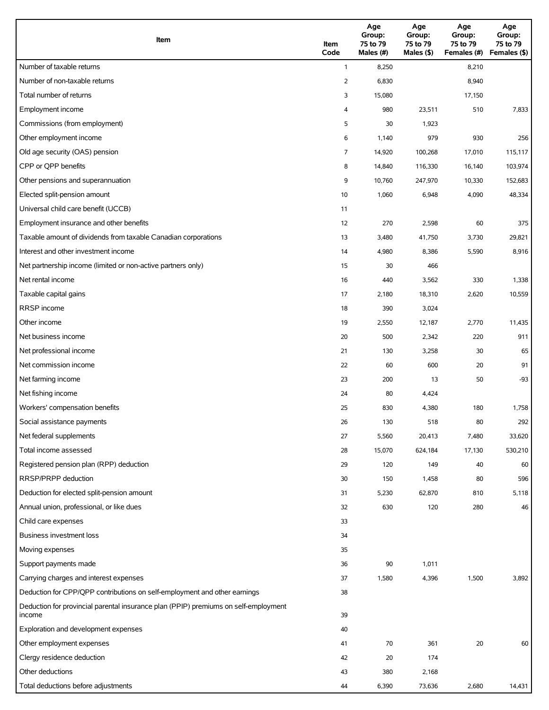| Item                                                                                          | Item<br>Code | Age<br>Group:<br>75 to 79<br>Males (#) | Age<br>Group:<br>75 to 79<br>Males $(\$)$ | Age<br>Group:<br>75 to 79<br>Females (#) | Age<br>Group:<br>75 to 79<br>Females (\$) |
|-----------------------------------------------------------------------------------------------|--------------|----------------------------------------|-------------------------------------------|------------------------------------------|-------------------------------------------|
| Number of taxable returns                                                                     | $\mathbf{1}$ | 8,250                                  |                                           | 8,210                                    |                                           |
| Number of non-taxable returns                                                                 | 2            | 6,830                                  |                                           | 8,940                                    |                                           |
| Total number of returns                                                                       | 3            | 15,080                                 |                                           | 17,150                                   |                                           |
| Employment income                                                                             | 4            | 980                                    | 23,511                                    | 510                                      | 7,833                                     |
| Commissions (from employment)                                                                 | 5            | 30                                     | 1,923                                     |                                          |                                           |
| Other employment income                                                                       | 6            | 1,140                                  | 979                                       | 930                                      | 256                                       |
| Old age security (OAS) pension                                                                | 7            | 14,920                                 | 100,268                                   | 17,010                                   | 115,117                                   |
| CPP or QPP benefits                                                                           | 8            | 14,840                                 | 116,330                                   | 16,140                                   | 103,974                                   |
| Other pensions and superannuation                                                             | 9            | 10,760                                 | 247,970                                   | 10,330                                   | 152,683                                   |
| Elected split-pension amount                                                                  | 10           | 1,060                                  | 6,948                                     | 4,090                                    | 48,334                                    |
| Universal child care benefit (UCCB)                                                           | 11           |                                        |                                           |                                          |                                           |
| Employment insurance and other benefits                                                       | 12           | 270                                    | 2,598                                     | 60                                       | 375                                       |
| Taxable amount of dividends from taxable Canadian corporations                                | 13           | 3,480                                  | 41,750                                    | 3,730                                    | 29,821                                    |
| Interest and other investment income                                                          | 14           | 4,980                                  | 8,386                                     | 5,590                                    | 8,916                                     |
| Net partnership income (limited or non-active partners only)                                  | 15           | 30                                     | 466                                       |                                          |                                           |
| Net rental income                                                                             | 16           | 440                                    | 3,562                                     | 330                                      | 1,338                                     |
| Taxable capital gains                                                                         | 17           | 2,180                                  | 18,310                                    | 2,620                                    | 10,559                                    |
| RRSP income                                                                                   | 18           | 390                                    | 3,024                                     |                                          |                                           |
| Other income                                                                                  | 19           | 2,550                                  | 12,187                                    | 2,770                                    | 11,435                                    |
| Net business income                                                                           | 20           | 500                                    | 2,342                                     | 220                                      | 911                                       |
| Net professional income                                                                       | 21           | 130                                    | 3,258                                     | 30                                       | 65                                        |
| Net commission income                                                                         | 22           | 60                                     | 600                                       | 20                                       | 91                                        |
| Net farming income                                                                            | 23           | 200                                    | 13                                        | 50                                       | -93                                       |
| Net fishing income                                                                            | 24           | 80                                     | 4,424                                     |                                          |                                           |
| Workers' compensation benefits                                                                | 25           | 830                                    | 4,380                                     | 180                                      | 1,758                                     |
| Social assistance payments                                                                    | 26           | 130                                    | 518                                       | 80                                       | 292                                       |
| Net federal supplements                                                                       | 27           | 5,560                                  | 20,413                                    | 7,480                                    | 33,620                                    |
| Total income assessed                                                                         | 28           | 15,070                                 | 624,184                                   | 17,130                                   | 530,210                                   |
| Registered pension plan (RPP) deduction                                                       | 29           | 120                                    | 149                                       | 40                                       | 60                                        |
| RRSP/PRPP deduction                                                                           | 30           | 150                                    | 1,458                                     | 80                                       | 596                                       |
| Deduction for elected split-pension amount                                                    | 31           | 5,230                                  | 62,870                                    | 810                                      | 5,118                                     |
| Annual union, professional, or like dues                                                      | 32           | 630                                    | 120                                       | 280                                      | 46                                        |
| Child care expenses                                                                           | 33           |                                        |                                           |                                          |                                           |
| Business investment loss                                                                      | 34           |                                        |                                           |                                          |                                           |
| Moving expenses                                                                               | 35           |                                        |                                           |                                          |                                           |
| Support payments made                                                                         | 36           | 90                                     | 1,011                                     |                                          |                                           |
| Carrying charges and interest expenses                                                        | 37           | 1,580                                  | 4,396                                     | 1,500                                    | 3,892                                     |
| Deduction for CPP/QPP contributions on self-employment and other earnings                     | 38           |                                        |                                           |                                          |                                           |
| Deduction for provincial parental insurance plan (PPIP) premiums on self-employment<br>income | 39           |                                        |                                           |                                          |                                           |
| Exploration and development expenses                                                          | 40           |                                        |                                           |                                          |                                           |
| Other employment expenses                                                                     | 41           | 70                                     | 361                                       | 20                                       | 60                                        |
| Clergy residence deduction                                                                    | 42           | 20                                     | 174                                       |                                          |                                           |
| Other deductions                                                                              | 43           | 380                                    | 2,168                                     |                                          |                                           |
| Total deductions before adjustments                                                           | 44           | 6,390                                  | 73,636                                    | 2,680                                    | 14,431                                    |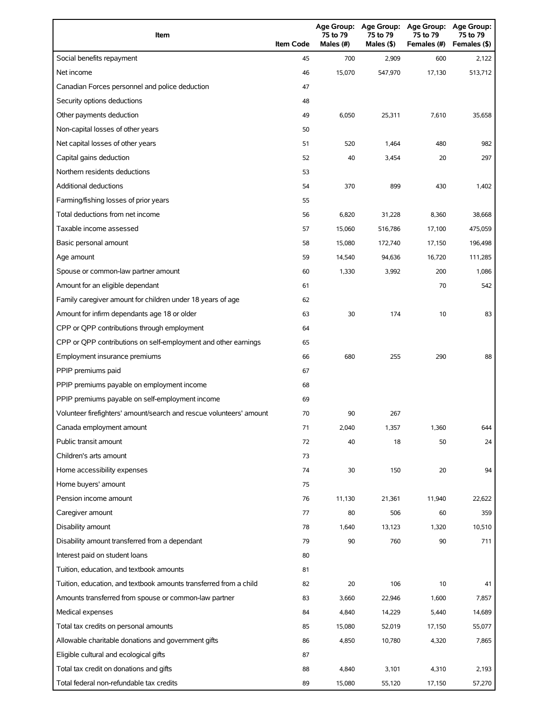| Item                                                                | <b>Item Code</b> | 75 to 79<br>Males (#) | Age Group: Age Group:<br>75 to 79<br>Males (\$) | <b>Age Group:</b><br>75 to 79<br>Females (#) | Age Group:<br>75 to 79<br>Females (\$) |
|---------------------------------------------------------------------|------------------|-----------------------|-------------------------------------------------|----------------------------------------------|----------------------------------------|
| Social benefits repayment                                           | 45               | 700                   | 2,909                                           | 600                                          | 2,122                                  |
| Net income                                                          | 46               | 15,070                | 547,970                                         | 17,130                                       | 513,712                                |
| Canadian Forces personnel and police deduction                      | 47               |                       |                                                 |                                              |                                        |
| Security options deductions                                         | 48               |                       |                                                 |                                              |                                        |
| Other payments deduction                                            | 49               | 6,050                 | 25,311                                          | 7,610                                        | 35,658                                 |
| Non-capital losses of other years                                   | 50               |                       |                                                 |                                              |                                        |
| Net capital losses of other years                                   | 51               | 520                   | 1,464                                           | 480                                          | 982                                    |
| Capital gains deduction                                             | 52               | 40                    | 3,454                                           | 20                                           | 297                                    |
| Northern residents deductions                                       | 53               |                       |                                                 |                                              |                                        |
| <b>Additional deductions</b>                                        | 54               | 370                   | 899                                             | 430                                          | 1,402                                  |
| Farming/fishing losses of prior years                               | 55               |                       |                                                 |                                              |                                        |
| Total deductions from net income                                    | 56               | 6,820                 | 31,228                                          | 8,360                                        | 38,668                                 |
| Taxable income assessed                                             | 57               | 15,060                | 516,786                                         | 17,100                                       | 475,059                                |
| Basic personal amount                                               | 58               | 15,080                | 172,740                                         | 17,150                                       | 196,498                                |
| Age amount                                                          | 59               | 14,540                | 94,636                                          | 16,720                                       | 111,285                                |
| Spouse or common-law partner amount                                 | 60               | 1,330                 | 3,992                                           | 200                                          | 1,086                                  |
| Amount for an eligible dependant                                    | 61               |                       |                                                 | 70                                           | 542                                    |
| Family caregiver amount for children under 18 years of age          | 62               |                       |                                                 |                                              |                                        |
| Amount for infirm dependants age 18 or older                        | 63               | 30                    | 174                                             | 10                                           | 83                                     |
| CPP or QPP contributions through employment                         | 64               |                       |                                                 |                                              |                                        |
| CPP or QPP contributions on self-employment and other earnings      | 65               |                       |                                                 |                                              |                                        |
| Employment insurance premiums                                       | 66               | 680                   | 255                                             | 290                                          | 88                                     |
| PPIP premiums paid                                                  | 67               |                       |                                                 |                                              |                                        |
| PPIP premiums payable on employment income                          | 68               |                       |                                                 |                                              |                                        |
| PPIP premiums payable on self-employment income                     | 69               |                       |                                                 |                                              |                                        |
| Volunteer firefighters' amount/search and rescue volunteers' amount | 70               | 90                    | 267                                             |                                              |                                        |
| Canada employment amount                                            | 71               | 2,040                 | 1,357                                           | 1,360                                        | 644                                    |
| Public transit amount                                               | 72               | 40                    | 18                                              | 50                                           | 24                                     |
| Children's arts amount                                              | 73               |                       |                                                 |                                              |                                        |
| Home accessibility expenses                                         | 74               | 30                    | 150                                             | 20                                           | 94                                     |
| Home buyers' amount                                                 | 75               |                       |                                                 |                                              |                                        |
| Pension income amount                                               | 76               | 11,130                | 21,361                                          | 11,940                                       | 22,622                                 |
| Caregiver amount                                                    | 77               | 80                    | 506                                             | 60                                           | 359                                    |
| Disability amount                                                   | 78               | 1,640                 | 13,123                                          | 1,320                                        | 10,510                                 |
| Disability amount transferred from a dependant                      | 79               | 90                    | 760                                             | 90                                           | 711                                    |
| Interest paid on student loans                                      | 80               |                       |                                                 |                                              |                                        |
| Tuition, education, and textbook amounts                            | 81               |                       |                                                 |                                              |                                        |
| Tuition, education, and textbook amounts transferred from a child   | 82               | 20                    | 106                                             | 10                                           | 41                                     |
| Amounts transferred from spouse or common-law partner               | 83               | 3,660                 | 22,946                                          | 1,600                                        | 7,857                                  |
| Medical expenses                                                    | 84               | 4,840                 | 14,229                                          | 5,440                                        | 14,689                                 |
| Total tax credits on personal amounts                               | 85               | 15,080                | 52,019                                          | 17,150                                       | 55,077                                 |
| Allowable charitable donations and government gifts                 | 86               | 4,850                 | 10,780                                          | 4,320                                        | 7,865                                  |
| Eligible cultural and ecological gifts                              | 87               |                       |                                                 |                                              |                                        |
| Total tax credit on donations and gifts                             | 88               | 4,840                 | 3,101                                           | 4,310                                        | 2,193                                  |
| Total federal non-refundable tax credits                            | 89               | 15,080                | 55,120                                          | 17,150                                       | 57,270                                 |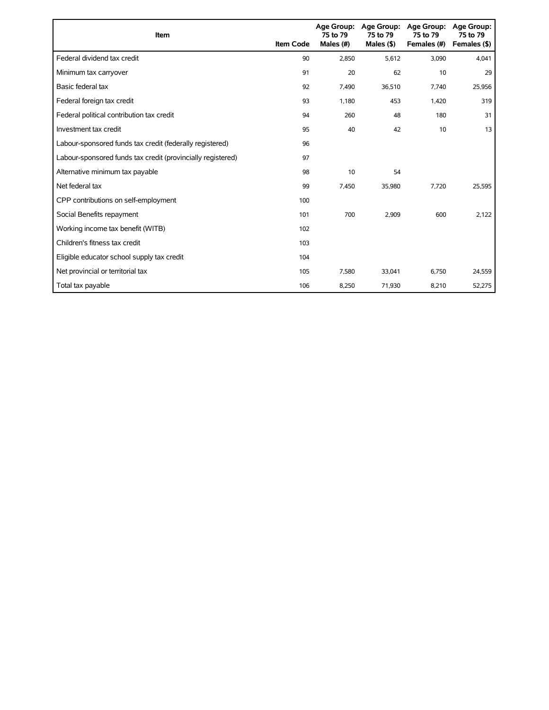| Item                                                        | <b>Item Code</b> | 75 to 79<br>Males (#) | Age Group: Age Group:<br>75 to 79<br>Males $($ \$) | <b>Age Group:</b><br>75 to 79<br>Females (#) | <b>Age Group:</b><br>75 to 79<br>Females (\$) |
|-------------------------------------------------------------|------------------|-----------------------|----------------------------------------------------|----------------------------------------------|-----------------------------------------------|
| Federal dividend tax credit                                 | 90               | 2,850                 | 5,612                                              | 3,090                                        | 4,041                                         |
| Minimum tax carryover                                       | 91               | 20                    | 62                                                 | 10                                           | 29                                            |
| Basic federal tax                                           | 92               | 7,490                 | 36,510                                             | 7,740                                        | 25,956                                        |
| Federal foreign tax credit                                  | 93               | 1,180                 | 453                                                | 1,420                                        | 319                                           |
| Federal political contribution tax credit                   | 94               | 260                   | 48                                                 | 180                                          | 31                                            |
| Investment tax credit                                       | 95               | 40                    | 42                                                 | 10                                           | 13                                            |
| Labour-sponsored funds tax credit (federally registered)    | 96               |                       |                                                    |                                              |                                               |
| Labour-sponsored funds tax credit (provincially registered) | 97               |                       |                                                    |                                              |                                               |
| Alternative minimum tax payable                             | 98               | 10                    | 54                                                 |                                              |                                               |
| Net federal tax                                             | 99               | 7,450                 | 35,980                                             | 7,720                                        | 25,595                                        |
| CPP contributions on self-employment                        | 100              |                       |                                                    |                                              |                                               |
| Social Benefits repayment                                   | 101              | 700                   | 2,909                                              | 600                                          | 2,122                                         |
| Working income tax benefit (WITB)                           | 102              |                       |                                                    |                                              |                                               |
| Children's fitness tax credit                               | 103              |                       |                                                    |                                              |                                               |
| Eligible educator school supply tax credit                  | 104              |                       |                                                    |                                              |                                               |
| Net provincial or territorial tax                           | 105              | 7,580                 | 33,041                                             | 6,750                                        | 24,559                                        |
| Total tax payable                                           | 106              | 8,250                 | 71,930                                             | 8,210                                        | 52,275                                        |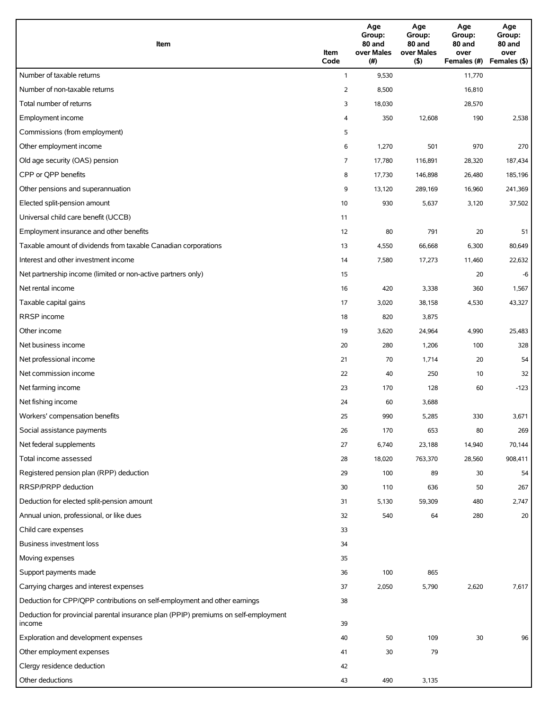| Item                                                                                          | Item<br>Code   | Age<br>Group:<br>80 and<br>over Males<br>(# ) | Age<br>Group:<br>80 and<br>over Males<br>(5) | Age<br>Group:<br>80 and<br>over<br>Females (#) | Age<br>Group:<br>80 and<br>over<br>Females (\$) |
|-----------------------------------------------------------------------------------------------|----------------|-----------------------------------------------|----------------------------------------------|------------------------------------------------|-------------------------------------------------|
| Number of taxable returns                                                                     | $\mathbf{1}$   | 9,530                                         |                                              | 11,770                                         |                                                 |
| Number of non-taxable returns                                                                 | $\overline{2}$ | 8,500                                         |                                              | 16,810                                         |                                                 |
| Total number of returns                                                                       | 3              | 18,030                                        |                                              | 28,570                                         |                                                 |
| Employment income                                                                             | 4              | 350                                           | 12,608                                       | 190                                            | 2,538                                           |
| Commissions (from employment)                                                                 | 5              |                                               |                                              |                                                |                                                 |
| Other employment income                                                                       | 6              | 1,270                                         | 501                                          | 970                                            | 270                                             |
| Old age security (OAS) pension                                                                | 7              | 17,780                                        | 116,891                                      | 28,320                                         | 187,434                                         |
| CPP or QPP benefits                                                                           | 8              | 17,730                                        | 146,898                                      | 26,480                                         | 185,196                                         |
| Other pensions and superannuation                                                             | 9              | 13,120                                        | 289,169                                      | 16,960                                         | 241,369                                         |
| Elected split-pension amount                                                                  | 10             | 930                                           | 5,637                                        | 3,120                                          | 37,502                                          |
| Universal child care benefit (UCCB)                                                           | 11             |                                               |                                              |                                                |                                                 |
| Employment insurance and other benefits                                                       | 12             | 80                                            | 791                                          | 20                                             | 51                                              |
| Taxable amount of dividends from taxable Canadian corporations                                | 13             | 4,550                                         | 66,668                                       | 6,300                                          | 80,649                                          |
| Interest and other investment income                                                          | 14             | 7,580                                         | 17,273                                       | 11,460                                         | 22,632                                          |
| Net partnership income (limited or non-active partners only)                                  | 15             |                                               |                                              | 20                                             | $-6$                                            |
| Net rental income                                                                             | 16             | 420                                           | 3,338                                        | 360                                            | 1,567                                           |
| Taxable capital gains                                                                         | 17             | 3,020                                         | 38,158                                       | 4,530                                          | 43,327                                          |
| RRSP income                                                                                   | 18             | 820                                           | 3,875                                        |                                                |                                                 |
| Other income                                                                                  | 19             | 3,620                                         | 24,964                                       | 4,990                                          | 25,483                                          |
| Net business income                                                                           | 20             | 280                                           | 1,206                                        | 100                                            | 328                                             |
| Net professional income                                                                       | 21             | 70                                            | 1,714                                        | 20                                             | 54                                              |
| Net commission income                                                                         | 22             | 40                                            | 250                                          | 10                                             | 32                                              |
| Net farming income                                                                            | 23             | 170                                           | 128                                          | 60                                             | $-123$                                          |
| Net fishing income                                                                            | 24             | 60                                            | 3,688                                        |                                                |                                                 |
| Workers' compensation benefits                                                                | 25             | 990                                           | 5,285                                        | 330                                            | 3,671                                           |
| Social assistance payments                                                                    | 26             | 170                                           | 653                                          | 80                                             | 269                                             |
| Net federal supplements                                                                       | 27             | 6,740                                         | 23,188                                       | 14,940                                         | 70,144                                          |
| Total income assessed                                                                         | 28             | 18,020                                        | 763,370                                      | 28,560                                         | 908,411                                         |
| Registered pension plan (RPP) deduction                                                       | 29             | 100                                           | 89                                           | 30                                             | 54                                              |
| <b>RRSP/PRPP</b> deduction                                                                    | 30             | 110                                           | 636                                          | 50                                             | 267                                             |
| Deduction for elected split-pension amount                                                    | 31             | 5,130                                         | 59,309                                       | 480                                            | 2,747                                           |
| Annual union, professional, or like dues                                                      | 32             | 540                                           | 64                                           | 280                                            | 20                                              |
| Child care expenses                                                                           | 33             |                                               |                                              |                                                |                                                 |
| Business investment loss                                                                      | 34             |                                               |                                              |                                                |                                                 |
| Moving expenses                                                                               | 35             |                                               |                                              |                                                |                                                 |
| Support payments made                                                                         | 36             | 100                                           | 865                                          |                                                |                                                 |
| Carrying charges and interest expenses                                                        | 37             | 2,050                                         | 5,790                                        | 2,620                                          | 7,617                                           |
| Deduction for CPP/QPP contributions on self-employment and other earnings                     | 38             |                                               |                                              |                                                |                                                 |
| Deduction for provincial parental insurance plan (PPIP) premiums on self-employment<br>income | 39             |                                               |                                              |                                                |                                                 |
| Exploration and development expenses                                                          | 40             | 50                                            | 109                                          | 30                                             | 96                                              |
| Other employment expenses                                                                     | 41             | 30                                            | 79                                           |                                                |                                                 |
| Clergy residence deduction                                                                    | 42             |                                               |                                              |                                                |                                                 |
| Other deductions                                                                              | 43             | 490                                           | 3,135                                        |                                                |                                                 |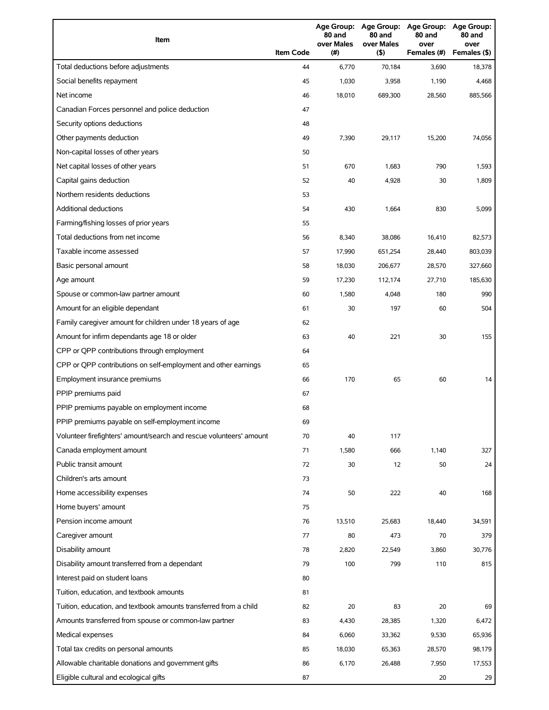| Item                                                                | <b>Item Code</b> | 80 and<br>over Males<br>(#) | 80 and<br>over Males<br>(5) | Age Group: Age Group: Age Group: Age Group:<br>80 and<br>over<br>Females (#) | 80 and<br>over<br>Females (\$) |
|---------------------------------------------------------------------|------------------|-----------------------------|-----------------------------|------------------------------------------------------------------------------|--------------------------------|
| Total deductions before adjustments                                 | 44               | 6,770                       | 70,184                      | 3,690                                                                        | 18,378                         |
| Social benefits repayment                                           | 45               | 1,030                       | 3,958                       | 1,190                                                                        | 4,468                          |
| Net income                                                          | 46               | 18,010                      | 689,300                     | 28,560                                                                       | 885,566                        |
| Canadian Forces personnel and police deduction                      | 47               |                             |                             |                                                                              |                                |
| Security options deductions                                         | 48               |                             |                             |                                                                              |                                |
| Other payments deduction                                            | 49               | 7,390                       | 29,117                      | 15,200                                                                       | 74,056                         |
| Non-capital losses of other years                                   | 50               |                             |                             |                                                                              |                                |
| Net capital losses of other years                                   | 51               | 670                         | 1,683                       | 790                                                                          | 1,593                          |
| Capital gains deduction                                             | 52               | 40                          | 4,928                       | 30                                                                           | 1,809                          |
| Northern residents deductions                                       | 53               |                             |                             |                                                                              |                                |
| <b>Additional deductions</b>                                        | 54               | 430                         | 1,664                       | 830                                                                          | 5,099                          |
| Farming/fishing losses of prior years                               | 55               |                             |                             |                                                                              |                                |
| Total deductions from net income                                    | 56               | 8,340                       | 38,086                      | 16,410                                                                       | 82,573                         |
| Taxable income assessed                                             | 57               | 17,990                      | 651,254                     | 28,440                                                                       | 803,039                        |
| Basic personal amount                                               | 58               | 18,030                      | 206,677                     | 28,570                                                                       | 327,660                        |
| Age amount                                                          | 59               | 17,230                      | 112,174                     | 27,710                                                                       | 185,630                        |
| Spouse or common-law partner amount                                 | 60               | 1,580                       | 4,048                       | 180                                                                          | 990                            |
| Amount for an eligible dependant                                    | 61               | 30                          | 197                         | 60                                                                           | 504                            |
| Family caregiver amount for children under 18 years of age          | 62               |                             |                             |                                                                              |                                |
| Amount for infirm dependants age 18 or older                        | 63               | 40                          | 221                         | 30                                                                           | 155                            |
| CPP or QPP contributions through employment                         | 64               |                             |                             |                                                                              |                                |
| CPP or QPP contributions on self-employment and other earnings      | 65               |                             |                             |                                                                              |                                |
| Employment insurance premiums                                       | 66               | 170                         | 65                          | 60                                                                           | 14                             |
| PPIP premiums paid                                                  | 67               |                             |                             |                                                                              |                                |
| PPIP premiums payable on employment income                          | 68               |                             |                             |                                                                              |                                |
| PPIP premiums payable on self-employment income                     | 69               |                             |                             |                                                                              |                                |
| Volunteer firefighters' amount/search and rescue volunteers' amount | 70               | 40                          | 117                         |                                                                              |                                |
| Canada employment amount                                            | 71               | 1,580                       | 666                         | 1,140                                                                        | 327                            |
| Public transit amount                                               | 72               | 30                          | 12                          | 50                                                                           | 24                             |
| Children's arts amount                                              | 73               |                             |                             |                                                                              |                                |
| Home accessibility expenses                                         | 74               | 50                          | 222                         | 40                                                                           | 168                            |
| Home buyers' amount                                                 | 75               |                             |                             |                                                                              |                                |
| Pension income amount                                               | 76               | 13,510                      | 25,683                      | 18,440                                                                       | 34,591                         |
| Caregiver amount                                                    | 77               | 80                          | 473                         | 70                                                                           | 379                            |
| Disability amount                                                   | 78               | 2,820                       | 22,549                      | 3,860                                                                        | 30,776                         |
| Disability amount transferred from a dependant                      | 79               | 100                         | 799                         | 110                                                                          | 815                            |
| Interest paid on student loans                                      | 80               |                             |                             |                                                                              |                                |
| Tuition, education, and textbook amounts                            | 81               |                             |                             |                                                                              |                                |
| Tuition, education, and textbook amounts transferred from a child   | 82               | 20                          | 83                          | 20                                                                           | 69                             |
| Amounts transferred from spouse or common-law partner               | 83               | 4,430                       | 28,385                      | 1,320                                                                        | 6,472                          |
| Medical expenses                                                    | 84               | 6,060                       | 33,362                      | 9,530                                                                        | 65,936                         |
| Total tax credits on personal amounts                               | 85               | 18,030                      | 65,363                      | 28,570                                                                       | 98,179                         |
| Allowable charitable donations and government gifts                 | 86               | 6,170                       | 26,488                      | 7,950                                                                        | 17,553                         |
| Eligible cultural and ecological gifts                              | 87               |                             |                             | 20                                                                           | 29                             |